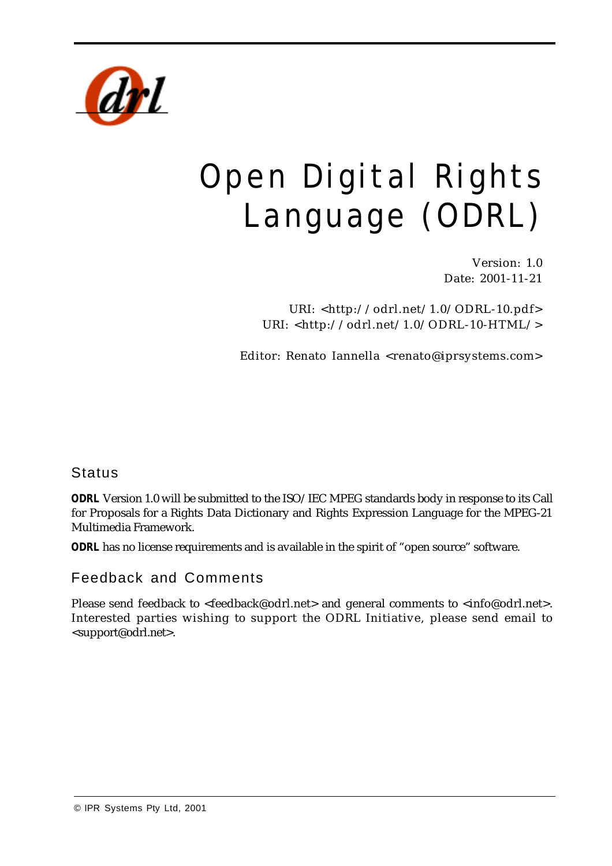

# Open Digital Rights Language (ODRL)

Version: 1.0 Date: 2001-11-21

URI: <http://odrl.net/1.0/ODRL-10.pdf> URI: <http://odrl.net/1.0/ODRL-10-HTML/>

Editor: Renato Iannella <renato@iprsystems.com>

**Status** 

*ODRL* Version 1.0 will be submitted to the ISO/IEC MPEG standards body in response to its Call for Proposals for a Rights Data Dictionary and Rights Expression Language for the MPEG-21 Multimedia Framework.

*ODRL* has no license requirements and is available in the spirit of "open source" software.

Feedback and Comments

Please send feedback to <feedback@odrl.net> and general comments to <info@odrl.net>. Interested parties wishing to support the ODRL Initiative, please send email to <support@odrl.net>.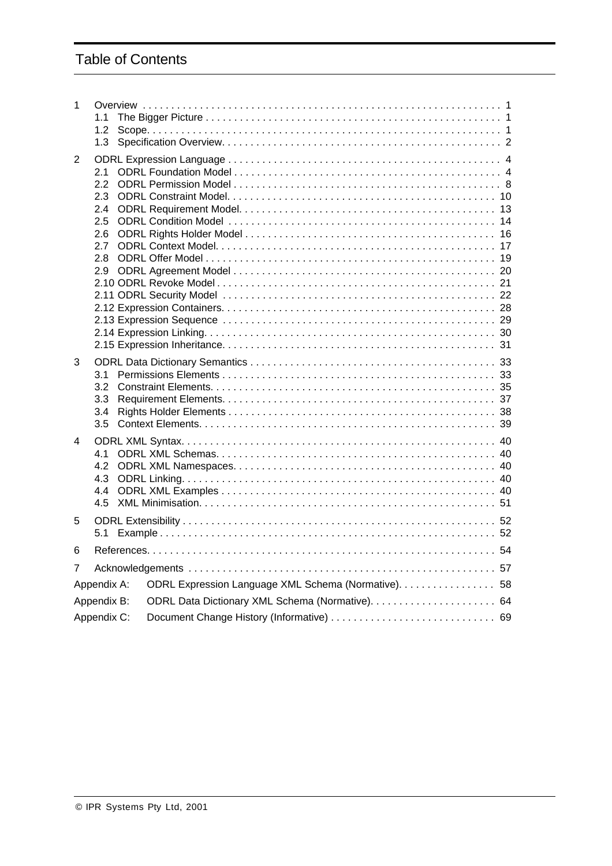# Table of Contents

| 1 | 1.1<br>1.2<br>1.3                                              |                                                     |  |
|---|----------------------------------------------------------------|-----------------------------------------------------|--|
| 2 | 2.1<br>$2.2^{\circ}$<br>2.3<br>2.4<br>2.5<br>2.6<br>2.7<br>2.8 |                                                     |  |
| 3 | 3.1<br>3.2<br>3.3<br>3.4<br>3.5                                |                                                     |  |
| 4 | 4.1<br>4.2<br>4.3<br>44<br>4.5                                 |                                                     |  |
| 5 | 5.1                                                            |                                                     |  |
| 6 |                                                                |                                                     |  |
| 7 |                                                                |                                                     |  |
|   | Appendix A:                                                    | ODRL Expression Language XML Schema (Normative). 58 |  |
|   | Appendix B:                                                    |                                                     |  |
|   | Appendix C:                                                    |                                                     |  |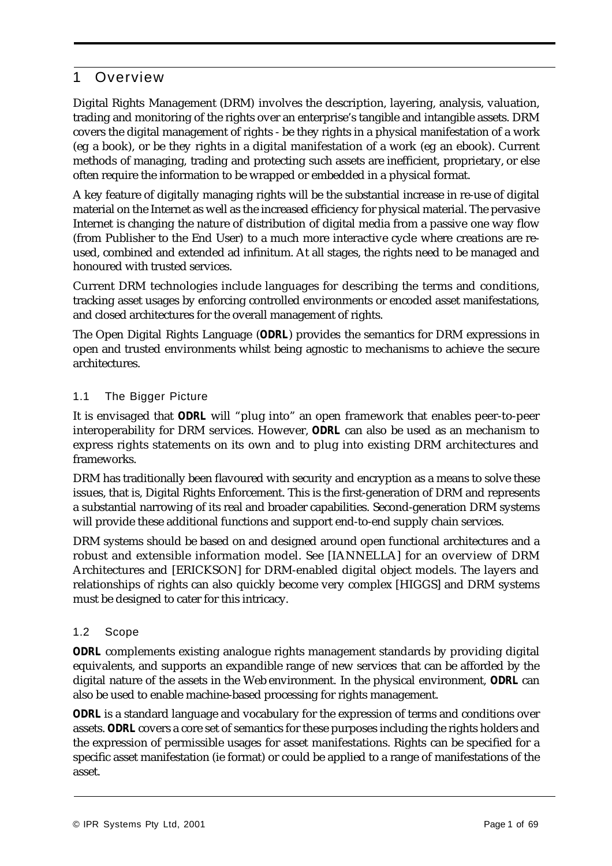# 1 Overview

Digital Rights Management (DRM) involves the description, layering, analysis, valuation, trading and monitoring of the rights over an enterprise's tangible and intangible assets. DRM covers the digital management of rights - be they rights in a physical manifestation of a work (eg a book), or be they rights in a digital manifestation of a work (eg an ebook). Current methods of managing, trading and protecting such assets are inefficient, proprietary, or else often require the information to be wrapped or embedded in a physical format.

A key feature of digitally managing rights will be the substantial increase in re-use of digital material on the Internet as well as the increased efficiency for physical material. The pervasive Internet is changing the nature of distribution of digital media from a passive one way flow (from Publisher to the End User) to a much more interactive cycle where creations are reused, combined and extended ad infinitum. At all stages, the rights need to be managed and honoured with trusted services.

Current DRM technologies include languages for describing the terms and conditions, tracking asset usages by enforcing controlled environments or encoded asset manifestations, and closed architectures for the overall management of rights.

The Open Digital Rights Language (*ODRL*) provides the semantics for DRM expressions in open and trusted environments whilst being agnostic to mechanisms to achieve the secure architectures.

# 1.1 The Bigger Picture

It is envisaged that *ODRL* will "plug into" an open framework that enables peer-to-peer interoperability for DRM services. However, *ODRL* can also be used as an mechanism to express rights statements on its own and to plug into existing DRM architectures and frameworks.

DRM has traditionally been flavoured with security and encryption as a means to solve these issues, that is, Digital Rights Enforcement. This is the first-generation of DRM and represents a substantial narrowing of its real and broader capabilities. Second-generation DRM systems will provide these additional functions and support end-to-end supply chain services.

DRM systems should be based on and designed around open functional architectures and a robust and extensible information model. See [IANNELLA] for an overview of DRM Architectures and [ERICKSON] for DRM-enabled digital object models. The layers and relationships of rights can also quickly become very complex [HIGGS] and DRM systems must be designed to cater for this intricacy.

# 1.2 Scope

*ODRL* complements existing analogue rights management standards by providing digital equivalents, and supports an expandible range of new services that can be afforded by the digital nature of the assets in the Web environment. In the physical environment, *ODRL* can also be used to enable machine-based processing for rights management.

*ODRL* is a standard language and vocabulary for the expression of terms and conditions over assets. *ODRL* covers a core set of semantics for these purposes including the rights holders and the expression of permissible usages for asset manifestations. Rights can be specified for a specific asset manifestation (ie format) or could be applied to a range of manifestations of the asset.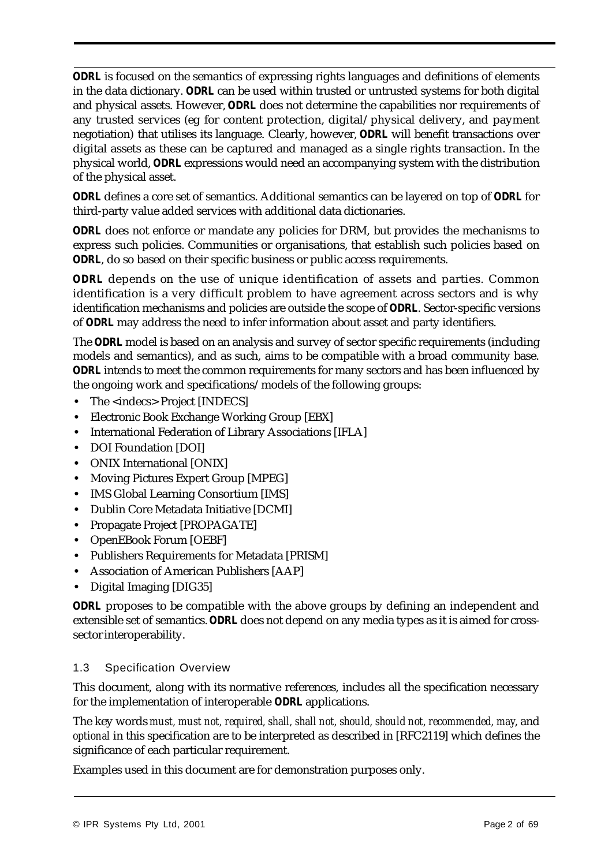*ODRL* is focused on the semantics of expressing rights languages and definitions of elements in the data dictionary. *ODRL* can be used within trusted or untrusted systems for both digital and physical assets. However, *ODRL* does not determine the capabilities nor requirements of any trusted services (eg for content protection, digital/physical delivery, and payment negotiation) that utilises its language. Clearly, however, *ODRL* will benefit transactions over digital assets as these can be captured and managed as a single rights transaction. In the physical world, *ODRL* expressions would need an accompanying system with the distribution of the physical asset.

*ODRL* defines a core set of semantics. Additional semantics can be layered on top of *ODRL* for third-party value added services with additional data dictionaries.

*ODRL* does not enforce or mandate any policies for DRM, but provides the mechanisms to express such policies. Communities or organisations, that establish such policies based on *ODRL*, do so based on their specific business or public access requirements.

*ODRL* depends on the use of unique identification of assets and parties. Common identification is a very difficult problem to have agreement across sectors and is why identification mechanisms and policies are outside the scope of *ODRL*. Sector-specific versions of *ODRL* may address the need to infer information about asset and party identifiers.

The *ODRL* model is based on an analysis and survey of sector specific requirements (including models and semantics), and as such, aims to be compatible with a broad community base. *ODRL* intends to meet the common requirements for many sectors and has been influenced by the ongoing work and specifications/models of the following groups:

- The <indecs> Project [INDECS]
- **•** Electronic Book Exchange Working Group [EBX]
- **•** International Federation of Library Associations [IFLA]
- **•** DOI Foundation [DOI]
- **•** ONIX International [ONIX]
- **•** Moving Pictures Expert Group [MPEG]
- **•** IMS Global Learning Consortium [IMS]
- **•** Dublin Core Metadata Initiative [DCMI]
- **•** Propagate Project [PROPAGATE]
- **•** OpenEBook Forum [OEBF]
- **•** Publishers Requirements for Metadata [PRISM]
- **•** Association of American Publishers [AAP]
- **•** Digital Imaging [DIG35]

*ODRL* proposes to be compatible with the above groups by defining an independent and extensible set of semantics. *ODRL* does not depend on any media types as it is aimed for crosssector interoperability.

#### 1.3 Specification Overview

This document, along with its normative references, includes all the specification necessary for the implementation of interoperable *ODRL* applications.

The key words *must, must not, required, shall, shall not, should, should not, recommended, may*, and *optional* in this specification are to be interpreted as described in [RFC2119] which defines the significance of each particular requirement.

Examples used in this document are for demonstration purposes only.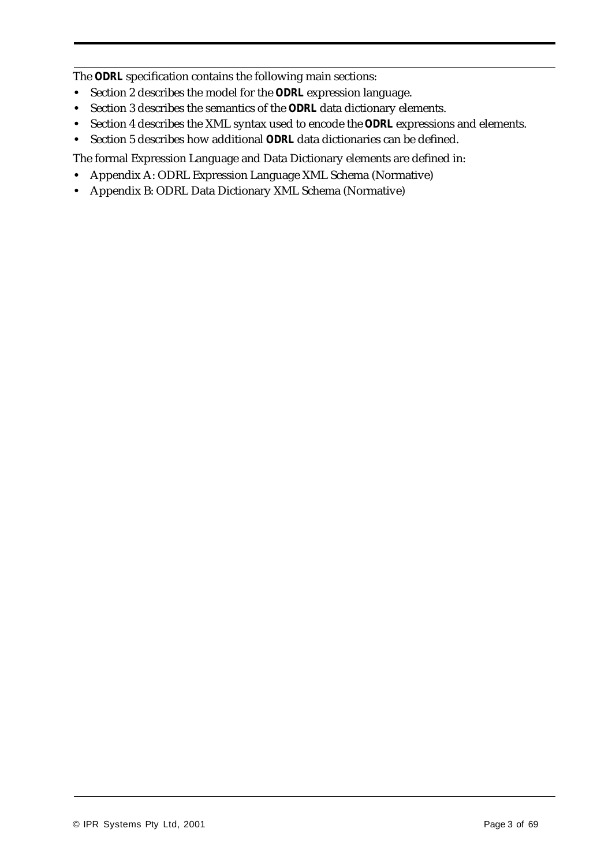The *ODRL* specification contains the following main sections:

- **•** Section 2 describes the model for the *ODRL* expression language.
- **•** Section 3 describes the semantics of the *ODRL* data dictionary elements.
- **•** Section 4 describes the XML syntax used to encode the *ODRL* expressions and elements.
- **•** Section 5 describes how additional *ODRL* data dictionaries can be defined.

The formal Expression Language and Data Dictionary elements are defined in:

- **•** Appendix A: ODRL Expression Language XML Schema (Normative)
- **•** Appendix B: ODRL Data Dictionary XML Schema (Normative)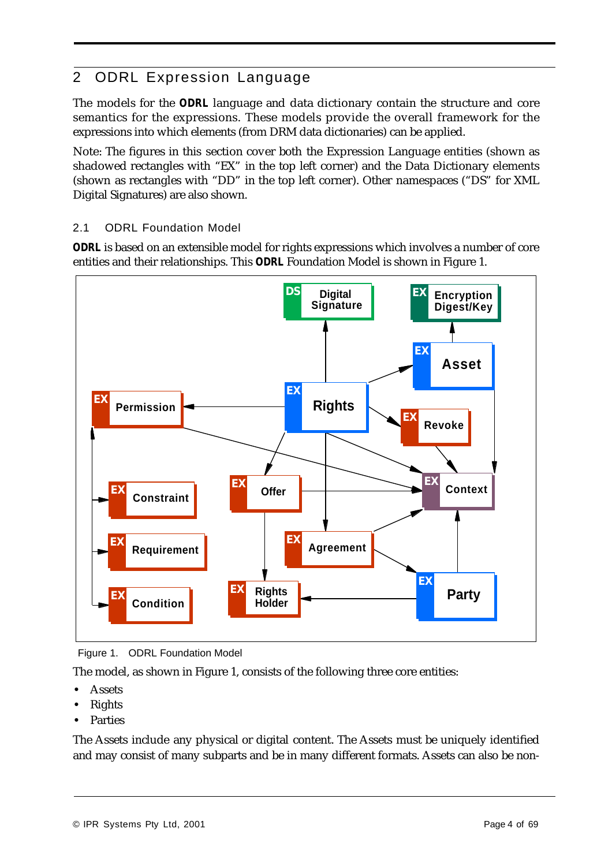# 2 ODRL Expression Language

The models for the *ODRL* language and data dictionary contain the structure and core semantics for the expressions. These models provide the overall framework for the expressions into which elements (from DRM data dictionaries) can be applied.

Note: The figures in this section cover both the Expression Language entities (shown as shadowed rectangles with "EX" in the top left corner) and the Data Dictionary elements (shown as rectangles with "DD" in the top left corner). Other namespaces ("DS" for XML Digital Signatures) are also shown.

# 2.1 ODRL Foundation Model

*ODRL* is based on an extensible model for rights expressions which involves a number of core entities and their relationships. This *ODRL* Foundation Model is shown in Figure 1.



Figure 1. ODRL Foundation Model

The model, as shown in Figure 1, consists of the following three core entities:

- **•** Assets
- **•** Rights
- **•** Parties

The Assets include any physical or digital content. The Assets must be uniquely identified and may consist of many subparts and be in many different formats. Assets can also be non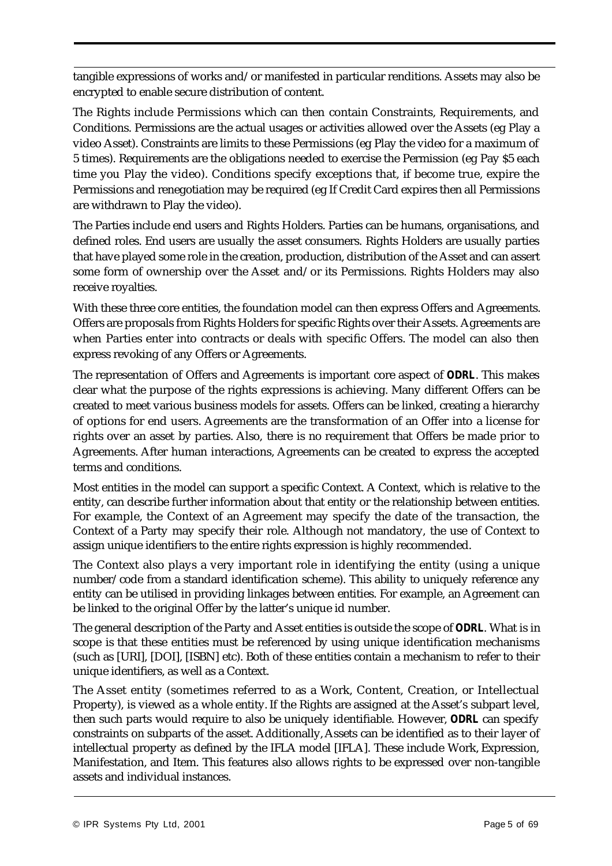tangible expressions of works and/or manifested in particular renditions. Assets may also be encrypted to enable secure distribution of content.

The Rights include Permissions which can then contain Constraints, Requirements, and Conditions. Permissions are the actual usages or activities allowed over the Assets (eg Play a video Asset). Constraints are limits to these Permissions (eg Play the video for a maximum of 5 times). Requirements are the obligations needed to exercise the Permission (eg Pay \$5 each time you Play the video). Conditions specify exceptions that, if become true, expire the Permissions and renegotiation may be required (eg If Credit Card expires then all Permissions are withdrawn to Play the video).

The Parties include end users and Rights Holders. Parties can be humans, organisations, and defined roles. End users are usually the asset consumers. Rights Holders are usually parties that have played some role in the creation, production, distribution of the Asset and can assert some form of ownership over the Asset and/or its Permissions. Rights Holders may also receive royalties.

With these three core entities, the foundation model can then express Offers and Agreements. Offers are proposals from Rights Holders for specific Rights over their Assets. Agreements are when Parties enter into contracts or deals with specific Offers. The model can also then express revoking of any Offers or Agreements.

The representation of Offers and Agreements is important core aspect of *ODRL*. This makes clear what the purpose of the rights expressions is achieving. Many different Offers can be created to meet various business models for assets. Offers can be linked, creating a hierarchy of options for end users. Agreements are the transformation of an Offer into a license for rights over an asset by parties. Also, there is no requirement that Offers be made prior to Agreements. After human interactions, Agreements can be created to express the accepted terms and conditions.

Most entities in the model can support a specific Context. A Context, which is relative to the entity, can describe further information about that entity or the relationship between entities. For example, the Context of an Agreement may specify the date of the transaction, the Context of a Party may specify their role. Although not mandatory, the use of Context to assign unique identifiers to the entire rights expression is highly recommended.

The Context also plays a very important role in identifying the entity (using a unique number/code from a standard identification scheme). This ability to uniquely reference any entity can be utilised in providing linkages between entities. For example, an Agreement can be linked to the original Offer by the latter's unique id number.

The general description of the Party and Asset entities is outside the scope of *ODRL*. What is in scope is that these entities must be referenced by using unique identification mechanisms (such as [URI], [DOI], [ISBN] etc). Both of these entities contain a mechanism to refer to their unique identifiers, as well as a Context.

The Asset entity (sometimes referred to as a Work, Content, Creation, or Intellectual Property), is viewed as a whole entity. If the Rights are assigned at the Asset's subpart level, then such parts would require to also be uniquely identifiable. However, *ODRL* can specify constraints on subparts of the asset. Additionally, Assets can be identified as to their layer of intellectual property as defined by the IFLA model [IFLA]. These include Work, Expression, Manifestation, and Item. This features also allows rights to be expressed over non-tangible assets and individual instances.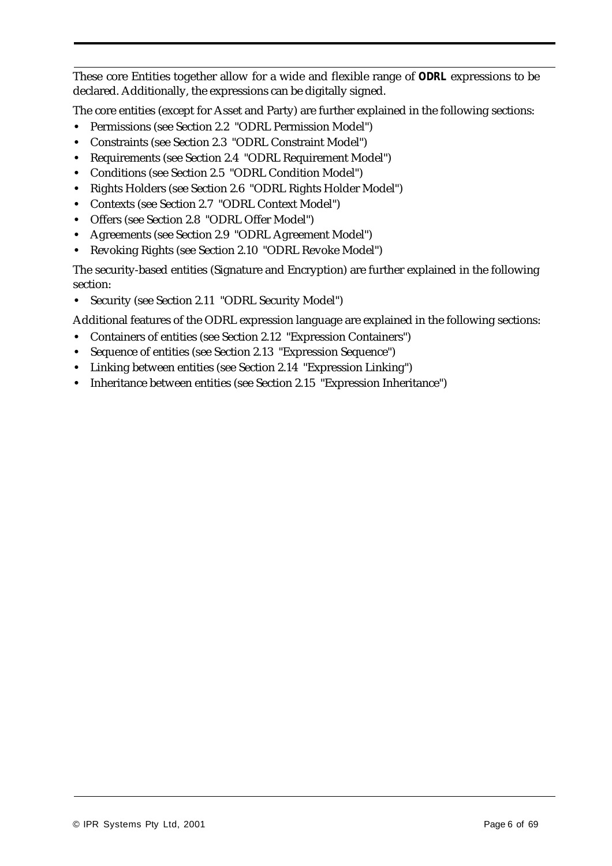These core Entities together allow for a wide and flexible range of *ODRL* expressions to be declared. Additionally, the expressions can be digitally signed.

The core entities (except for Asset and Party) are further explained in the following sections:

- **•** Permissions (see Section 2.2 "ODRL Permission Model")
- **•** Constraints (see Section 2.3 "ODRL Constraint Model")
- **•** Requirements (see Section 2.4 "ODRL Requirement Model")
- **•** Conditions (see Section 2.5 "ODRL Condition Model")
- **•** Rights Holders (see Section 2.6 "ODRL Rights Holder Model")
- **•** Contexts (see Section 2.7 "ODRL Context Model")
- **•** Offers (see Section 2.8 "ODRL Offer Model")
- **•** Agreements (see Section 2.9 "ODRL Agreement Model")
- **•** Revoking Rights (see Section 2.10 "ODRL Revoke Model")

The security-based entities (Signature and Encryption) are further explained in the following section:

**•** Security (see Section 2.11 "ODRL Security Model")

Additional features of the ODRL expression language are explained in the following sections:

- **•** Containers of entities (see Section 2.12 "Expression Containers")
- **•** Sequence of entities (see Section 2.13 "Expression Sequence")
- **•** Linking between entities (see Section 2.14 "Expression Linking")
- **•** Inheritance between entities (see Section 2.15 "Expression Inheritance")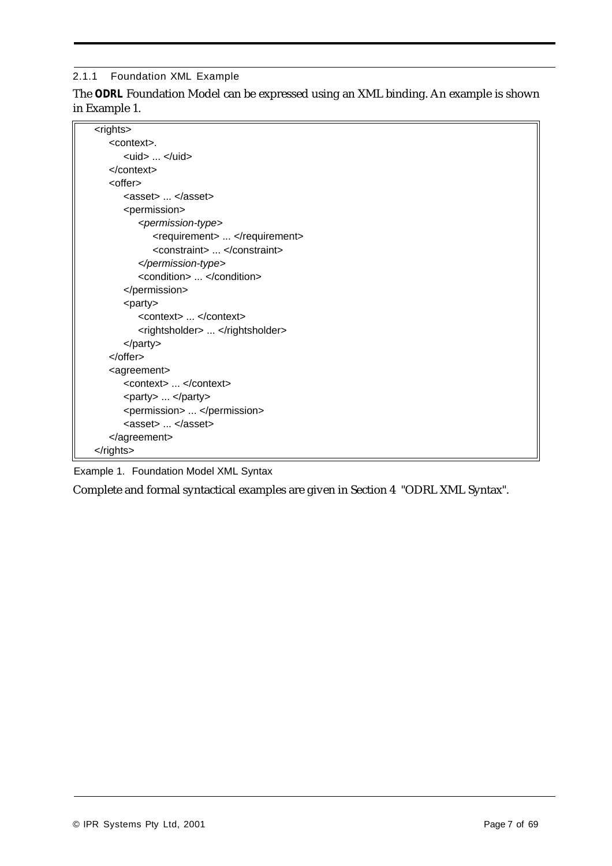#### 2.1.1 Foundation XML Example

The *ODRL* Foundation Model can be expressed using an XML binding. An example is shown in Example 1.

| <rights></rights>                                       |
|---------------------------------------------------------|
| <context>.</context>                                    |
| $\langle \text{uid}\rangle$ $\langle \text{uid}\rangle$ |
| $<$ /context>                                           |
| <offer></offer>                                         |
| <asset> </asset>                                        |
| <permission></permission>                               |
| <permission-type></permission-type>                     |
| <requirement> </requirement>                            |
| <constraint> </constraint>                              |
|                                                         |
| <condition> </condition>                                |
|                                                         |
| <party></party>                                         |
| <context> </context>                                    |
| <rightsholder> </rightsholder>                          |
| $<$ /party>                                             |
|                                                         |
| <agreement></agreement>                                 |
| <context> </context>                                    |
| <party> </party>                                        |
| <permission> </permission>                              |
| $\langle$ asset $\rangle$ $\langle$ /asset $\rangle$    |
|                                                         |
|                                                         |

Example 1. Foundation Model XML Syntax

Complete and formal syntactical examples are given in Section 4 "ODRL XML Syntax".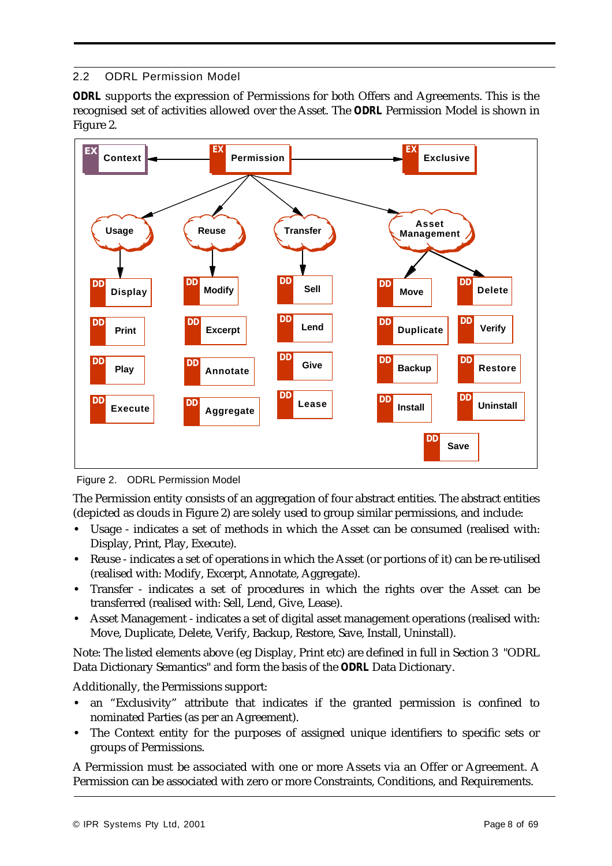# 2.2 ODRL Permission Model

*ODRL* supports the expression of Permissions for both Offers and Agreements. This is the recognised set of activities allowed over the Asset. The *ODRL* Permission Model is shown in Figure 2.



Figure 2. ODRL Permission Model

The Permission entity consists of an aggregation of four abstract entities. The abstract entities (depicted as clouds in Figure 2) are solely used to group similar permissions, and include:

- **•** Usage indicates a set of methods in which the Asset can be consumed (realised with: Display, Print, Play, Execute).
- Reuse indicates a set of operations in which the Asset (or portions of it) can be re-utilised (realised with: Modify, Excerpt, Annotate, Aggregate).
- **•** Transfer indicates a set of procedures in which the rights over the Asset can be transferred (realised with: Sell, Lend, Give, Lease).
- **•** Asset Management indicates a set of digital asset management operations (realised with: Move, Duplicate, Delete, Verify, Backup, Restore, Save, Install, Uninstall).

Note: The listed elements above (eg Display, Print etc) are defined in full in Section 3 "ODRL Data Dictionary Semantics" and form the basis of the *ODRL* Data Dictionary.

Additionally, the Permissions support:

- **•** an "Exclusivity" attribute that indicates if the granted permission is confined to nominated Parties (as per an Agreement).
- **•** The Context entity for the purposes of assigned unique identifiers to specific sets or groups of Permissions.

A Permission must be associated with one or more Assets via an Offer or Agreement. A Permission can be associated with zero or more Constraints, Conditions, and Requirements.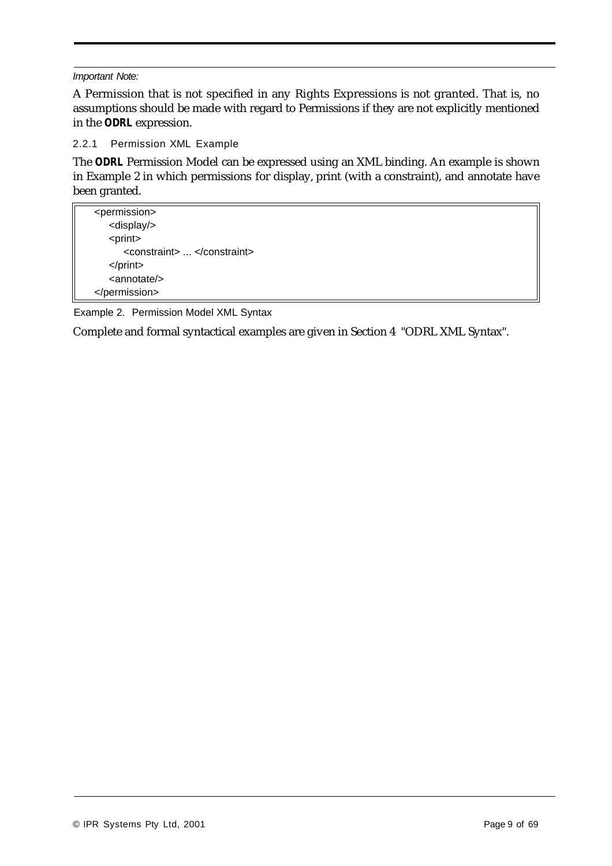#### *Important Note:*

A Permission that is not specified in any Rights Expressions is not granted. That is, no assumptions should be made with regard to Permissions if they are not explicitly mentioned in the *ODRL* expression.

2.2.1 Permission XML Example

The *ODRL* Permission Model can be expressed using an XML binding. An example is shown in Example 2 in which permissions for display, print (with a constraint), and annotate have been granted.

| <permission></permission>  |
|----------------------------|
| <display></display>        |
| <print></print>            |
| <constraint> </constraint> |
| $<$ /print $>$             |
| <annotate></annotate>      |
|                            |

Example 2. Permission Model XML Syntax

Complete and formal syntactical examples are given in Section 4 "ODRL XML Syntax".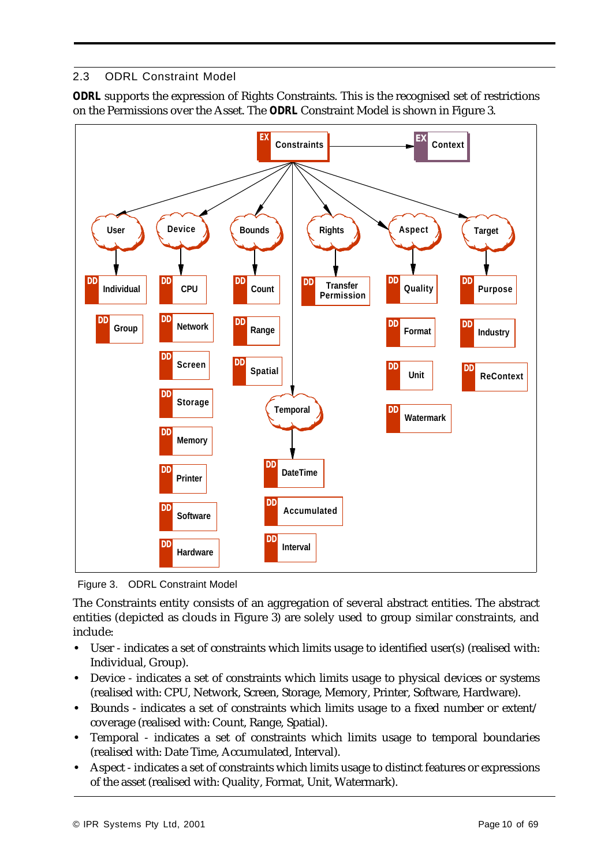# 2.3 ODRL Constraint Model

*ODRL* supports the expression of Rights Constraints. This is the recognised set of restrictions on the Permissions over the Asset. The *ODRL* Constraint Model is shown in Figure 3.



Figure 3. ODRL Constraint Model

The Constraints entity consists of an aggregation of several abstract entities. The abstract entities (depicted as clouds in Figure 3) are solely used to group similar constraints, and include:

- **•** User indicates a set of constraints which limits usage to identified user(s) (realised with: Individual, Group).
- Device indicates a set of constraints which limits usage to physical devices or systems (realised with: CPU, Network, Screen, Storage, Memory, Printer, Software, Hardware).
- **•** Bounds indicates a set of constraints which limits usage to a fixed number or extent/ coverage (realised with: Count, Range, Spatial).
- **•** Temporal indicates a set of constraints which limits usage to temporal boundaries (realised with: Date Time, Accumulated, Interval).
- Aspect indicates a set of constraints which limits usage to distinct features or expressions of the asset (realised with: Quality, Format, Unit, Watermark).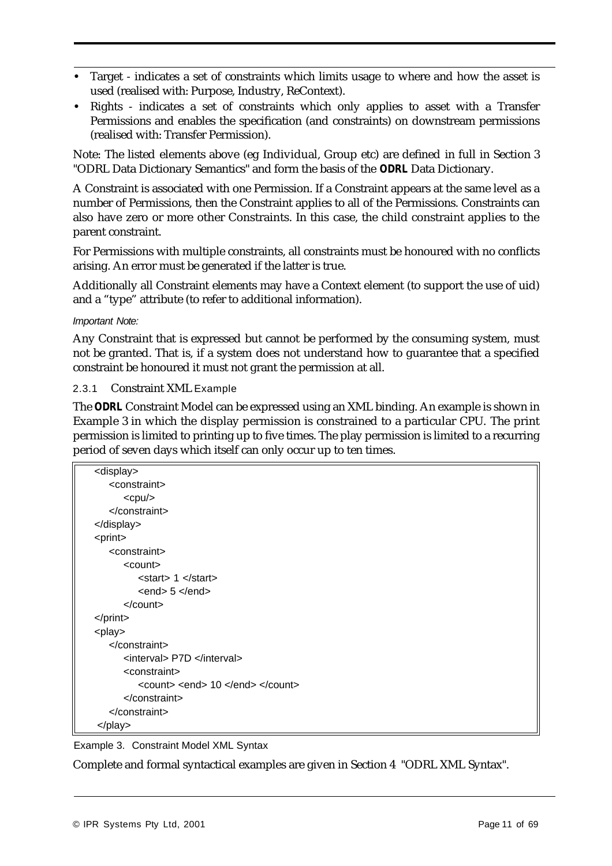- **•** Target indicates a set of constraints which limits usage to where and how the asset is used (realised with: Purpose, Industry, ReContext).
- **•** Rights indicates a set of constraints which only applies to asset with a Transfer Permissions and enables the specification (and constraints) on downstream permissions (realised with: Transfer Permission).

Note: The listed elements above (eg Individual, Group etc) are defined in full in Section 3 "ODRL Data Dictionary Semantics" and form the basis of the *ODRL* Data Dictionary.

A Constraint is associated with one Permission. If a Constraint appears at the same level as a number of Permissions, then the Constraint applies to all of the Permissions. Constraints can also have zero or more other Constraints. In this case, the child constraint applies to the parent constraint.

For Permissions with multiple constraints, all constraints must be honoured with no conflicts arising. An error must be generated if the latter is true.

Additionally all Constraint elements may have a Context element (to support the use of uid) and a "type" attribute (to refer to additional information).

#### *Important Note:*

Any Constraint that is expressed but cannot be performed by the consuming system, must not be granted. That is, if a system does not understand how to guarantee that a specified constraint be honoured it must not grant the permission at all.

#### 2.3.1 Constraint XML Example

The *ODRL* Constraint Model can be expressed using an XML binding. An example is shown in Example 3 in which the display permission is constrained to a particular CPU. The print permission is limited to printing up to five times. The play permission is limited to a recurring period of seven days which itself can only occur up to ten times.

| <display></display>                    |                                  |
|----------------------------------------|----------------------------------|
| <constraint></constraint>              |                                  |
| $<$ cpu $/$                            |                                  |
|                                        |                                  |
|                                        |                                  |
| <print></print>                        |                                  |
| <constraint></constraint>              |                                  |
| <count></count>                        |                                  |
| <start> 1 </start>                     |                                  |
| $\epsilon$ end $> 5 \epsilon$ /end $>$ |                                  |
| $\alpha$ count                         |                                  |
| $<$ /print $>$                         |                                  |
| <play></play>                          |                                  |
| $<$ /constraint>                       |                                  |
| <interval> P7D </interval>             |                                  |
| <constraint></constraint>              |                                  |
|                                        | <count> <end> 10 </end> </count> |
|                                        |                                  |
|                                        |                                  |
| $<$ /play>                             |                                  |

Example 3. Constraint Model XML Syntax

Complete and formal syntactical examples are given in Section 4 "ODRL XML Syntax".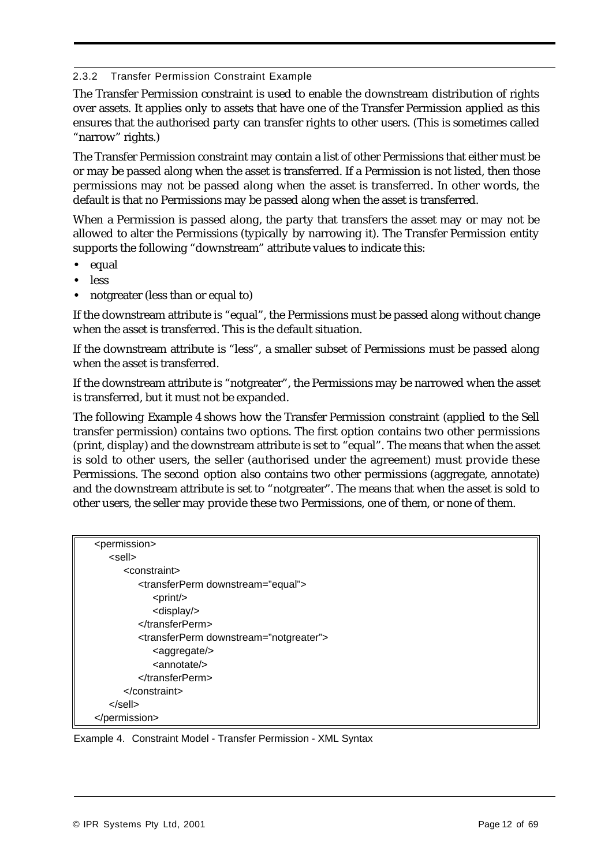#### 2.3.2 Transfer Permission Constraint Example

The Transfer Permission constraint is used to enable the downstream distribution of rights over assets. It applies only to assets that have one of the Transfer Permission applied as this ensures that the authorised party can transfer rights to other users. (This is sometimes called "narrow" rights.)

The Transfer Permission constraint may contain a list of other Permissions that either must be or may be passed along when the asset is transferred. If a Permission is not listed, then those permissions may not be passed along when the asset is transferred. In other words, the default is that no Permissions may be passed along when the asset is transferred.

When a Permission is passed along, the party that transfers the asset may or may not be allowed to alter the Permissions (typically by narrowing it). The Transfer Permission entity supports the following "downstream" attribute values to indicate this:

- **•** equal
- **•** less
- **•** notgreater (less than or equal to)

If the downstream attribute is "equal", the Permissions must be passed along without change when the asset is transferred. This is the default situation.

If the downstream attribute is "less", a smaller subset of Permissions must be passed along when the asset is transferred.

If the downstream attribute is "notgreater", the Permissions may be narrowed when the asset is transferred, but it must not be expanded.

The following Example 4 shows how the Transfer Permission constraint (applied to the Sell transfer permission) contains two options. The first option contains two other permissions (print, display) and the downstream attribute is set to "equal". The means that when the asset is sold to other users, the seller (authorised under the agreement) must provide these Permissions. The second option also contains two other permissions (aggregate, annotate) and the downstream attribute is set to "notgreater". The means that when the asset is sold to other users, the seller may provide these two Permissions, one of them, or none of them.

| <permission></permission>                             |  |
|-------------------------------------------------------|--|
| <sell></sell>                                         |  |
| <constraint></constraint>                             |  |
| <transferperm downstream="equal"></transferperm>      |  |
| $<$ print $/$ >                                       |  |
| <display></display>                                   |  |
|                                                       |  |
| <transferperm downstream="notgreater"></transferperm> |  |
| <aggregate></aggregate>                               |  |
| <annotate></annotate>                                 |  |
|                                                       |  |
|                                                       |  |
| $<$ /sell $>$                                         |  |
|                                                       |  |

Example 4. Constraint Model - Transfer Permission - XML Syntax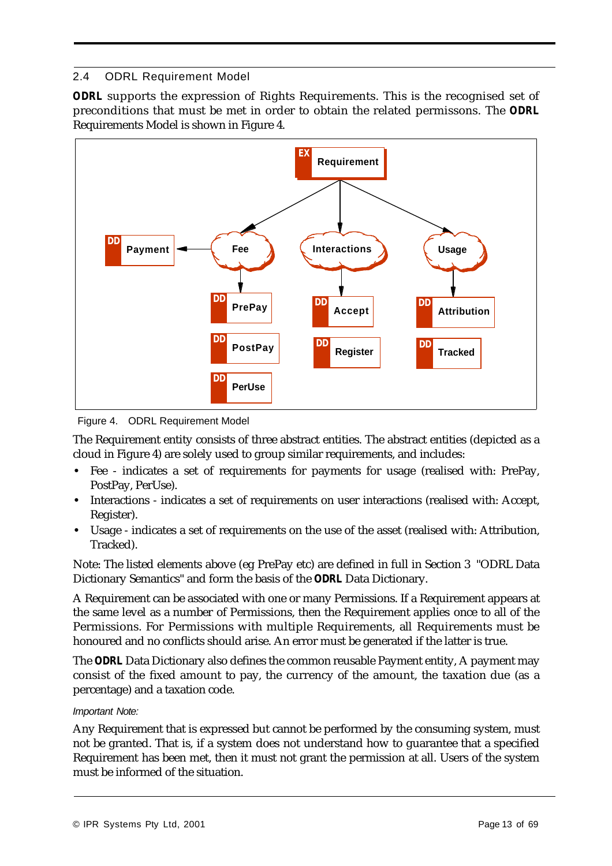# 2.4 ODRL Requirement Model

*ODRL* supports the expression of Rights Requirements. This is the recognised set of preconditions that must be met in order to obtain the related permissons. The *ODRL* Requirements Model is shown in Figure 4.



Figure 4. ODRL Requirement Model

The Requirement entity consists of three abstract entities. The abstract entities (depicted as a cloud in Figure 4) are solely used to group similar requirements, and includes:

- **•** Fee indicates a set of requirements for payments for usage (realised with: PrePay, PostPay, PerUse).
- **•** Interactions indicates a set of requirements on user interactions (realised with: Accept, Register).
- **•** Usage indicates a set of requirements on the use of the asset (realised with: Attribution, Tracked).

Note: The listed elements above (eg PrePay etc) are defined in full in Section 3 "ODRL Data Dictionary Semantics" and form the basis of the *ODRL* Data Dictionary.

A Requirement can be associated with one or many Permissions. If a Requirement appears at the same level as a number of Permissions, then the Requirement applies once to all of the Permissions. For Permissions with multiple Requirements, all Requirements must be honoured and no conflicts should arise. An error must be generated if the latter is true.

The *ODRL* Data Dictionary also defines the common reusable Payment entity, A payment may consist of the fixed amount to pay, the currency of the amount, the taxation due (as a percentage) and a taxation code.

#### *Important Note:*

Any Requirement that is expressed but cannot be performed by the consuming system, must not be granted. That is, if a system does not understand how to guarantee that a specified Requirement has been met, then it must not grant the permission at all. Users of the system must be informed of the situation.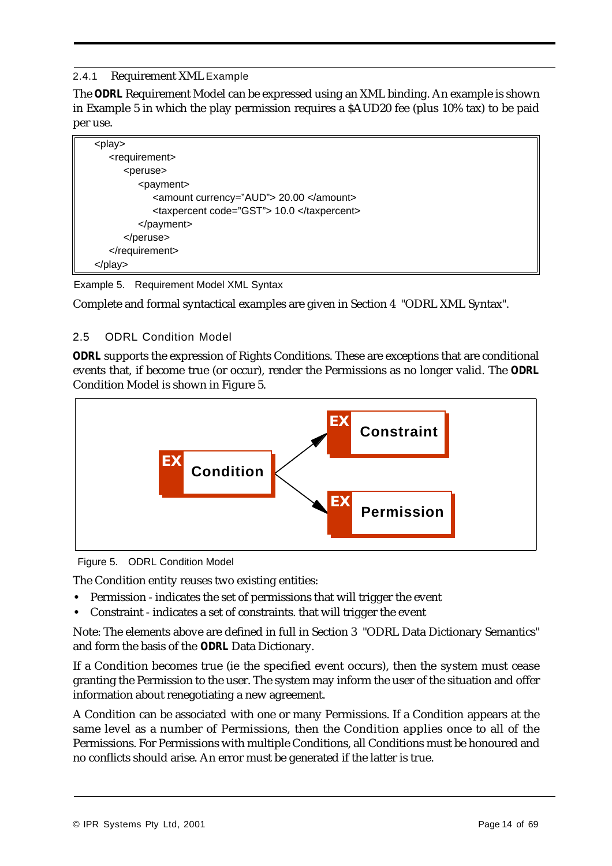## 2.4.1 Requirement XML Example

The *ODRL* Requirement Model can be expressed using an XML binding. An example is shown in Example 5 in which the play permission requires a \$AUD20 fee (plus 10% tax) to be paid per use.



Example 5. Requirement Model XML Syntax

Complete and formal syntactical examples are given in Section 4 "ODRL XML Syntax".

## 2.5 ODRL Condition Model

*ODRL* supports the expression of Rights Conditions. These are exceptions that are conditional events that, if become true (or occur), render the Permissions as no longer valid. The *ODRL* Condition Model is shown in Figure 5.



Figure 5. ODRL Condition Model

The Condition entity reuses two existing entities:

- **•** Permission indicates the set of permissions that will trigger the event
- **•** Constraint indicates a set of constraints. that will trigger the event

Note: The elements above are defined in full in Section 3 "ODRL Data Dictionary Semantics" and form the basis of the *ODRL* Data Dictionary.

If a Condition becomes true (ie the specified event occurs), then the system must cease granting the Permission to the user. The system may inform the user of the situation and offer information about renegotiating a new agreement.

A Condition can be associated with one or many Permissions. If a Condition appears at the same level as a number of Permissions, then the Condition applies once to all of the Permissions. For Permissions with multiple Conditions, all Conditions must be honoured and no conflicts should arise. An error must be generated if the latter is true.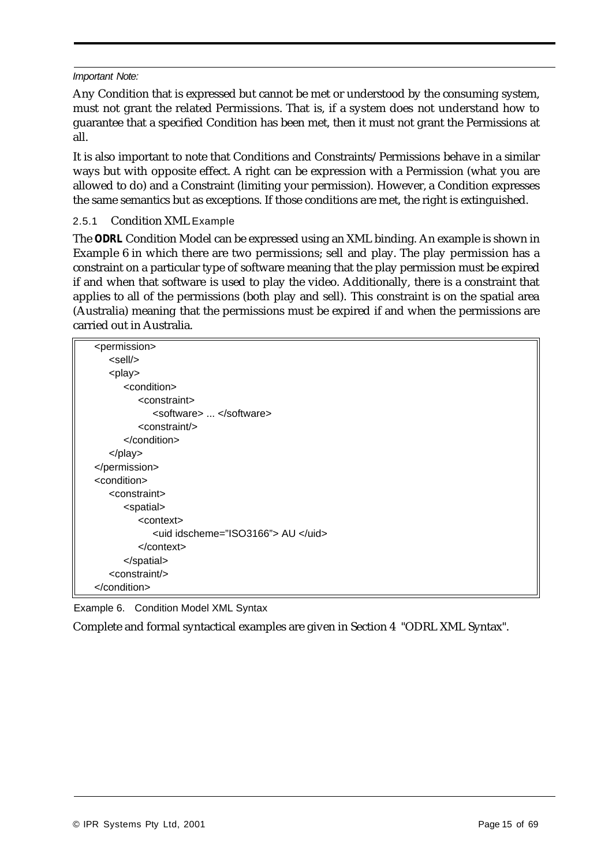#### *Important Note:*

Any Condition that is expressed but cannot be met or understood by the consuming system, must not grant the related Permissions. That is, if a system does not understand how to guarantee that a specified Condition has been met, then it must not grant the Permissions at all.

It is also important to note that Conditions and Constraints/Permissions behave in a similar ways but with opposite effect. A right can be expression with a Permission (what you are allowed to do) and a Constraint (limiting your permission). However, a Condition expresses the same semantics but as exceptions. If those conditions are met, the right is extinguished.

## 2.5.1 Condition XML Example

The *ODRL* Condition Model can be expressed using an XML binding. An example is shown in Example 6 in which there are two permissions; sell and play. The play permission has a constraint on a particular type of software meaning that the play permission must be expired if and when that software is used to play the video. Additionally, there is a constraint that applies to all of the permissions (both play and sell). This constraint is on the spatial area (Australia) meaning that the permissions must be expired if and when the permissions are carried out in Australia.

| <permission></permission>          |
|------------------------------------|
| <sell></sell>                      |
| <play></play>                      |
| <condition></condition>            |
| <constraint></constraint>          |
| <software> </software>             |
| <constraint></constraint>          |
| $\alpha$ condition $>$             |
| $<$ /play>                         |
|                                    |
| <condition></condition>            |
| <constraint></constraint>          |
| <spatial></spatial>                |
| <context></context>                |
| <uid idscheme="ISO3166"> AU </uid> |
| $<$ /context>                      |
|                                    |
| <constraint></constraint>          |
|                                    |

Example 6. Condition Model XML Syntax

Complete and formal syntactical examples are given in Section 4 "ODRL XML Syntax".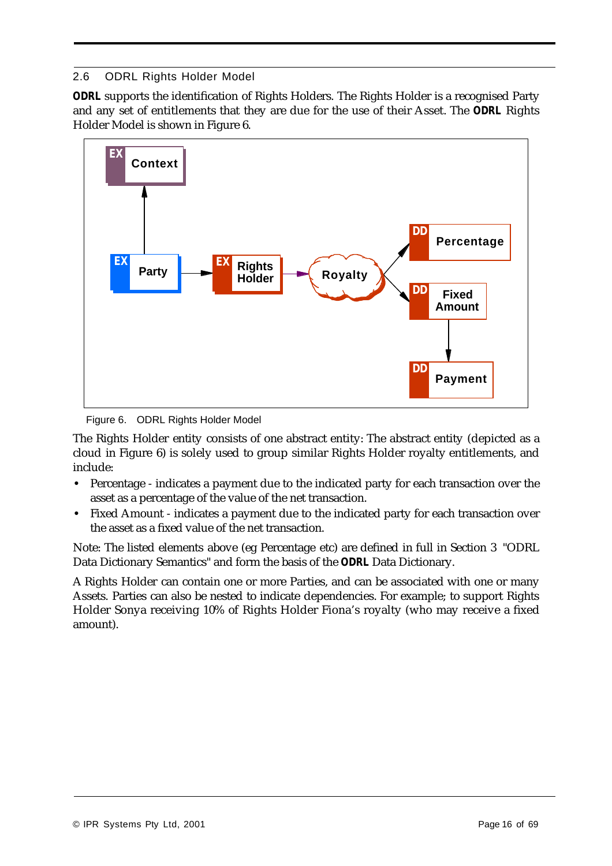# 2.6 ODRL Rights Holder Model

*ODRL* supports the identification of Rights Holders. The Rights Holder is a recognised Party and any set of entitlements that they are due for the use of their Asset. The *ODRL* Rights Holder Model is shown in Figure 6.



Figure 6. ODRL Rights Holder Model

The Rights Holder entity consists of one abstract entity: The abstract entity (depicted as a cloud in Figure 6) is solely used to group similar Rights Holder royalty entitlements, and include:

- **•** Percentage indicates a payment due to the indicated party for each transaction over the asset as a percentage of the value of the net transaction.
- **•** Fixed Amount indicates a payment due to the indicated party for each transaction over the asset as a fixed value of the net transaction.

Note: The listed elements above (eg Percentage etc) are defined in full in Section 3 "ODRL Data Dictionary Semantics" and form the basis of the *ODRL* Data Dictionary.

A Rights Holder can contain one or more Parties, and can be associated with one or many Assets. Parties can also be nested to indicate dependencies. For example; to support Rights Holder Sonya receiving 10% of Rights Holder Fiona's royalty (who may receive a fixed amount).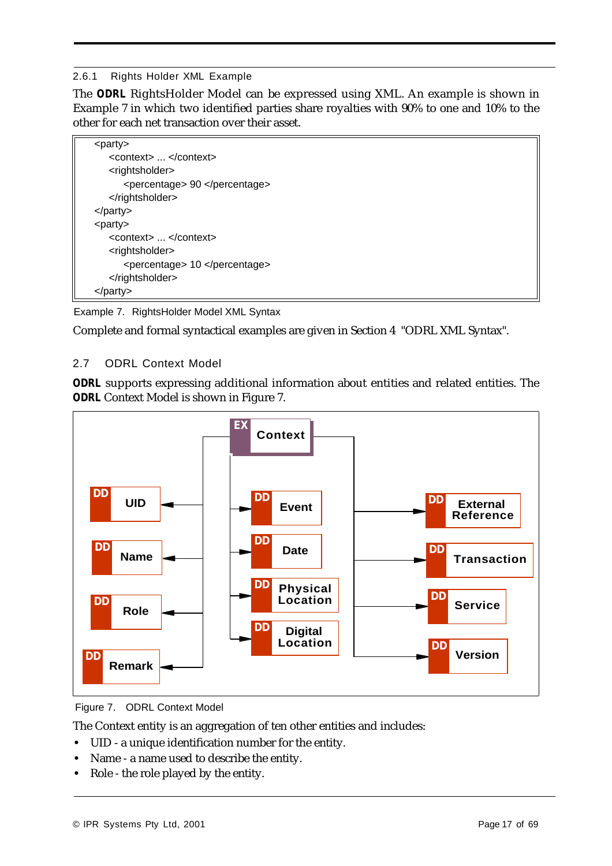## 2.6.1 Rights Holder XML Example

The *ODRL* RightsHolder Model can be expressed using XML. An example is shown in Example 7 in which two identified parties share royalties with 90% to one and 10% to the other for each net transaction over their asset.



Example 7. RightsHolder Model XML Syntax

Complete and formal syntactical examples are given in Section 4 "ODRL XML Syntax".

# 2.7 ODRL Context Model

*ODRL* supports expressing additional information about entities and related entities. The *ODRL* Context Model is shown in Figure 7.



Figure 7. ODRL Context Model

The Context entity is an aggregation of ten other entities and includes:

- **•** UID a unique identification number for the entity.
- **•** Name a name used to describe the entity.
- Role the role played by the entity.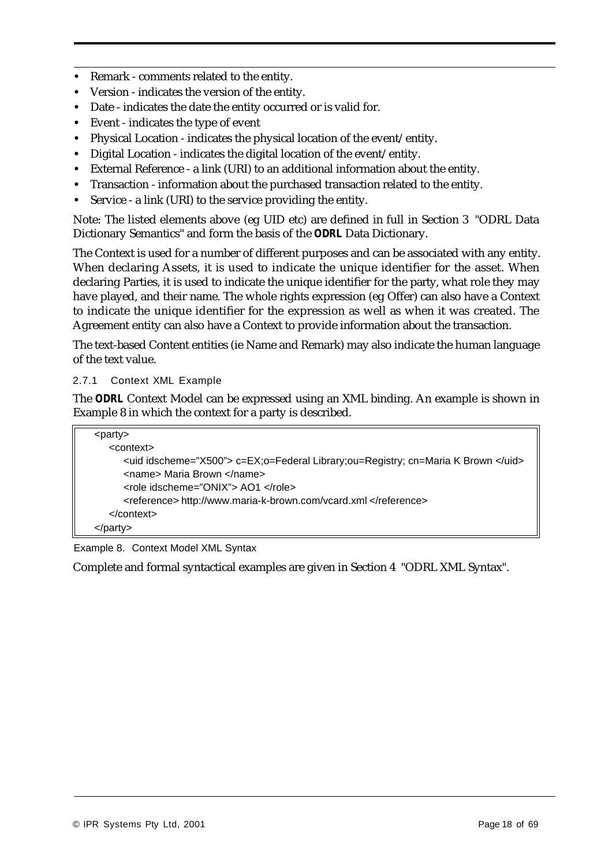- **•** Remark comments related to the entity.
- **•** Version indicates the version of the entity.
- **•** Date indicates the date the entity occurred or is valid for.
- **•** Event indicates the type of event
- **•** Physical Location indicates the physical location of the event/entity.
- **•** Digital Location indicates the digital location of the event/entity.
- **•** External Reference a link (URI) to an additional information about the entity.
- **•** Transaction information about the purchased transaction related to the entity.
- **•** Service a link (URI) to the service providing the entity.

Note: The listed elements above (eg UID etc) are defined in full in Section 3 "ODRL Data Dictionary Semantics" and form the basis of the *ODRL* Data Dictionary.

The Context is used for a number of different purposes and can be associated with any entity. When declaring Assets, it is used to indicate the unique identifier for the asset. When declaring Parties, it is used to indicate the unique identifier for the party, what role they may have played, and their name. The whole rights expression (eg Offer) can also have a Context to indicate the unique identifier for the expression as well as when it was created. The Agreement entity can also have a Context to provide information about the transaction.

The text-based Content entities (ie Name and Remark) may also indicate the human language of the text value.

#### 2.7.1 Context XML Example

The *ODRL* Context Model can be expressed using an XML binding. An example is shown in Example 8 in which the context for a party is described.

| $\langle$ party $\rangle$                                                         |  |
|-----------------------------------------------------------------------------------|--|
| <context></context>                                                               |  |
| <uid idscheme="X500"> c=EX;o=Federal Library;ou=Registry; cn=Maria K Brown </uid> |  |
| <name> Maria Brown </name>                                                        |  |
| <role idscheme="ONIX"> AO1 </role>                                                |  |
| <reference> http://www.maria-k-brown.com/vcard.xml </reference>                   |  |
| $<$ /context $>$                                                                  |  |
|                                                                                   |  |

Example 8. Context Model XML Syntax

Complete and formal syntactical examples are given in Section 4 "ODRL XML Syntax".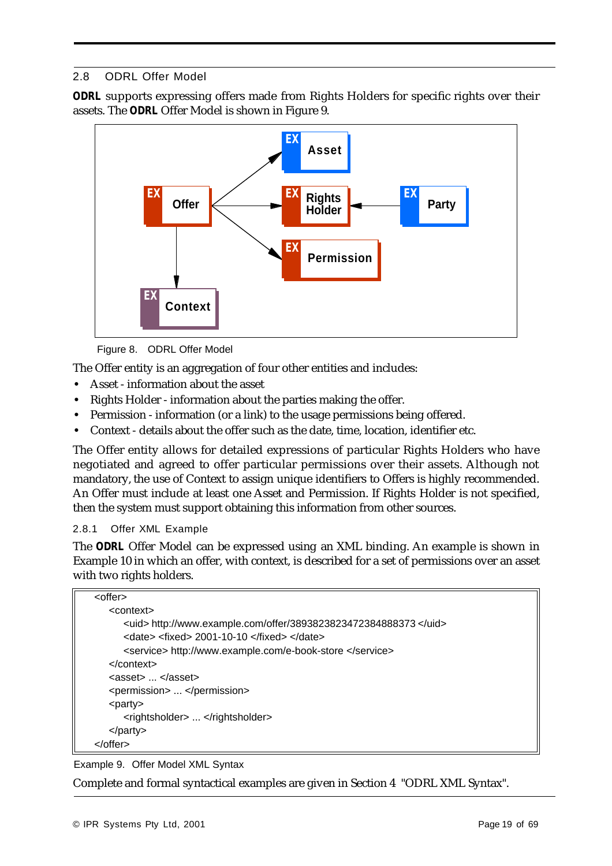## 2.8 ODRL Offer Model

*ODRL* supports expressing offers made from Rights Holders for specific rights over their assets. The *ODRL* Offer Model is shown in Figure 9.



Figure 8. ODRL Offer Model

The Offer entity is an aggregation of four other entities and includes:

- **•** Asset information about the asset
- **•** Rights Holder information about the parties making the offer.
- **•** Permission information (or a link) to the usage permissions being offered.
- **•** Context details about the offer such as the date, time, location, identifier etc.

The Offer entity allows for detailed expressions of particular Rights Holders who have negotiated and agreed to offer particular permissions over their assets. Although not mandatory, the use of Context to assign unique identifiers to Offers is highly recommended. An Offer must include at least one Asset and Permission. If Rights Holder is not specified, then the system must support obtaining this information from other sources.

2.8.1 Offer XML Example

The *ODRL* Offer Model can be expressed using an XML binding. An example is shown in Example 10 in which an offer, with context, is described for a set of permissions over an asset with two rights holders.

| <offer></offer>                                                 |
|-----------------------------------------------------------------|
| <context></context>                                             |
| <uid> http://www.example.com/offer/3893823823472384888373</uid> |
| $\alpha$ <date> <fixed> 2001-10-10 </fixed> </date>             |
| <service> http://www.example.com/e-book-store </service>        |
| $<$ /context $>$                                                |
| $\langle$ asset $\rangle$ $\langle$ asset $\rangle$             |
| <permission> </permission>                                      |
| <party></party>                                                 |
| <rightsholder> </rightsholder>                                  |
| $<$ /party>                                                     |
|                                                                 |

Example 9. Offer Model XML Syntax

Complete and formal syntactical examples are given in Section 4 "ODRL XML Syntax".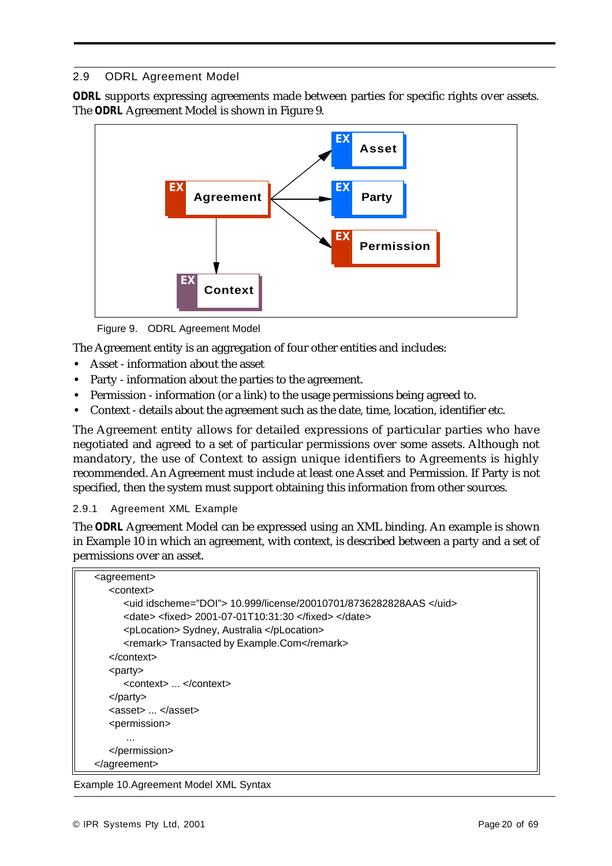# 2.9 ODRL Agreement Model

*ODRL* supports expressing agreements made between parties for specific rights over assets. The *ODRL* Agreement Model is shown in Figure 9.



Figure 9. ODRL Agreement Model

The Agreement entity is an aggregation of four other entities and includes:

- **•** Asset information about the asset
- **•** Party information about the parties to the agreement.
- **•** Permission information (or a link) to the usage permissions being agreed to.
- **•** Context details about the agreement such as the date, time, location, identifier etc.

The Agreement entity allows for detailed expressions of particular parties who have negotiated and agreed to a set of particular permissions over some assets. Although not mandatory, the use of Context to assign unique identifiers to Agreements is highly recommended. An Agreement must include at least one Asset and Permission. If Party is not specified, then the system must support obtaining this information from other sources.

2.9.1 Agreement XML Example

The *ODRL* Agreement Model can be expressed using an XML binding. An example is shown in Example 10 in which an agreement, with context, is described between a party and a set of permissions over an asset.

| <agreement></agreement>                                                     |
|-----------------------------------------------------------------------------|
| $<$ context $>$                                                             |
| $\le$ uid idscheme="DOI"> 10.999/license/20010701/8736282828AAS $\le$ /uid> |
| $\alpha$ <date> <fixed> 2001-07-01T10:31:30 </fixed> </date>                |
| <plocation> Sydney, Australia </plocation>                                  |
| <remark>Transacted by Example.Com</remark>                                  |
| $<$ /context $>$                                                            |
| $\langle$ party                                                             |
| <context> </context>                                                        |
| $<$ /party>                                                                 |
| $\langle$ asset $\rangle$ $\langle$ asset $\rangle$                         |
| <permission></permission>                                                   |
|                                                                             |
|                                                                             |
| $\alpha$ agreement                                                          |

Example 10.Agreement Model XML Syntax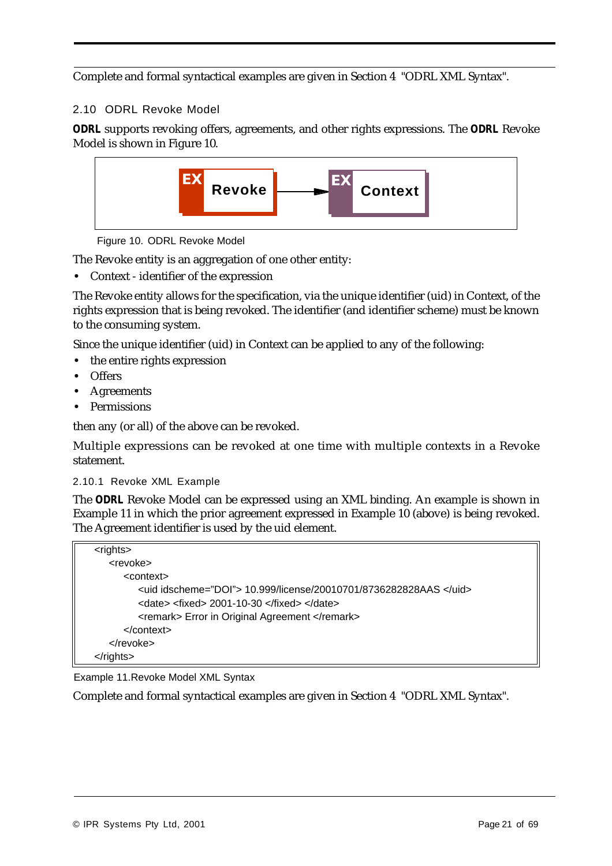Complete and formal syntactical examples are given in Section 4 "ODRL XML Syntax".

# 2.10 ODRL Revoke Model

*ODRL* supports revoking offers, agreements, and other rights expressions. The *ODRL* Revoke Model is shown in Figure 10.



Figure 10. ODRL Revoke Model

The Revoke entity is an aggregation of one other entity:

**•** Context - identifier of the expression

The Revoke entity allows for the specification, via the unique identifier (uid) in Context, of the rights expression that is being revoked. The identifier (and identifier scheme) must be known to the consuming system.

Since the unique identifier (uid) in Context can be applied to any of the following:

- the entire rights expression
- **•** Offers
- **•** Agreements
- **•** Permissions

then any (or all) of the above can be revoked.

Multiple expressions can be revoked at one time with multiple contexts in a Revoke statement.

#### 2.10.1 Revoke XML Example

The *ODRL* Revoke Model can be expressed using an XML binding. An example is shown in Example 11 in which the prior agreement expressed in Example 10 (above) is being revoked. The Agreement identifier is used by the uid element.

| $<$ rights $>$             |                                                                   |
|----------------------------|-------------------------------------------------------------------|
| <revoke></revoke>          |                                                                   |
| <context></context>        |                                                                   |
|                            | <uid idscheme="DOI"> 10.999/license/20010701/8736282828AAS </uid> |
|                            | <date> <fixed> 2001-10-30 </fixed> </date>                        |
|                            | <remark> Error in Original Agreement </remark>                    |
| $\alpha$ context           |                                                                   |
| $\langle$ revoke $\rangle$ |                                                                   |
|                            |                                                                   |

Example 11.Revoke Model XML Syntax

Complete and formal syntactical examples are given in Section 4 "ODRL XML Syntax".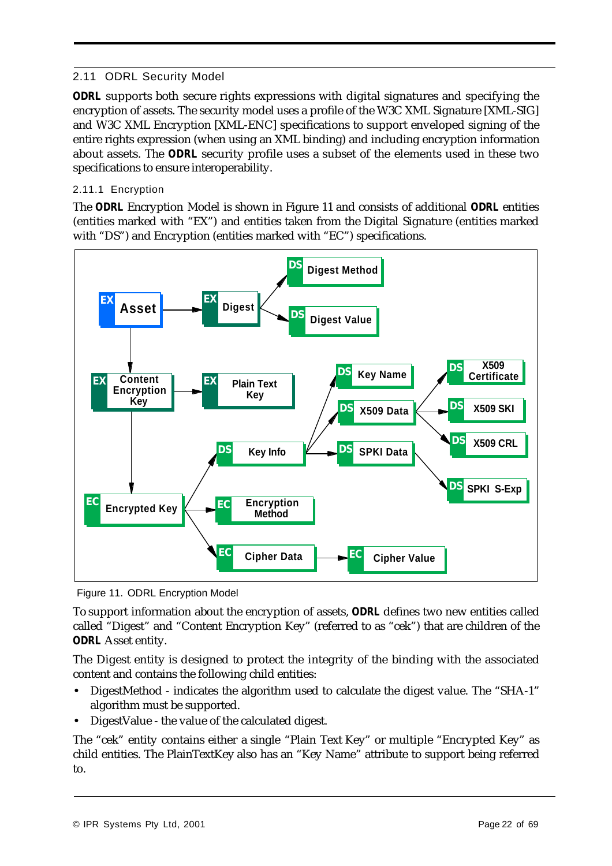# 2.11 ODRL Security Model

*ODRL* supports both secure rights expressions with digital signatures and specifying the encryption of assets. The security model uses a profile of the W3C XML Signature [XML-SIG] and W3C XML Encryption [XML-ENC] specifications to support enveloped signing of the entire rights expression (when using an XML binding) and including encryption information about assets. The *ODRL* security profile uses a subset of the elements used in these two specifications to ensure interoperability.

# 2.11.1 Encryption

The *ODRL* Encryption Model is shown in Figure 11 and consists of additional *ODRL* entities (entities marked with "EX") and entities taken from the Digital Signature (entities marked with "DS") and Encryption (entities marked with "EC") specifications.



Figure 11. ODRL Encryption Model

To support information about the encryption of assets, *ODRL* defines two new entities called called "Digest" and "Content Encryption Key" (referred to as "cek") that are children of the *ODRL* Asset entity.

The Digest entity is designed to protect the integrity of the binding with the associated content and contains the following child entities:

- **•** DigestMethod indicates the algorithm used to calculate the digest value. The "SHA-1" algorithm must be supported.
- **•** DigestValue the value of the calculated digest.

The "cek" entity contains either a single "Plain Text Key" or multiple "Encrypted Key" as child entities. The PlainTextKey also has an "Key Name" attribute to support being referred to.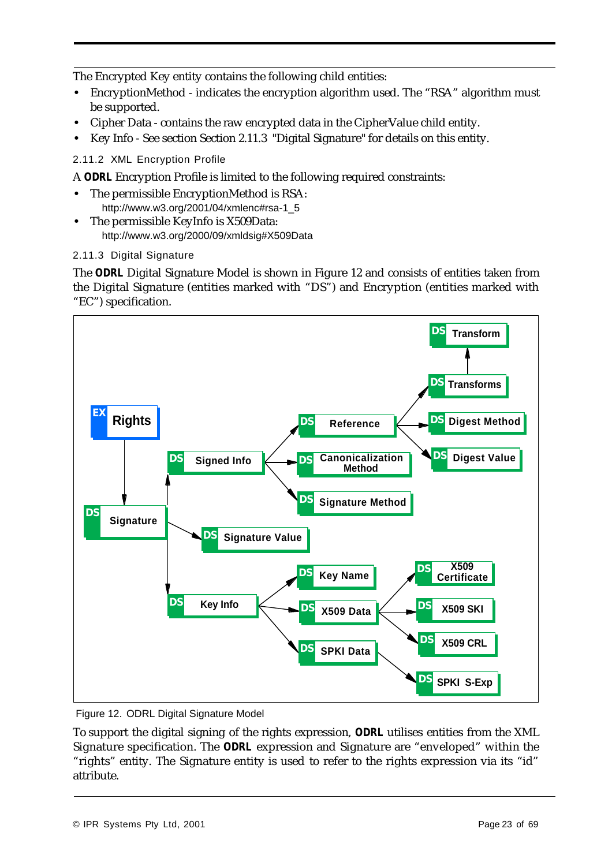The Encrypted Key entity contains the following child entities:

- EncryptionMethod indicates the encryption algorithm used. The "RSA" algorithm must be supported.
- **•** Cipher Data contains the raw encrypted data in the CipherValue child entity.
- **•** Key Info See section Section 2.11.3 "Digital Signature" for details on this entity.

2.11.2 XML Encryption Profile

A *ODRL* Encryption Profile is limited to the following required constraints:

- **•** The permissible EncryptionMethod is RSA: http://www.w3.org/2001/04/xmlenc#rsa-1\_5
- **•** The permissible KeyInfo is X509Data: http://www.w3.org/2000/09/xmldsig#X509Data

#### 2.11.3 Digital Signature

The *ODRL* Digital Signature Model is shown in Figure 12 and consists of entities taken from the Digital Signature (entities marked with "DS") and Encryption (entities marked with "EC") specification.



Figure 12. ODRL Digital Signature Model

To support the digital signing of the rights expression, *ODRL* utilises entities from the XML Signature specification. The *ODRL* expression and Signature are "enveloped" within the "rights" entity. The Signature entity is used to refer to the rights expression via its "id" attribute.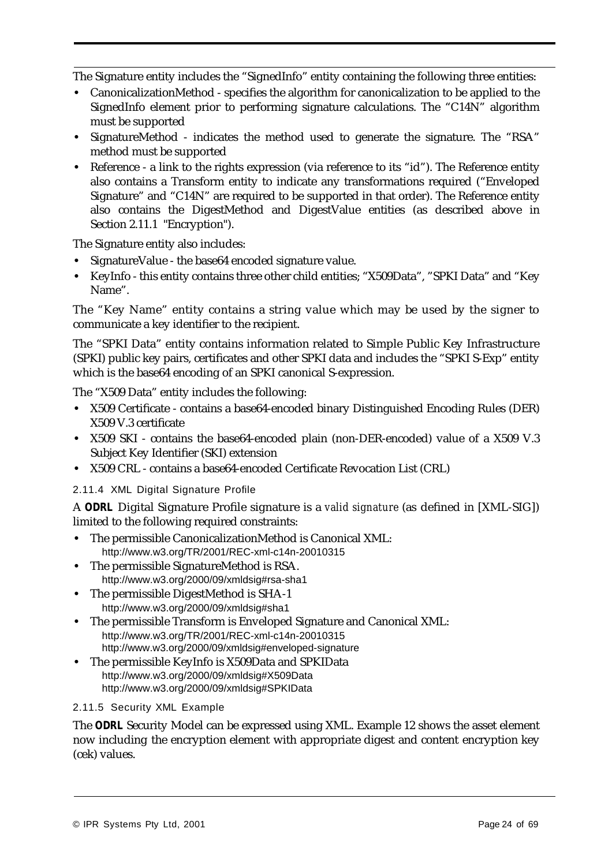The Signature entity includes the "SignedInfo" entity containing the following three entities:

- **•** CanonicalizationMethod specifies the algorithm for canonicalization to be applied to the SignedInfo element prior to performing signature calculations. The "C14N" algorithm must be supported
- **•** SignatureMethod indicates the method used to generate the signature. The "RSA" method must be supported
- **•** Reference a link to the rights expression (via reference to its "id"). The Reference entity also contains a Transform entity to indicate any transformations required ("Enveloped Signature" and "C14N" are required to be supported in that order). The Reference entity also contains the DigestMethod and DigestValue entities (as described above in Section 2.11.1 "Encryption").

The Signature entity also includes:

- **•** SignatureValue the base64 encoded signature value.
- **•** KeyInfo this entity contains three other child entities; "X509Data", "SPKI Data" and "Key Name".

The "Key Name" entity contains a string value which may be used by the signer to communicate a key identifier to the recipient.

The "SPKI Data" entity contains information related to Simple Public Key Infrastructure (SPKI) public key pairs, certificates and other SPKI data and includes the "SPKI S-Exp" entity which is the base64 encoding of an SPKI canonical S-expression.

The "X509 Data" entity includes the following:

- **•** X509 Certificate contains a base64-encoded binary Distinguished Encoding Rules (DER) X509 V.3 certificate
- **•** X509 SKI contains the base64-encoded plain (non-DER-encoded) value of a X509 V.3 Subject Key Identifier (SKI) extension
- **•** X509 CRL contains a base64-encoded Certificate Revocation List (CRL)

2.11.4 XML Digital Signature Profile

A *ODRL* Digital Signature Profile signature is a *valid signature* (as defined in [XML-SIG]) limited to the following required constraints:

- **•** The permissible CanonicalizationMethod is Canonical XML: http://www.w3.org/TR/2001/REC-xml-c14n-20010315
- **•** The permissible SignatureMethod is RSA. http://www.w3.org/2000/09/xmldsig#rsa-sha1
- **•** The permissible DigestMethod is SHA-1 http://www.w3.org/2000/09/xmldsig#sha1
- **•** The permissible Transform is Enveloped Signature and Canonical XML: http://www.w3.org/TR/2001/REC-xml-c14n-20010315 http://www.w3.org/2000/09/xmldsig#enveloped-signature
- **•** The permissible KeyInfo is X509Data and SPKIData http://www.w3.org/2000/09/xmldsig#X509Data http://www.w3.org/2000/09/xmldsig#SPKIData

#### 2.11.5 Security XML Example

The *ODRL* Security Model can be expressed using XML. Example 12 shows the asset element now including the encryption element with appropriate digest and content encryption key (cek) values.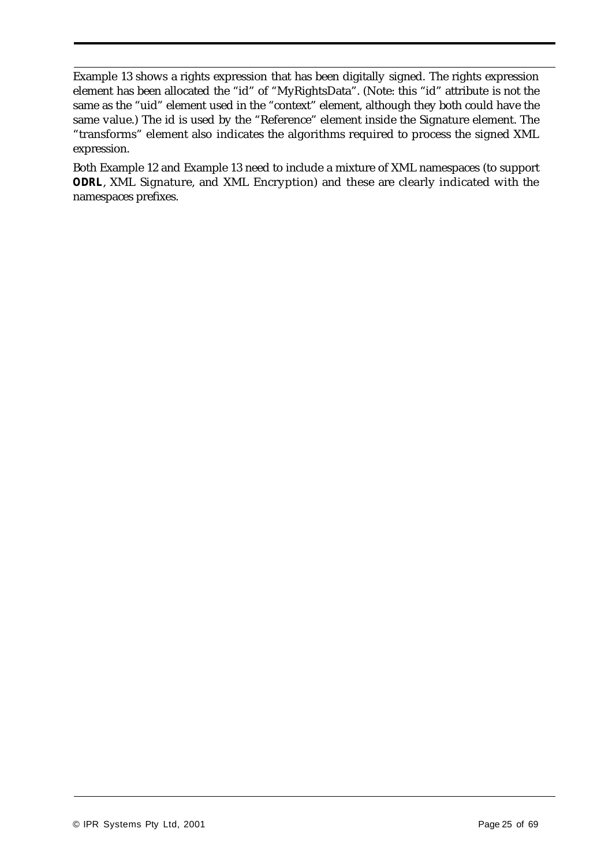Example 13 shows a rights expression that has been digitally signed. The rights expression element has been allocated the "id" of "MyRightsData". (Note: this "id" attribute is not the same as the "uid" element used in the "context" element, although they both could have the same value.) The id is used by the "Reference" element inside the Signature element. The "transforms" element also indicates the algorithms required to process the signed XML expression.

Both Example 12 and Example 13 need to include a mixture of XML namespaces (to support *ODRL*, XML Signature, and XML Encryption) and these are clearly indicated with the namespaces prefixes.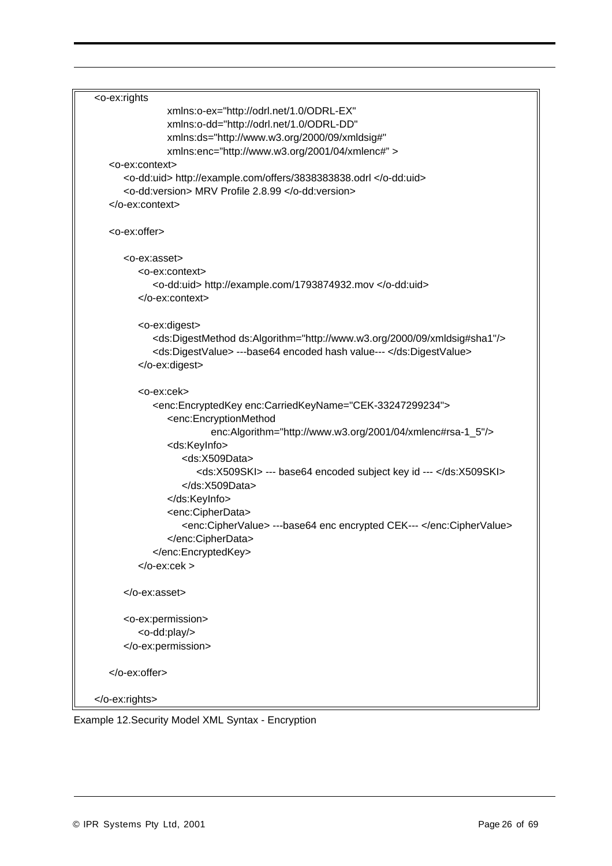```
<o-ex:rights
               xmlns:o-ex="http://odrl.net/1.0/ODRL-EX"
               xmlns:o-dd="http://odrl.net/1.0/ODRL-DD"
               xmlns:ds="http://www.w3.org/2000/09/xmldsig#" 
               xmlns:enc="http://www.w3.org/2001/04/xmlenc#" >
   <o-ex:context>
     <o-dd:uid> http://example.com/offers/3838383838.odrl </o-dd:uid>
     <o-dd:version> MRV Profile 2.8.99 </o-dd:version>
   </o-ex:context> 
   <o-ex:offer>
     <o-ex:asset>
         <o-ex:context>
            <o-dd:uid> http://example.com/1793874932.mov </o-dd:uid>
         </o-ex:context> 
         <o-ex:digest>
            <ds:DigestMethod ds:Algorithm="http://www.w3.org/2000/09/xmldsig#sha1"/>
            <ds:DigestValue> ---base64 encoded hash value--- </ds:DigestValue>
         </o-ex:digest>
         <o-ex:cek>
            <enc:EncryptedKey enc:CarriedKeyName="CEK-33247299234">
               <enc:EncryptionMethod
                        enc:Algorithm="http://www.w3.org/2001/04/xmlenc#rsa-1_5"/>
               <ds:KeyInfo> 
                  <ds:X509Data>
                     <ds:X509SKI> --- base64 encoded subject key id --- </ds:X509SKI>
                  </ds:X509Data>
               </ds:KeyInfo>
               <enc:CipherData>
                  <enc:CipherValue> ---base64 enc encrypted CEK--- </enc:CipherValue>
               </enc:CipherData>
            </enc:EncryptedKey>
         </o-ex:cek >
     </o-ex:asset>
     <o-ex:permission>
         <o-dd:play/>
     </o-ex:permission>
   </o-ex:offer>
</o-ex:rights>
```
Example 12.Security Model XML Syntax - Encryption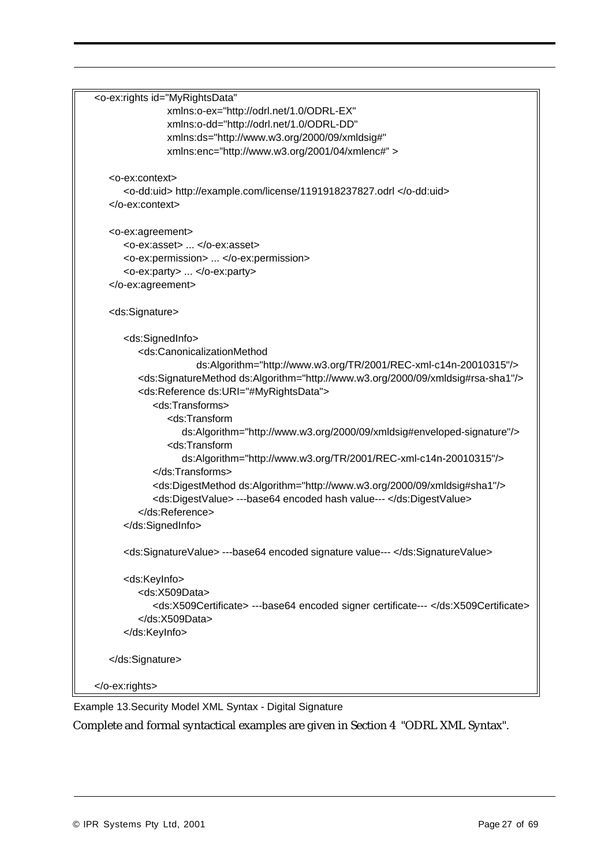```
<o-ex:rights id="MyRightsData"
               xmlns:o-ex="http://odrl.net/1.0/ODRL-EX"
               xmlns:o-dd="http://odrl.net/1.0/ODRL-DD"
               xmlns:ds="http://www.w3.org/2000/09/xmldsig#" 
               xmlns:enc="http://www.w3.org/2001/04/xmlenc#" >
   <o-ex:context>
     <o-dd:uid> http://example.com/license/1191918237827.odrl </o-dd:uid>
   </o-ex:context> 
  <o-ex:agreement>
     <o-ex:asset> ... </o-ex:asset>
     <o-ex:permission> ... </o-ex:permission>
      <o-ex:party> ... </o-ex:party>
   </o-ex:agreement>
   <ds:Signature>
     <ds:SignedInfo>
         <ds:CanonicalizationMethod 
                     ds:Algorithm="http://www.w3.org/TR/2001/REC-xml-c14n-20010315"/>
         <ds:SignatureMethod ds:Algorithm="http://www.w3.org/2000/09/xmldsig#rsa-sha1"/>
         <ds:Reference ds:URI="#MyRightsData">
            <ds:Transforms>
               <ds:Transform
                  ds:Algorithm="http://www.w3.org/2000/09/xmldsig#enveloped-signature"/>
               <ds:Transform
                  ds:Algorithm="http://www.w3.org/TR/2001/REC-xml-c14n-20010315"/>
            </ds:Transforms>
            <ds:DigestMethod ds:Algorithm="http://www.w3.org/2000/09/xmldsig#sha1"/>
            <ds:DigestValue> ---base64 encoded hash value--- </ds:DigestValue>
         </ds:Reference>
     </ds:SignedInfo>
     <ds:SignatureValue> ---base64 encoded signature value--- </ds:SignatureValue>
     <ds:KeyInfo>
         <ds:X509Data>
            <ds:X509Certificate> ---base64 encoded signer certificate--- </ds:X509Certificate>
         </ds:X509Data>
     </ds:KeyInfo>
  </ds:Signature>
</o-ex:rights>
```
Example 13.Security Model XML Syntax - Digital Signature

Complete and formal syntactical examples are given in Section 4 "ODRL XML Syntax".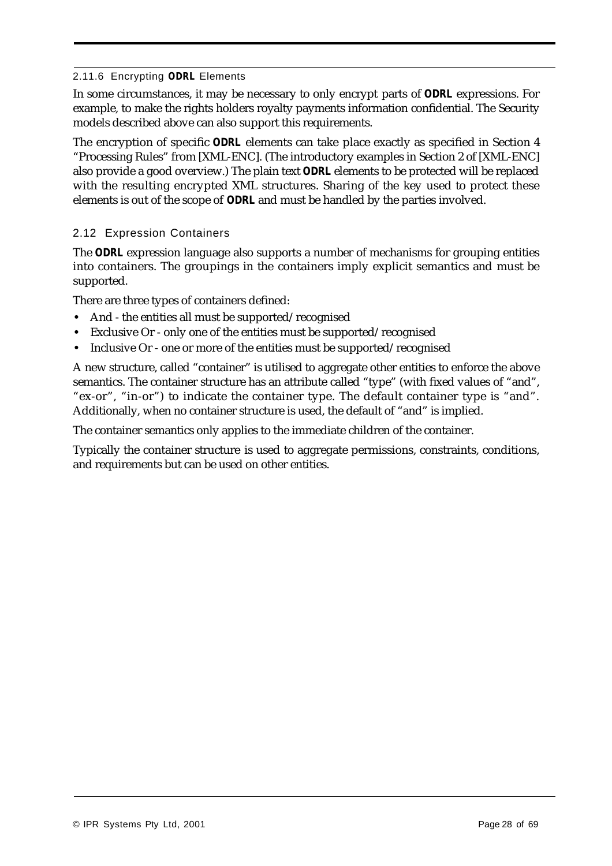#### 2.11.6 Encrypting *ODRL* Elements

In some circumstances, it may be necessary to only encrypt parts of *ODRL* expressions. For example, to make the rights holders royalty payments information confidential. The Security models described above can also support this requirements.

The encryption of specific *ODRL* elements can take place exactly as specified in Section 4 "Processing Rules" from [XML-ENC]. (The introductory examples in Section 2 of [XML-ENC] also provide a good overview.) The plain text *ODRL* elements to be protected will be replaced with the resulting encrypted XML structures. Sharing of the key used to protect these elements is out of the scope of *ODRL* and must be handled by the parties involved.

## 2.12 Expression Containers

The *ODRL* expression language also supports a number of mechanisms for grouping entities into containers. The groupings in the containers imply explicit semantics and must be supported.

There are three types of containers defined:

- **•** And the entities all must be supported/recognised
- **•** Exclusive Or only one of the entities must be supported/recognised
- Inclusive Or one or more of the entities must be supported/recognised

A new structure, called "container" is utilised to aggregate other entities to enforce the above semantics. The container structure has an attribute called "type" (with fixed values of "and", "ex-or", "in-or") to indicate the container type. The default container type is "and". Additionally, when no container structure is used, the default of "and" is implied.

The container semantics only applies to the immediate children of the container.

Typically the container structure is used to aggregate permissions, constraints, conditions, and requirements but can be used on other entities.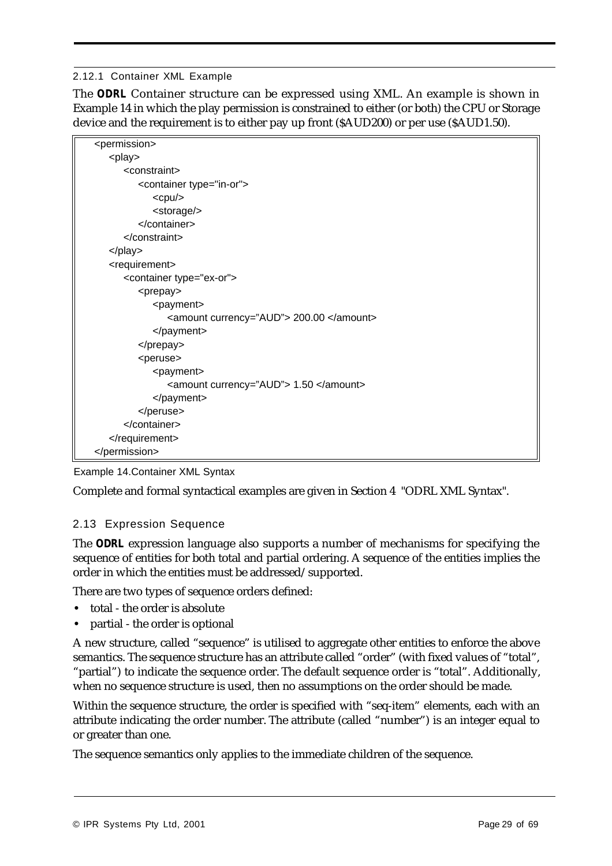#### 2.12.1 Container XML Example

The *ODRL* Container structure can be expressed using XML. An example is shown in Example 14 in which the play permission is constrained to either (or both) the CPU or Storage device and the requirement is to either pay up front (\$AUD200) or per use (\$AUD1.50).

| <permission></permission>                |
|------------------------------------------|
| <play></play>                            |
| <constraint></constraint>                |
| <container type="in-or"></container>     |
| <cpu></cpu>                              |
| <storage></storage>                      |
|                                          |
| $<$ /constraint>                         |
|                                          |
| <requirement></requirement>              |
| <container type="ex-or"></container>     |
| <prepay></prepay>                        |
| <payment></payment>                      |
| <amount currency="AUD"> 200.00 </amount> |
|                                          |
|                                          |
| <peruse></peruse>                        |
| <payment></payment>                      |
| <amount currency="AUD"> 1.50 </amount>   |
|                                          |
|                                          |
|                                          |
|                                          |
|                                          |

Example 14.Container XML Syntax

Complete and formal syntactical examples are given in Section 4 "ODRL XML Syntax".

# 2.13 Expression Sequence

The *ODRL* expression language also supports a number of mechanisms for specifying the sequence of entities for both total and partial ordering. A sequence of the entities implies the order in which the entities must be addressed/supported.

There are two types of sequence orders defined:

- **•** total the order is absolute
- **•** partial the order is optional

A new structure, called "sequence" is utilised to aggregate other entities to enforce the above semantics. The sequence structure has an attribute called "order" (with fixed values of "total", "partial") to indicate the sequence order. The default sequence order is "total". Additionally, when no sequence structure is used, then no assumptions on the order should be made.

Within the sequence structure, the order is specified with "seq-item" elements, each with an attribute indicating the order number. The attribute (called "number") is an integer equal to or greater than one.

The sequence semantics only applies to the immediate children of the sequence.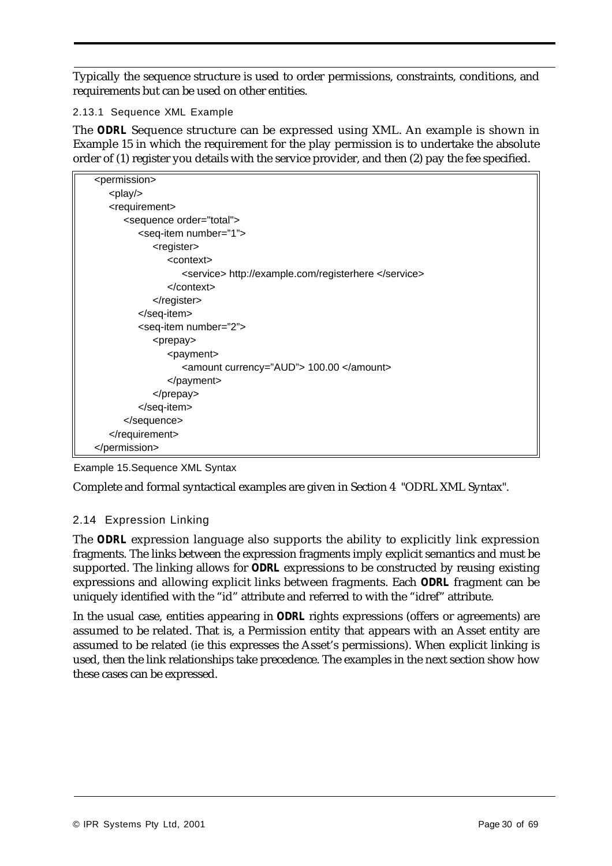Typically the sequence structure is used to order permissions, constraints, conditions, and requirements but can be used on other entities.

2.13.1 Sequence XML Example

The *ODRL* Sequence structure can be expressed using XML. An example is shown in Example 15 in which the requirement for the play permission is to undertake the absolute order of (1) register you details with the service provider, and then (2) pay the fee specified.

| <permission></permission>                            |
|------------------------------------------------------|
| <play></play>                                        |
| <requirement></requirement>                          |
| <sequence order="total"></sequence>                  |
| <seq-item number="1"></seq-item>                     |
| <register></register>                                |
| <context></context>                                  |
| <service> http://example.com/registerhere </service> |
| $<$ /context>                                        |
| $\alpha$ register                                    |
|                                                      |
| <seq-item number="2"></seq-item>                     |
| <prepay></prepay>                                    |
| <payment></payment>                                  |
| <amount currency="AUD"> 100.00 </amount>             |
|                                                      |
|                                                      |
|                                                      |
|                                                      |
|                                                      |
|                                                      |

Example 15.Sequence XML Syntax

Complete and formal syntactical examples are given in Section 4 "ODRL XML Syntax".

# 2.14 Expression Linking

The *ODRL* expression language also supports the ability to explicitly link expression fragments. The links between the expression fragments imply explicit semantics and must be supported. The linking allows for *ODRL* expressions to be constructed by reusing existing expressions and allowing explicit links between fragments. Each *ODRL* fragment can be uniquely identified with the "id" attribute and referred to with the "idref" attribute.

In the usual case, entities appearing in *ODRL* rights expressions (offers or agreements) are assumed to be related. That is, a Permission entity that appears with an Asset entity are assumed to be related (ie this expresses the Asset's permissions). When explicit linking is used, then the link relationships take precedence. The examples in the next section show how these cases can be expressed.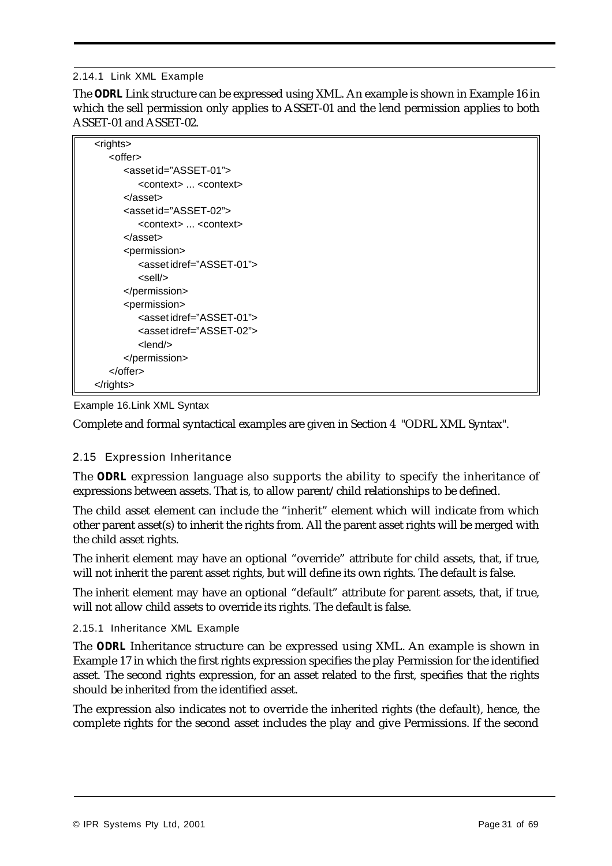#### 2.14.1 Link XML Example

The *ODRL* Link structure can be expressed using XML. An example is shown in Example 16 in which the sell permission only applies to ASSET-01 and the lend permission applies to both ASSET-01 and ASSET-02.

| <rights></rights>                               |
|-------------------------------------------------|
| <offer></offer>                                 |
| <asset id="ASSET-01"></asset>                   |
| <context> <context></context></context>         |
| $<$ /asset $>$                                  |
| <asset id="ASSET-02"></asset>                   |
| <context> <context></context></context>         |
| $<$ /asset $>$                                  |
| <permission></permission>                       |
| <assetidref="asset-01"></assetidref="asset-01"> |
| <sell></sell>                                   |
|                                                 |
| <permission></permission>                       |
| <asset idref="ASSET-01"></asset>                |
| <asset idref="ASSET-02"></asset>                |
| $<$ lend $>$                                    |
|                                                 |
|                                                 |
| $\alpha$ /rights>                               |

#### Example 16.Link XML Syntax

Complete and formal syntactical examples are given in Section 4 "ODRL XML Syntax".

#### 2.15 Expression Inheritance

The *ODRL* expression language also supports the ability to specify the inheritance of expressions between assets. That is, to allow parent/child relationships to be defined.

The child asset element can include the "inherit" element which will indicate from which other parent asset(s) to inherit the rights from. All the parent asset rights will be merged with the child asset rights.

The inherit element may have an optional "override" attribute for child assets, that, if true, will not inherit the parent asset rights, but will define its own rights. The default is false.

The inherit element may have an optional "default" attribute for parent assets, that, if true, will not allow child assets to override its rights. The default is false.

#### 2.15.1 Inheritance XML Example

The *ODRL* Inheritance structure can be expressed using XML. An example is shown in Example 17 in which the first rights expression specifies the play Permission for the identified asset. The second rights expression, for an asset related to the first, specifies that the rights should be inherited from the identified asset.

The expression also indicates not to override the inherited rights (the default), hence, the complete rights for the second asset includes the play and give Permissions. If the second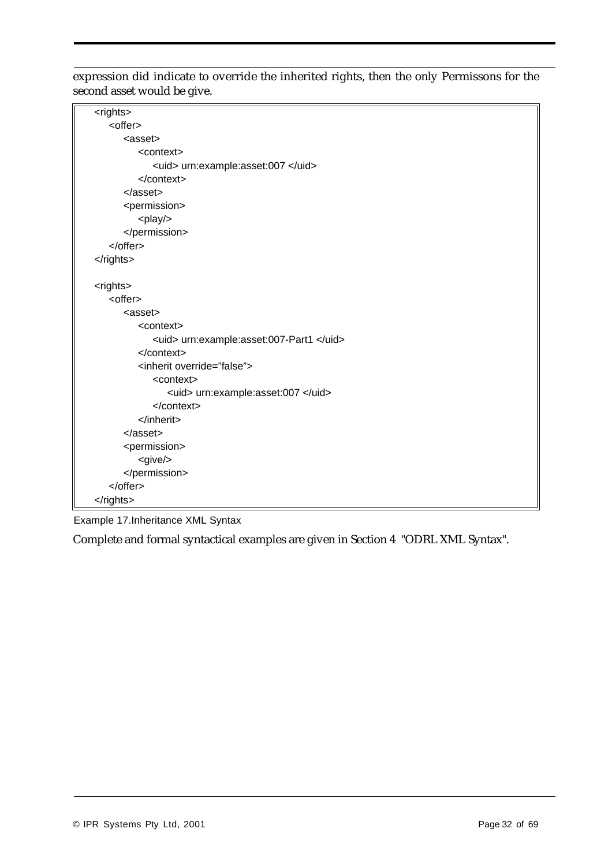expression did indicate to override the inherited rights, then the only Permissons for the second asset would be give.

| <rights></rights>                        |
|------------------------------------------|
| <offer></offer>                          |
| <asset></asset>                          |
| <context></context>                      |
| <uid> urn:example:asset:007 </uid>       |
| $<$ /context>                            |
| $<$ /asset $>$                           |
| <permission></permission>                |
| <play></play>                            |
|                                          |
|                                          |
|                                          |
|                                          |
| <rights></rights>                        |
| <offer></offer>                          |
| <asset></asset>                          |
| <context></context>                      |
| <uid> urn:example:asset:007-Part1 </uid> |
|                                          |
| <inherit override="false"></inherit>     |
| <context></context>                      |
| <uid> urn:example:asset:007 </uid>       |
|                                          |
| $\langle$ inherit>                       |
| $<$ /asset $>$                           |
| <permission></permission>                |
| <give></give>                            |
|                                          |
|                                          |
|                                          |

Example 17.Inheritance XML Syntax

Complete and formal syntactical examples are given in Section 4 "ODRL XML Syntax".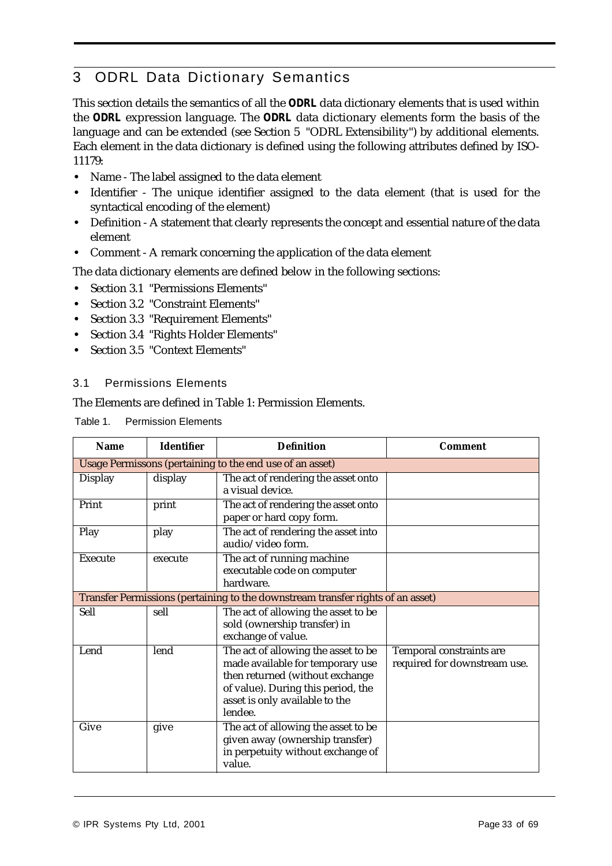# 3 ODRL Data Dictionary Semantics

This section details the semantics of all the *ODRL* data dictionary elements that is used within the *ODRL* expression language. The *ODRL* data dictionary elements form the basis of the language and can be extended (see Section 5 "ODRL Extensibility") by additional elements. Each element in the data dictionary is defined using the following attributes defined by ISO-11179:

- **•** Name The label assigned to the data element
- **•** Identifier The unique identifier assigned to the data element (that is used for the syntactical encoding of the element)
- **•** Definition A statement that clearly represents the concept and essential nature of the data element
- **•** Comment A remark concerning the application of the data element

The data dictionary elements are defined below in the following sections:

- **•** Section 3.1 "Permissions Elements"
- **•** Section 3.2 "Constraint Elements"
- **•** Section 3.3 "Requirement Elements"
- **•** Section 3.4 "Rights Holder Elements"
- **•** Section 3.5 "Context Elements"

#### 3.1 Permissions Elements

The Elements are defined in Table 1: Permission Elements.

Table 1. Permission Elements

| <b>Name</b>    | <b>Identifier</b>                                                               | <b>Definition</b>                                                                                                                                                                             | Comment                                                         |  |  |
|----------------|---------------------------------------------------------------------------------|-----------------------------------------------------------------------------------------------------------------------------------------------------------------------------------------------|-----------------------------------------------------------------|--|--|
|                |                                                                                 | Usage Permissons (pertaining to the end use of an asset)                                                                                                                                      |                                                                 |  |  |
| <b>Display</b> | display                                                                         | The act of rendering the asset onto<br>a visual device.                                                                                                                                       |                                                                 |  |  |
| Print          | print                                                                           | The act of rendering the asset onto<br>paper or hard copy form.                                                                                                                               |                                                                 |  |  |
| Play           | play                                                                            | The act of rendering the asset into<br>audio/video form.                                                                                                                                      |                                                                 |  |  |
| <b>Execute</b> | execute                                                                         | The act of running machine<br>executable code on computer<br>hardware.                                                                                                                        |                                                                 |  |  |
|                | Transfer Permissions (pertaining to the downstream transfer rights of an asset) |                                                                                                                                                                                               |                                                                 |  |  |
| <b>Sell</b>    | sell                                                                            | The act of allowing the asset to be<br>sold (ownership transfer) in<br>exchange of value.                                                                                                     |                                                                 |  |  |
| Lend           | lend                                                                            | The act of allowing the asset to be<br>made available for temporary use<br>then returned (without exchange<br>of value). During this period, the<br>asset is only available to the<br>lendee. | <b>Temporal constraints are</b><br>required for downstream use. |  |  |
| Give           | give                                                                            | The act of allowing the asset to be<br>given away (ownership transfer)<br>in perpetuity without exchange of<br>value.                                                                         |                                                                 |  |  |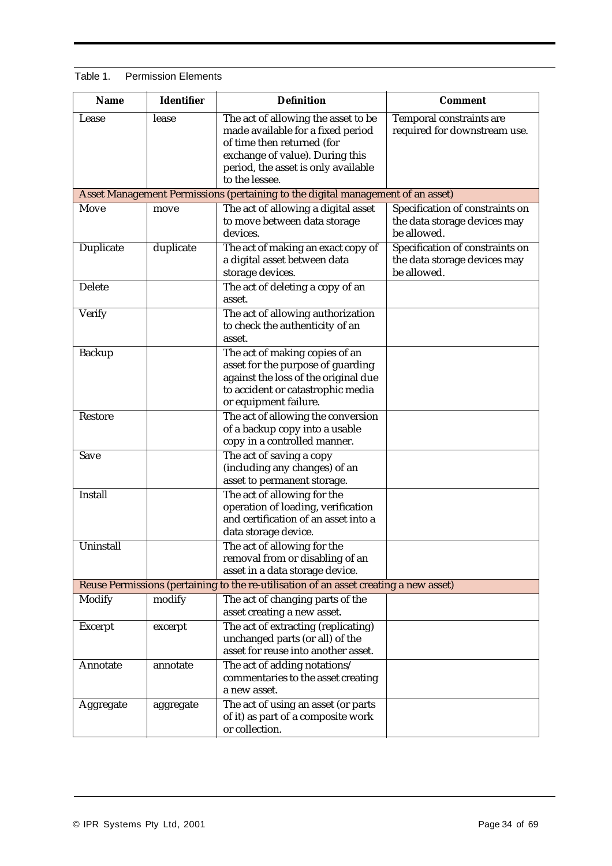| <b>Name</b>      | <b>Identifier</b> | <b>Definition</b>                                                                                                                                                                                  | <b>Comment</b>                                                                 |
|------------------|-------------------|----------------------------------------------------------------------------------------------------------------------------------------------------------------------------------------------------|--------------------------------------------------------------------------------|
| Lease            | lease             | The act of allowing the asset to be<br>made available for a fixed period<br>of time then returned (for<br>exchange of value). During this<br>period, the asset is only available<br>to the lessee. | Temporal constraints are<br>required for downstream use.                       |
|                  |                   | Asset Management Permissions (pertaining to the digital management of an asset)                                                                                                                    |                                                                                |
| Move             | move              | The act of allowing a digital asset<br>to move between data storage<br>devices.                                                                                                                    | Specification of constraints on<br>the data storage devices may<br>be allowed. |
| <b>Duplicate</b> | duplicate         | The act of making an exact copy of<br>a digital asset between data<br>storage devices.                                                                                                             | Specification of constraints on<br>the data storage devices may<br>be allowed. |
| <b>Delete</b>    |                   | The act of deleting a copy of an<br>asset.                                                                                                                                                         |                                                                                |
| <b>Verify</b>    |                   | The act of allowing authorization<br>to check the authenticity of an<br>asset.                                                                                                                     |                                                                                |
| <b>Backup</b>    |                   | The act of making copies of an<br>asset for the purpose of guarding<br>against the loss of the original due<br>to accident or catastrophic media<br>or equipment failure.                          |                                                                                |
| <b>Restore</b>   |                   | The act of allowing the conversion<br>of a backup copy into a usable<br>copy in a controlled manner.                                                                                               |                                                                                |
| Save             |                   | The act of saving a copy<br>(including any changes) of an<br>asset to permanent storage.                                                                                                           |                                                                                |
| <b>Install</b>   |                   | The act of allowing for the<br>operation of loading, verification<br>and certification of an asset into a<br>data storage device.                                                                  |                                                                                |
| Uninstall        |                   | The act of allowing for the<br>removal from or disabling of an<br>asset in a data storage device.                                                                                                  |                                                                                |
|                  |                   | Reuse Permissions (pertaining to the re-utilisation of an asset creating a new asset)                                                                                                              |                                                                                |
| <b>Modify</b>    | modify            | The act of changing parts of the<br>asset creating a new asset.                                                                                                                                    |                                                                                |
| <b>Excerpt</b>   | excerpt           | The act of extracting (replicating)<br>unchanged parts (or all) of the<br>asset for reuse into another asset.                                                                                      |                                                                                |
| Annotate         | annotate          | The act of adding notations/<br>commentaries to the asset creating<br>a new asset.                                                                                                                 |                                                                                |
| Aggregate        | aggregate         | The act of using an asset (or parts<br>of it) as part of a composite work<br>or collection.                                                                                                        |                                                                                |

#### Table 1. Permission Elements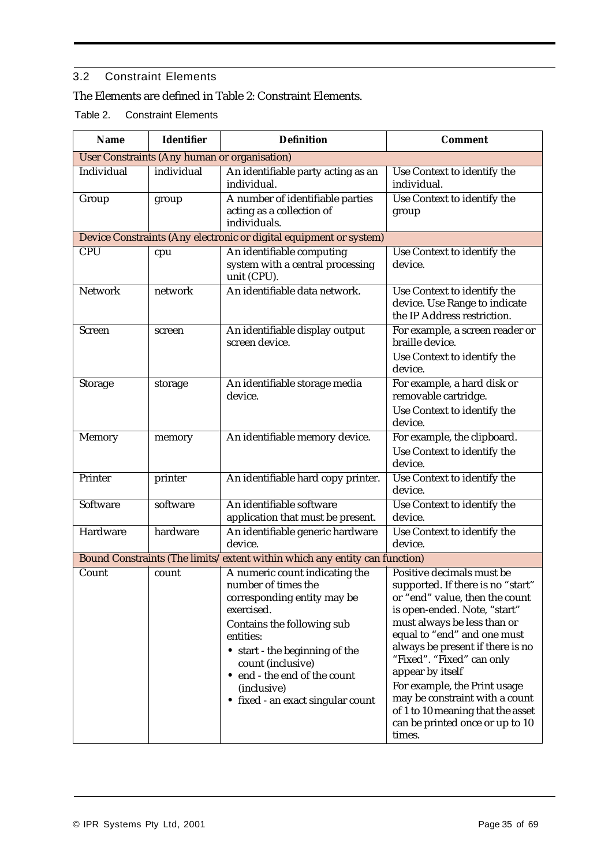# 3.2 Constraint Elements

# The Elements are defined in Table 2: Constraint Elements.

Table 2. Constraint Elements

| <b>Name</b>    | <b>Identifier</b> | <b>Definition</b>                                                                                                                                                                                                                                                                        | <b>Comment</b>                                                                                                                                                                                                                                                                                                                                                                                                                          |
|----------------|-------------------|------------------------------------------------------------------------------------------------------------------------------------------------------------------------------------------------------------------------------------------------------------------------------------------|-----------------------------------------------------------------------------------------------------------------------------------------------------------------------------------------------------------------------------------------------------------------------------------------------------------------------------------------------------------------------------------------------------------------------------------------|
|                |                   | <b>User Constraints (Any human or organisation)</b>                                                                                                                                                                                                                                      |                                                                                                                                                                                                                                                                                                                                                                                                                                         |
| Individual     | individual        | An identifiable party acting as an<br>individual.                                                                                                                                                                                                                                        | Use Context to identify the<br>individual.                                                                                                                                                                                                                                                                                                                                                                                              |
| Group          | group             | A number of identifiable parties<br>acting as a collection of<br>individuals.                                                                                                                                                                                                            | Use Context to identify the<br>group                                                                                                                                                                                                                                                                                                                                                                                                    |
|                |                   | Device Constraints (Any electronic or digital equipment or system)                                                                                                                                                                                                                       |                                                                                                                                                                                                                                                                                                                                                                                                                                         |
| <b>CPU</b>     | cpu               | An identifiable computing<br>system with a central processing<br>unit (CPU).                                                                                                                                                                                                             | Use Context to identify the<br>device.                                                                                                                                                                                                                                                                                                                                                                                                  |
| <b>Network</b> | network           | An identifiable data network.                                                                                                                                                                                                                                                            | Use Context to identify the<br>device. Use Range to indicate<br>the IP Address restriction.                                                                                                                                                                                                                                                                                                                                             |
| <b>Screen</b>  | screen            | An identifiable display output<br>screen device.                                                                                                                                                                                                                                         | For example, a screen reader or<br>braille device.<br>Use Context to identify the<br>device.                                                                                                                                                                                                                                                                                                                                            |
| <b>Storage</b> | storage           | An identifiable storage media<br>device.                                                                                                                                                                                                                                                 | For example, a hard disk or<br>removable cartridge.<br>Use Context to identify the<br>device.                                                                                                                                                                                                                                                                                                                                           |
| <b>Memory</b>  | memory            | An identifiable memory device.                                                                                                                                                                                                                                                           | For example, the clipboard.<br>Use Context to identify the<br>device.                                                                                                                                                                                                                                                                                                                                                                   |
| Printer        | printer           | An identifiable hard copy printer.                                                                                                                                                                                                                                                       | Use Context to identify the<br>device.                                                                                                                                                                                                                                                                                                                                                                                                  |
| Software       | software          | An identifiable software<br>application that must be present.                                                                                                                                                                                                                            | Use Context to identify the<br>device.                                                                                                                                                                                                                                                                                                                                                                                                  |
| Hardware       | hardware          | An identifiable generic hardware<br>device.                                                                                                                                                                                                                                              | Use Context to identify the<br>device.                                                                                                                                                                                                                                                                                                                                                                                                  |
|                |                   | Bound Constraints (The limits/extent within which any entity can function)                                                                                                                                                                                                               |                                                                                                                                                                                                                                                                                                                                                                                                                                         |
| Count          | count             | A numeric count indicating the<br>number of times the<br>corresponding entity may be<br>exercised.<br>Contains the following sub<br>entities:<br>• start - the beginning of the<br>count (inclusive)<br>• end - the end of the count<br>(inclusive)<br>• fixed - an exact singular count | Positive decimals must be<br>supported. If there is no "start"<br>or "end" value, then the count<br>is open-ended. Note, "start"<br>must always be less than or<br>equal to "end" and one must<br>always be present if there is no<br>"Fixed". "Fixed" can only<br>appear by itself<br>For example, the Print usage<br>may be constraint with a count<br>of 1 to 10 meaning that the asset<br>can be printed once or up to 10<br>times. |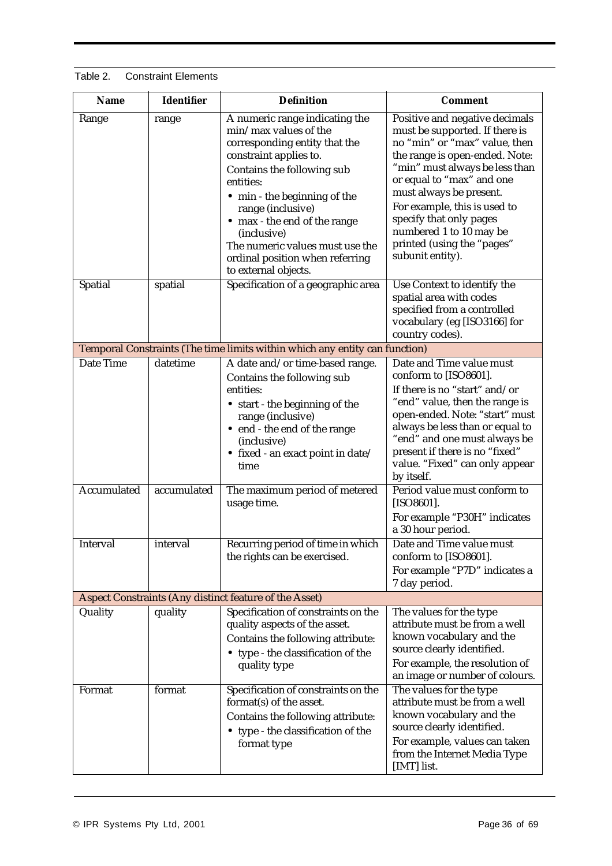Table 2. Constraint Elements

| <b>Name</b>                                        | <b>Identifier</b>                                             | <b>Definition</b>                                                                                                                                                                                                                                                                                                                                               | <b>Comment</b>                                                                                                                                                                                                                                                                                                                                                                                                                                |  |  |
|----------------------------------------------------|---------------------------------------------------------------|-----------------------------------------------------------------------------------------------------------------------------------------------------------------------------------------------------------------------------------------------------------------------------------------------------------------------------------------------------------------|-----------------------------------------------------------------------------------------------------------------------------------------------------------------------------------------------------------------------------------------------------------------------------------------------------------------------------------------------------------------------------------------------------------------------------------------------|--|--|
| Range                                              | range                                                         | A numeric range indicating the<br>min/max values of the<br>corresponding entity that the<br>constraint applies to.<br>Contains the following sub<br>entities:<br>• min - the beginning of the<br>range (inclusive)<br>• max - the end of the range<br>(inclusive)<br>The numeric values must use the<br>ordinal position when referring<br>to external objects. | Positive and negative decimals<br>must be supported. If there is<br>no "min" or "max" value, then<br>the range is open-ended. Note:<br>"min" must always be less than<br>or equal to "max" and one<br>must always be present.<br>For example, this is used to<br>specify that only pages<br>numbered 1 to 10 may be<br>printed (using the "pages"<br>subunit entity).                                                                         |  |  |
| Spatial                                            | spatial                                                       | Specification of a geographic area                                                                                                                                                                                                                                                                                                                              | Use Context to identify the<br>spatial area with codes<br>specified from a controlled<br>vocabulary (eg [ISO3166] for<br>country codes).                                                                                                                                                                                                                                                                                                      |  |  |
|                                                    |                                                               | Temporal Constraints (The time limits within which any entity can function)                                                                                                                                                                                                                                                                                     |                                                                                                                                                                                                                                                                                                                                                                                                                                               |  |  |
| <b>Date Time</b><br><b>Accumulated</b><br>Interval | datetime<br>accumulated<br>interval                           | A date and/or time-based range.<br>Contains the following sub<br>entities:<br>• start - the beginning of the<br>range (inclusive)<br>• end - the end of the range<br>(inclusive)<br>• fixed - an exact point in date/<br>time<br>The maximum period of metered<br>usage time.<br>Recurring period of time in which                                              | Date and Time value must<br>conform to [ISO8601].<br>If there is no "start" and/or<br>"end" value, then the range is<br>open-ended. Note: "start" must<br>always be less than or equal to<br>"end" and one must always be<br>present if there is no "fixed"<br>value. "Fixed" can only appear<br>by itself.<br>Period value must conform to<br>$[ISO8601]$ .<br>For example "P30H" indicates<br>a 30 hour period.<br>Date and Time value must |  |  |
|                                                    |                                                               | the rights can be exercised.                                                                                                                                                                                                                                                                                                                                    | conform to [ISO8601].<br>For example "P7D" indicates a<br>7 day period.                                                                                                                                                                                                                                                                                                                                                                       |  |  |
|                                                    | <b>Aspect Constraints (Any distinct feature of the Asset)</b> |                                                                                                                                                                                                                                                                                                                                                                 |                                                                                                                                                                                                                                                                                                                                                                                                                                               |  |  |
| Quality                                            | quality                                                       | Specification of constraints on the<br>quality aspects of the asset.<br>Contains the following attribute:<br>• type - the classification of the<br>quality type                                                                                                                                                                                                 | The values for the type<br>attribute must be from a well<br>known vocabulary and the<br>source clearly identified.<br>For example, the resolution of<br>an image or number of colours.                                                                                                                                                                                                                                                        |  |  |
| Format                                             | format                                                        | Specification of constraints on the<br>format(s) of the asset.<br>Contains the following attribute:<br>• type - the classification of the<br>format type                                                                                                                                                                                                        | The values for the type<br>attribute must be from a well<br>known vocabulary and the<br>source clearly identified.<br>For example, values can taken<br>from the Internet Media Type<br>[IMT] list.                                                                                                                                                                                                                                            |  |  |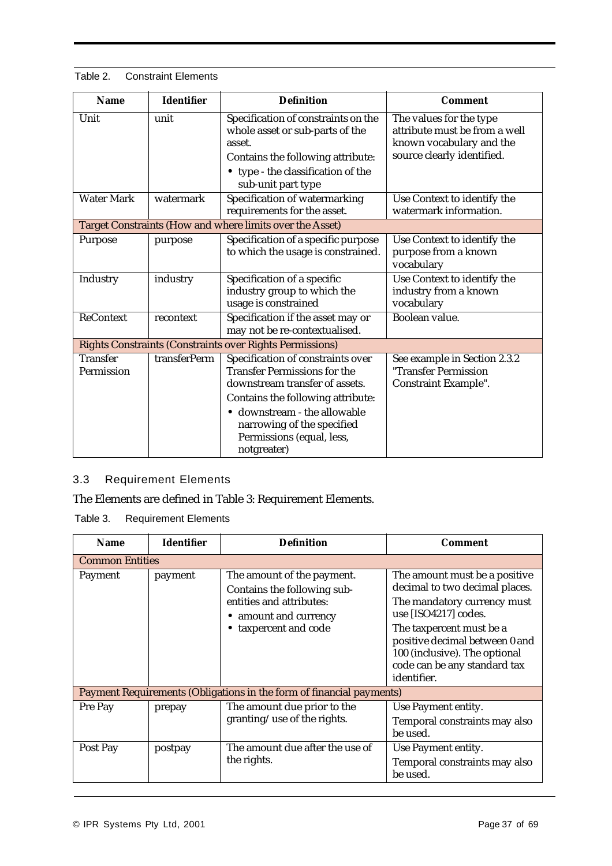| Table 2.<br><b>Constraint Elements</b> |  |
|----------------------------------------|--|
|----------------------------------------|--|

| <b>Name</b>                   | <b>Identifier</b> | <b>Definition</b>                                                                                                                                                                                                                                         | <b>Comment</b>                                                                                                     |
|-------------------------------|-------------------|-----------------------------------------------------------------------------------------------------------------------------------------------------------------------------------------------------------------------------------------------------------|--------------------------------------------------------------------------------------------------------------------|
| Unit                          | unit              | Specification of constraints on the<br>whole asset or sub-parts of the<br>asset.<br>Contains the following attribute:<br>• type - the classification of the<br>sub-unit part type                                                                         | The values for the type<br>attribute must be from a well<br>known vocabulary and the<br>source clearly identified. |
| <b>Water Mark</b>             | watermark         | Specification of watermarking<br>requirements for the asset.                                                                                                                                                                                              | Use Context to identify the<br>watermark information.                                                              |
|                               |                   | Target Constraints (How and where limits over the Asset)                                                                                                                                                                                                  |                                                                                                                    |
| Purpose                       | purpose           | Specification of a specific purpose<br>to which the usage is constrained.                                                                                                                                                                                 | Use Context to identify the<br>purpose from a known<br>vocabulary                                                  |
| Industry                      | industry          | Specification of a specific<br>industry group to which the<br>usage is constrained                                                                                                                                                                        | Use Context to identify the<br>industry from a known<br>vocabulary                                                 |
| <b>ReContext</b>              | recontext         | Specification if the asset may or<br>may not be re-contextualised.                                                                                                                                                                                        | Boolean value.                                                                                                     |
|                               |                   | <b>Rights Constraints (Constraints over Rights Permissions)</b>                                                                                                                                                                                           |                                                                                                                    |
| <b>Transfer</b><br>Permission | transferPerm      | Specification of constraints over<br><b>Transfer Permissions for the</b><br>downstream transfer of assets.<br>Contains the following attribute:<br>· downstream - the allowable<br>narrowing of the specified<br>Permissions (equal, less,<br>notgreater) | See example in Section 2.3.2<br>"Transfer Permission<br><b>Constraint Example".</b>                                |

## 3.3 Requirement Elements

The Elements are defined in Table 3: Requirement Elements.

Table 3. Requirement Elements

| <b>Name</b>                                                          | <b>Identifier</b> | <b>Definition</b>                                                                                                                       | <b>Comment</b>                                                                                                                                                                                                                                                       |  |
|----------------------------------------------------------------------|-------------------|-----------------------------------------------------------------------------------------------------------------------------------------|----------------------------------------------------------------------------------------------------------------------------------------------------------------------------------------------------------------------------------------------------------------------|--|
| <b>Common Entities</b>                                               |                   |                                                                                                                                         |                                                                                                                                                                                                                                                                      |  |
| Payment                                                              | payment           | The amount of the payment.<br>Contains the following sub-<br>entities and attributes:<br>• amount and currency<br>• taxpercent and code | The amount must be a positive<br>decimal to two decimal places.<br>The mandatory currency must<br>use [ISO4217] codes.<br>The taxpercent must be a<br>positive decimal between 0 and<br>100 (inclusive). The optional<br>code can be any standard tax<br>identifier. |  |
| Payment Requirements (Obligations in the form of financial payments) |                   |                                                                                                                                         |                                                                                                                                                                                                                                                                      |  |
| Pre Pay                                                              | prepay            | The amount due prior to the<br>granting/use of the rights.                                                                              | Use Payment entity.<br>Temporal constraints may also<br>be used.                                                                                                                                                                                                     |  |
| Post Pay                                                             | postpay           | The amount due after the use of<br>the rights.                                                                                          | Use Payment entity.<br>Temporal constraints may also<br>be used.                                                                                                                                                                                                     |  |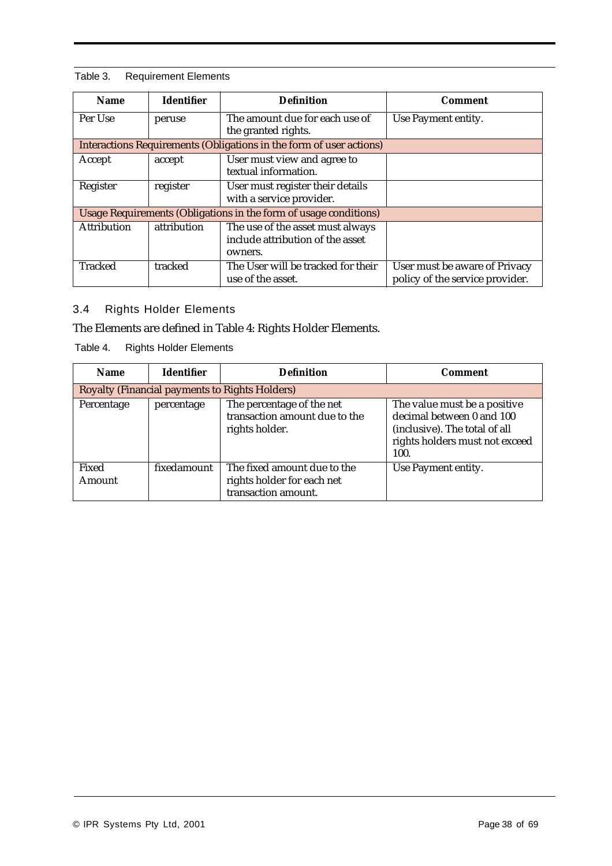#### Table 3. Requirement Elements

| <b>Name</b>                                                      | <b>Identifier</b> | <b>Definition</b>                                                               | Comment                                                          |  |
|------------------------------------------------------------------|-------------------|---------------------------------------------------------------------------------|------------------------------------------------------------------|--|
| Per Use                                                          | peruse            | The amount due for each use of<br>the granted rights.                           | Use Payment entity.                                              |  |
|                                                                  |                   | Interactions Requirements (Obligations in the form of user actions)             |                                                                  |  |
| Accept                                                           | accept            | User must view and agree to<br>textual information.                             |                                                                  |  |
| Register                                                         | register          | User must register their details<br>with a service provider.                    |                                                                  |  |
| Usage Requirements (Obligations in the form of usage conditions) |                   |                                                                                 |                                                                  |  |
| <b>Attribution</b>                                               | attribution       | The use of the asset must always<br>include attribution of the asset<br>owners. |                                                                  |  |
| <b>Tracked</b>                                                   | tracked           | The User will be tracked for their<br>use of the asset.                         | User must be aware of Privacy<br>policy of the service provider. |  |

# 3.4 Rights Holder Elements

# The Elements are defined in Table 4: Rights Holder Elements.

Table 4. Rights Holder Elements

| <b>Name</b>     | <b>Identifier</b> | <b>Definition</b>                                                                | <b>Comment</b>                                                                                                                       |
|-----------------|-------------------|----------------------------------------------------------------------------------|--------------------------------------------------------------------------------------------------------------------------------------|
|                 |                   | <b>Royalty (Financial payments to Rights Holders)</b>                            |                                                                                                                                      |
| Percentage      | percentage        | The percentage of the net<br>transaction amount due to the<br>rights holder.     | The value must be a positive<br>decimal between 0 and 100<br>(inclusive). The total of all<br>rights holders must not exceed<br>100. |
| Fixed<br>Amount | fixedamount       | The fixed amount due to the<br>rights holder for each net<br>transaction amount. | Use Payment entity.                                                                                                                  |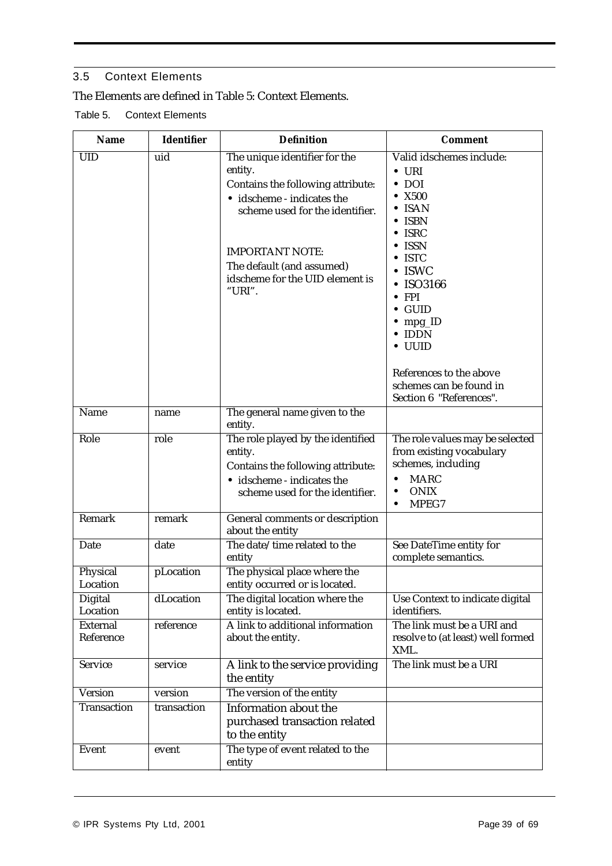# 3.5 Context Elements

# The Elements are defined in Table 5: Context Elements.

Table 5. Context Elements

| <b>Name</b>                  | <b>Identifier</b> | <b>Definition</b>                                                                                                                                                                                                                                  | <b>Comment</b>                                                                                                                                                                                                                                                                                                                                                                    |
|------------------------------|-------------------|----------------------------------------------------------------------------------------------------------------------------------------------------------------------------------------------------------------------------------------------------|-----------------------------------------------------------------------------------------------------------------------------------------------------------------------------------------------------------------------------------------------------------------------------------------------------------------------------------------------------------------------------------|
| <b>UID</b>                   | uid               | The unique identifier for the<br>entity.<br>Contains the following attribute:<br>· idscheme - indicates the<br>scheme used for the identifier.<br><b>IMPORTANT NOTE:</b><br>The default (and assumed)<br>idscheme for the UID element is<br>"URI". | Valid idschemes include:<br>$\bullet$ URI<br>$\bullet$ DOI<br>$\bullet$ X500<br>$\bullet$ ISAN<br>$\bullet$ ISBN<br>$\bullet$ ISRC<br>$\bullet$ ISSN<br>$\bullet$ ISTC<br>$\bullet$ ISWC<br>$\bullet$ ISO3166<br>$\bullet$ FPI<br>$\bullet$ GUID<br>$\bullet$ mpg_ID<br>$\bullet$ IDDN<br>· UUID<br>References to the above<br>schemes can be found in<br>Section 6 "References". |
| Name                         | name              | The general name given to the<br>entity.                                                                                                                                                                                                           |                                                                                                                                                                                                                                                                                                                                                                                   |
| Role                         | role              | The role played by the identified<br>entity.<br>Contains the following attribute:<br>· idscheme - indicates the<br>scheme used for the identifier.                                                                                                 | The role values may be selected<br>from existing vocabulary<br>schemes, including<br><b>MARC</b><br>$\bullet$<br><b>ONIX</b><br>$\bullet$<br>MPEG7<br>$\bullet$                                                                                                                                                                                                                   |
| Remark                       | remark            | General comments or description<br>about the entity                                                                                                                                                                                                |                                                                                                                                                                                                                                                                                                                                                                                   |
| Date                         | date              | The date/time related to the<br>entity                                                                                                                                                                                                             | See DateTime entity for<br>complete semantics.                                                                                                                                                                                                                                                                                                                                    |
| Physical<br>Location         | pLocation         | The physical place where the<br>entity occurred or is located.                                                                                                                                                                                     |                                                                                                                                                                                                                                                                                                                                                                                   |
| Digital<br>Location          | dLocation         | The digital location where the<br>entity is located.                                                                                                                                                                                               | Use Context to indicate digital<br>identifiers.                                                                                                                                                                                                                                                                                                                                   |
| <b>External</b><br>Reference | reference         | A link to additional information<br>about the entity.                                                                                                                                                                                              | The link must be a URI and<br>resolve to (at least) well formed<br>XML.                                                                                                                                                                                                                                                                                                           |
| <b>Service</b>               | service           | A link to the service providing<br>the entity                                                                                                                                                                                                      | The link must be a URI                                                                                                                                                                                                                                                                                                                                                            |
| <b>Version</b>               | version           | The version of the entity                                                                                                                                                                                                                          |                                                                                                                                                                                                                                                                                                                                                                                   |
| <b>Transaction</b>           | transaction       | Information about the<br>purchased transaction related<br>to the entity                                                                                                                                                                            |                                                                                                                                                                                                                                                                                                                                                                                   |
| <b>Event</b>                 | event             | The type of event related to the<br>entity                                                                                                                                                                                                         |                                                                                                                                                                                                                                                                                                                                                                                   |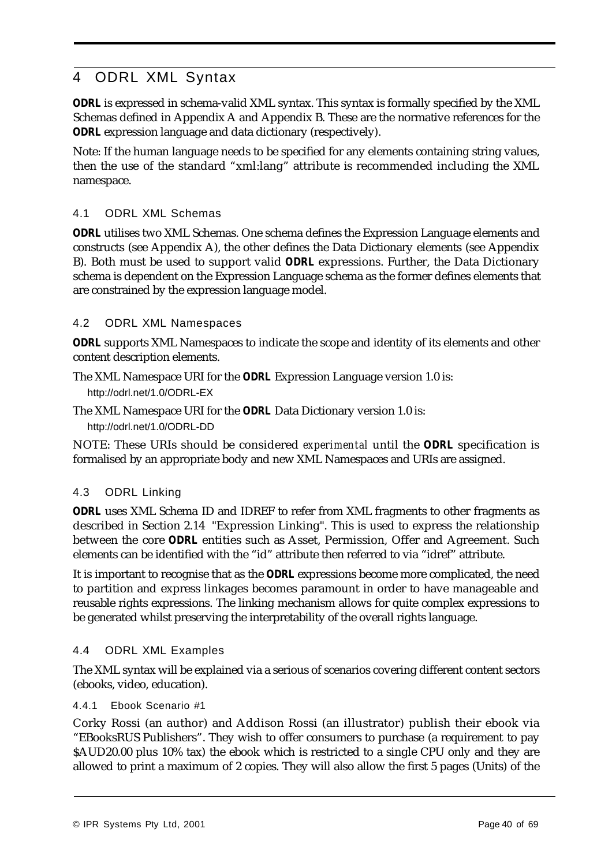# 4 ODRL XML Syntax

*ODRL* is expressed in schema-valid XML syntax. This syntax is formally specified by the XML Schemas defined in Appendix A and Appendix B. These are the normative references for the *ODRL* expression language and data dictionary (respectively).

Note: If the human language needs to be specified for any elements containing string values, then the use of the standard "xml:lang" attribute is recommended including the XML namespace.

## 4.1 ODRL XML Schemas

*ODRL* utilises two XML Schemas. One schema defines the Expression Language elements and constructs (see Appendix A), the other defines the Data Dictionary elements (see Appendix B). Both must be used to support valid *ODRL* expressions. Further, the Data Dictionary schema is dependent on the Expression Language schema as the former defines elements that are constrained by the expression language model.

#### 4.2 ODRL XML Namespaces

*ODRL* supports XML Namespaces to indicate the scope and identity of its elements and other content description elements.

The XML Namespace URI for the *ODRL* Expression Language version 1.0 is: http://odrl.net/1.0/ODRL-EX

The XML Namespace URI for the *ODRL* Data Dictionary version 1.0 is: http://odrl.net/1.0/ODRL-DD

NOTE: These URIs should be considered *experimental* until the *ODRL* specification is formalised by an appropriate body and new XML Namespaces and URIs are assigned.

# 4.3 ODRL Linking

*ODRL* uses XML Schema ID and IDREF to refer from XML fragments to other fragments as described in Section 2.14 "Expression Linking". This is used to express the relationship between the core *ODRL* entities such as Asset, Permission, Offer and Agreement. Such elements can be identified with the "id" attribute then referred to via "idref" attribute.

It is important to recognise that as the *ODRL* expressions become more complicated, the need to partition and express linkages becomes paramount in order to have manageable and reusable rights expressions. The linking mechanism allows for quite complex expressions to be generated whilst preserving the interpretability of the overall rights language.

#### 4.4 ODRL XML Examples

The XML syntax will be explained via a serious of scenarios covering different content sectors (ebooks, video, education).

4.4.1 Ebook Scenario #1

Corky Rossi (an author) and Addison Rossi (an illustrator) publish their ebook via "EBooksRUS Publishers". They wish to offer consumers to purchase (a requirement to pay \$AUD20.00 plus 10% tax) the ebook which is restricted to a single CPU only and they are allowed to print a maximum of 2 copies. They will also allow the first 5 pages (Units) of the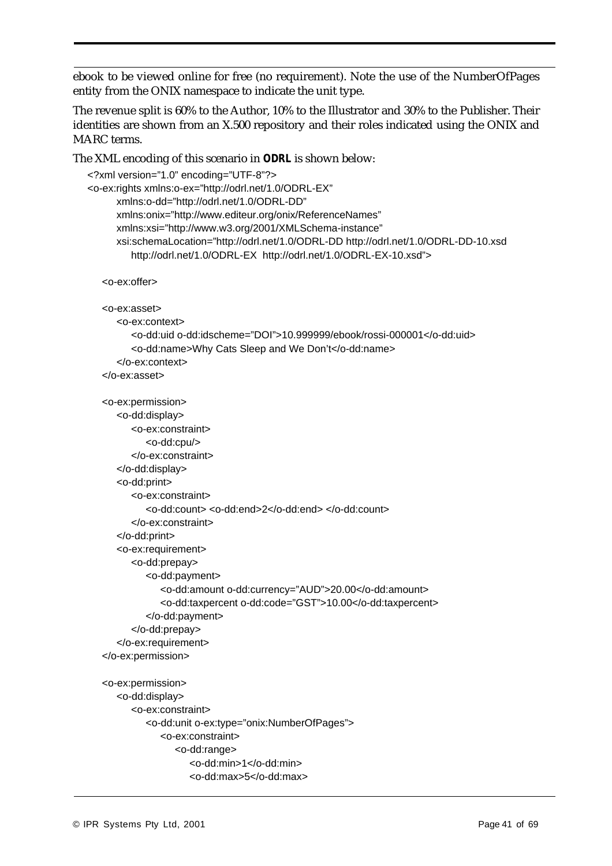ebook to be viewed online for free (no requirement). Note the use of the NumberOfPages entity from the ONIX namespace to indicate the unit type.

The revenue split is 60% to the Author, 10% to the Illustrator and 30% to the Publisher. Their identities are shown from an X.500 repository and their roles indicated using the ONIX and MARC terms.

```
The XML encoding of this scenario in ODRL is shown below:
```

```
<?xml version="1.0" encoding="UTF-8"?>
<o-ex:rights xmlns:o-ex="http://odrl.net/1.0/ODRL-EX"
     xmlns:o-dd="http://odrl.net/1.0/ODRL-DD"
     xmlns:onix="http://www.editeur.org/onix/ReferenceNames"
     xmlns:xsi="http://www.w3.org/2001/XMLSchema-instance"
     xsi:schemaLocation="http://odrl.net/1.0/ODRL-DD http://odrl.net/1.0/ODRL-DD-10.xsd
        http://odrl.net/1.0/ODRL-EX http://odrl.net/1.0/ODRL-EX-10.xsd">
  <o-ex:offer>
  <o-ex:asset>
     <o-ex:context>
         <o-dd:uid o-dd:idscheme="DOI">10.999999/ebook/rossi-000001</o-dd:uid>
        <o-dd:name>Why Cats Sleep and We Don't</o-dd:name>
     </o-ex:context>
  </o-ex:asset>
  <o-ex:permission>
     <o-dd:display>
        <o-ex:constraint>
           <o-dd:cpu/>
         </o-ex:constraint>
     </o-dd:display>
     <o-dd:print>
        <o-ex:constraint>
            <o-dd:count> <o-dd:end>2</o-dd:end> </o-dd:count>
        </o-ex:constraint>
     </o-dd:print>
     <o-ex:requirement>
        <o-dd:prepay>
           <o-dd:payment>
               <o-dd:amount o-dd:currency="AUD">20.00</o-dd:amount>
               <o-dd:taxpercent o-dd:code="GST">10.00</o-dd:taxpercent>
           </o-dd:payment>
        </o-dd:prepay>
     </o-ex:requirement>
  </o-ex:permission>
  <o-ex:permission>
     <o-dd:display>
        <o-ex:constraint>
           <o-dd:unit o-ex:type="onix:NumberOfPages">
              <o-ex:constraint>
                  <o-dd:range>
                     <o-dd:min>1</o-dd:min>
                     <o-dd:max>5</o-dd:max>
```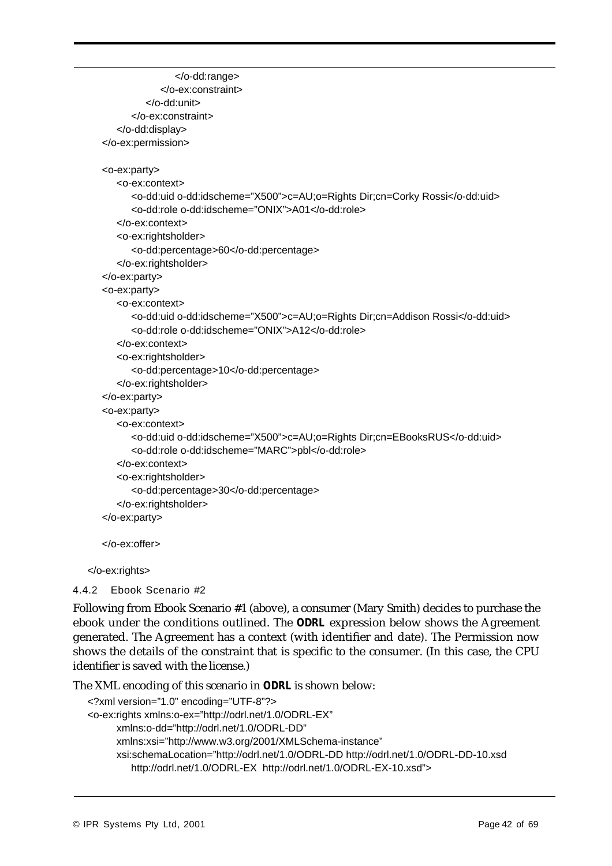```
</o-dd:range>
            </o-ex:constraint>
         </o-dd:unit>
     </o-ex:constraint>
   </o-dd:display>
</o-ex:permission>
<o-ex:party>
   <o-ex:context>
      <o-dd:uid o-dd:idscheme="X500">c=AU;o=Rights Dir;cn=Corky Rossi</o-dd:uid>
     <o-dd:role o-dd:idscheme="ONIX">A01</o-dd:role>
   </o-ex:context>
   <o-ex:rightsholder>
      <o-dd:percentage>60</o-dd:percentage>
   </o-ex:rightsholder>
</o-ex:party>
<o-ex:party>
   <o-ex:context>
      <o-dd:uid o-dd:idscheme="X500">c=AU;o=Rights Dir;cn=Addison Rossi</o-dd:uid>
     <o-dd:role o-dd:idscheme="ONIX">A12</o-dd:role>
   </o-ex:context>
   <o-ex:rightsholder>
     <o-dd:percentage>10</o-dd:percentage>
   </o-ex:rightsholder>
</o-ex:party>
<o-ex:party>
   <o-ex:context>
     <o-dd:uid o-dd:idscheme="X500">c=AU;o=Rights Dir;cn=EBooksRUS</o-dd:uid>
      <o-dd:role o-dd:idscheme="MARC">pbl</o-dd:role>
   </o-ex:context>
   <o-ex:rightsholder>
      <o-dd:percentage>30</o-dd:percentage>
   </o-ex:rightsholder>
</o-ex:party>
</o-ex:offer>
```
</o-ex:rights>

4.4.2 Ebook Scenario #2

Following from Ebook Scenario #1 (above), a consumer (Mary Smith) decides to purchase the ebook under the conditions outlined. The *ODRL* expression below shows the Agreement generated. The Agreement has a context (with identifier and date). The Permission now shows the details of the constraint that is specific to the consumer. (In this case, the CPU identifier is saved with the license.)

The XML encoding of this scenario in *ODRL* is shown below:

```
<?xml version="1.0" encoding="UTF-8"?>
<o-ex:rights xmlns:o-ex="http://odrl.net/1.0/ODRL-EX"
      xmlns:o-dd="http://odrl.net/1.0/ODRL-DD" 
      xmlns:xsi="http://www.w3.org/2001/XMLSchema-instance"
      xsi:schemaLocation="http://odrl.net/1.0/ODRL-DD http://odrl.net/1.0/ODRL-DD-10.xsd
         http://odrl.net/1.0/ODRL-EX http://odrl.net/1.0/ODRL-EX-10.xsd">
```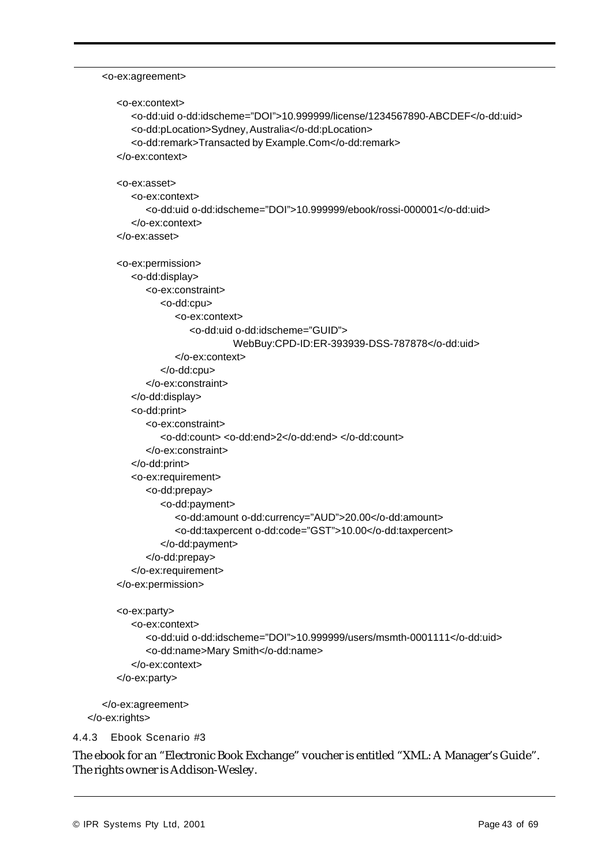#### <o-ex:agreement>

```
<o-ex:context>
        <o-dd:uid o-dd:idscheme="DOI">10.999999/license/1234567890-ABCDEF</o-dd:uid>
        <o-dd:pLocation>Sydney, Australia</o-dd:pLocation>
        <o-dd:remark>Transacted by Example.Com</o-dd:remark>
     </o-ex:context>
     <o-ex:asset>
        <o-ex:context>
           <o-dd:uid o-dd:idscheme="DOI">10.999999/ebook/rossi-000001</o-dd:uid>
        </o-ex:context>
     </o-ex:asset>
     <o-ex:permission>
        <o-dd:display>
           <o-ex:constraint>
              <o-dd:cpu>
                 <o-ex:context>
                    <o-dd:uid o-dd:idscheme="GUID">
                             WebBuy:CPD-ID:ER-393939-DSS-787878</o-dd:uid>
                 </o-ex:context>
              </o-dd:cpu>
           </o-ex:constraint>
        </o-dd:display>
        <o-dd:print>
           <o-ex:constraint>
               <o-dd:count> <o-dd:end>2</o-dd:end> </o-dd:count>
           </o-ex:constraint>
        </o-dd:print>
        <o-ex:requirement>
           <o-dd:prepay>
              <o-dd:payment>
                 <o-dd:amount o-dd:currency="AUD">20.00</o-dd:amount>
                 <o-dd:taxpercent o-dd:code="GST">10.00</o-dd:taxpercent>
              </o-dd:payment>
           </o-dd:prepay>
        </o-ex:requirement>
     </o-ex:permission>
     <o-ex:party>
        <o-ex:context>
           <o-dd:uid o-dd:idscheme="DOI">10.999999/users/msmth-0001111</o-dd:uid>
           <o-dd:name>Mary Smith</o-dd:name>
        </o-ex:context>
     </o-ex:party>
  </o-ex:agreement>
</o-ex:rights>
```
4.4.3 Ebook Scenario #3

The ebook for an "Electronic Book Exchange" voucher is entitled "XML: A Manager's Guide". The rights owner is Addison-Wesley.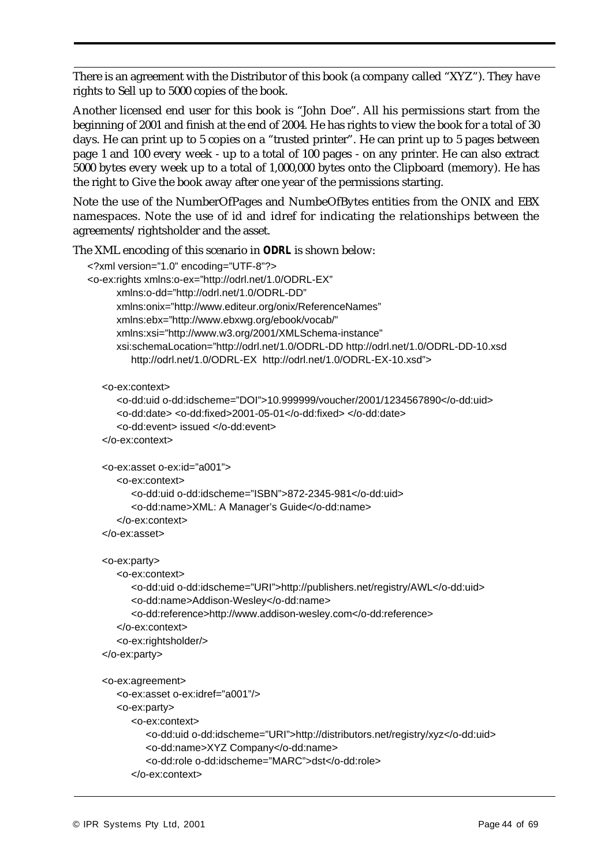There is an agreement with the Distributor of this book (a company called "XYZ"). They have rights to Sell up to 5000 copies of the book.

Another licensed end user for this book is "John Doe". All his permissions start from the beginning of 2001 and finish at the end of 2004. He has rights to view the book for a total of 30 days. He can print up to 5 copies on a "trusted printer". He can print up to 5 pages between page 1 and 100 every week - up to a total of 100 pages - on any printer. He can also extract 5000 bytes every week up to a total of 1,000,000 bytes onto the Clipboard (memory). He has the right to Give the book away after one year of the permissions starting.

Note the use of the NumberOfPages and NumbeOfBytes entities from the ONIX and EBX namespaces. Note the use of id and idref for indicating the relationships between the agreements/rightsholder and the asset.

The XML encoding of this scenario in *ODRL* is shown below:

```
<?xml version="1.0" encoding="UTF-8"?>
<o-ex:rights xmlns:o-ex="http://odrl.net/1.0/ODRL-EX"
     xmlns:o-dd="http://odrl.net/1.0/ODRL-DD"
     xmlns:onix="http://www.editeur.org/onix/ReferenceNames"
     xmlns:ebx="http://www.ebxwg.org/ebook/vocab/"
     xmlns:xsi="http://www.w3.org/2001/XMLSchema-instance"
     xsi:schemaLocation="http://odrl.net/1.0/ODRL-DD http://odrl.net/1.0/ODRL-DD-10.xsd
        http://odrl.net/1.0/ODRL-EX http://odrl.net/1.0/ODRL-EX-10.xsd">
  <o-ex:context>
     <o-dd:uid o-dd:idscheme="DOI">10.999999/voucher/2001/1234567890</o-dd:uid>
     <o-dd:date> <o-dd:fixed>2001-05-01</o-dd:fixed> </o-dd:date>
     <o-dd:event> issued </o-dd:event>
  </o-ex:context>
  <o-ex:asset o-ex:id="a001">
     <o-ex:context>
        <o-dd:uid o-dd:idscheme="ISBN">872-2345-981</o-dd:uid>
        <o-dd:name>XML: A Manager's Guide</o-dd:name>
     </o-ex:context>
  </o-ex:asset>
  <o-ex:party>
     <o-ex:context>
        <o-dd:uid o-dd:idscheme="URI">http://publishers.net/registry/AWL</o-dd:uid>
        <o-dd:name>Addison-Wesley</o-dd:name>
        <o-dd:reference>http://www.addison-wesley.com</o-dd:reference>
     </o-ex:context>
     <o-ex:rightsholder/>
  </o-ex:party>
  <o-ex:agreement>
     <o-ex:asset o-ex:idref="a001"/>
     <o-ex:party>
        <o-ex:context>
           <o-dd:uid o-dd:idscheme="URI">http://distributors.net/registry/xyz</o-dd:uid>
           <o-dd:name>XYZ Company</o-dd:name>
            <o-dd:role o-dd:idscheme="MARC">dst</o-dd:role>
        </o-ex:context>
```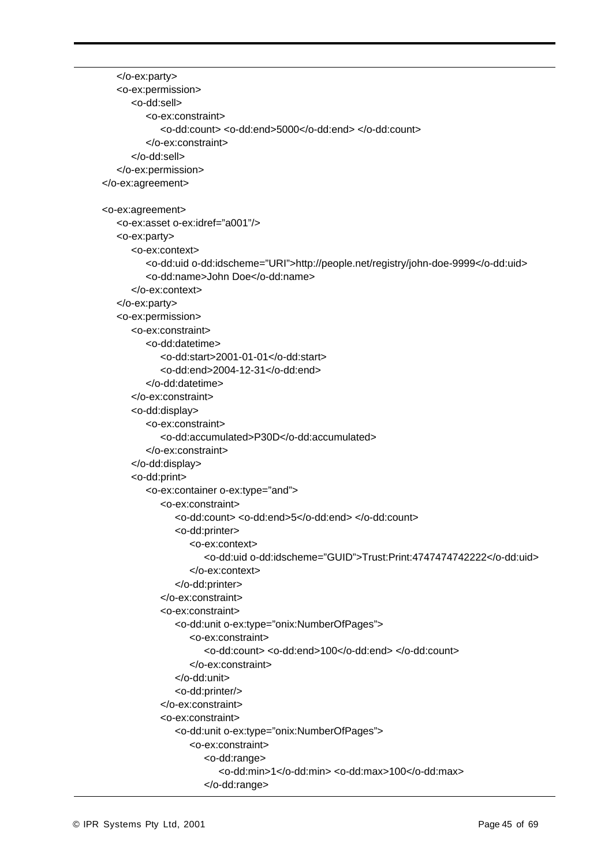</o-ex:party> <o-ex:permission> <o-dd:sell> <o-ex:constraint> <o-dd:count> <o-dd:end>5000</o-dd:end> </o-dd:count> </o-ex:constraint> </o-dd:sell> </o-ex:permission> </o-ex:agreement> <o-ex:agreement> <o-ex:asset o-ex:idref="a001"/> <o-ex:party> <o-ex:context> <o-dd:uid o-dd:idscheme="URI">http://people.net/registry/john-doe-9999</o-dd:uid> <o-dd:name>John Doe</o-dd:name> </o-ex:context> </o-ex:party> <o-ex:permission> <o-ex:constraint> <o-dd:datetime> <o-dd:start>2001-01-01</o-dd:start> <o-dd:end>2004-12-31</o-dd:end> </o-dd:datetime> </o-ex:constraint> <o-dd:display> <o-ex:constraint> <o-dd:accumulated>P30D</o-dd:accumulated> </o-ex:constraint> </o-dd:display> <o-dd:print> <o-ex:container o-ex:type="and"> <o-ex:constraint> <o-dd:count> <o-dd:end>5</o-dd:end> </o-dd:count> <o-dd:printer> <o-ex:context> <o-dd:uid o-dd:idscheme="GUID">Trust:Print:4747474742222</o-dd:uid> </o-ex:context> </o-dd:printer> </o-ex:constraint> <o-ex:constraint> <o-dd:unit o-ex:type="onix:NumberOfPages"> <o-ex:constraint> <o-dd:count> <o-dd:end>100</o-dd:end> </o-dd:count> </o-ex:constraint> </o-dd:unit> <o-dd:printer/> </o-ex:constraint> <o-ex:constraint> <o-dd:unit o-ex:type="onix:NumberOfPages"> <o-ex:constraint> <o-dd:range> <o-dd:min>1</o-dd:min> <o-dd:max>100</o-dd:max> </o-dd:range>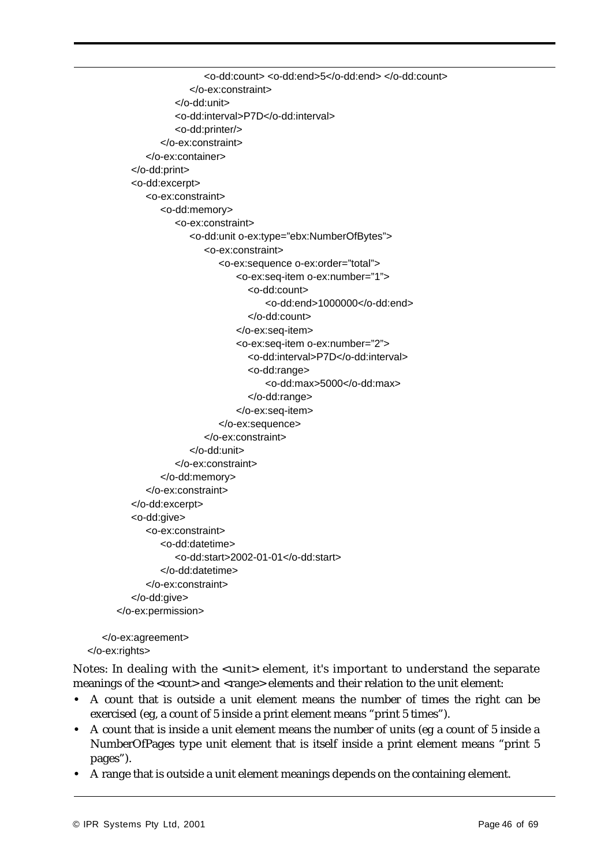```
<o-dd:count> <o-dd:end>5</o-dd:end> </o-dd:count>
                  </o-ex:constraint>
               </o-dd:unit>
               <o-dd:interval>P7D</o-dd:interval>
               <o-dd:printer/>
            </o-ex:constraint>
         </o-ex:container>
      </o-dd:print>
      <o-dd:excerpt>
         <o-ex:constraint>
            <o-dd:memory>
               <o-ex:constraint>
                  <o-dd:unit o-ex:type="ebx:NumberOfBytes">
                     <o-ex:constraint>
                        <o-ex:sequence o-ex:order="total">
                             <o-ex:seq-item o-ex:number="1">
                               <o-dd:count>
                                   <o-dd:end>1000000</o-dd:end>
                               </o-dd:count>
                             </o-ex:seq-item>
                             <o-ex:seq-item o-ex:number="2">
                               <o-dd:interval>P7D</o-dd:interval>
                               <o-dd:range>
                                   <o-dd:max>5000</o-dd:max>
                               </o-dd:range>
                             </o-ex:seq-item>
                        </o-ex:sequence>
                     </o-ex:constraint>
                  </o-dd:unit>
               </o-ex:constraint>
            </o-dd:memory>
         </o-ex:constraint>
      </o-dd:excerpt>
      <o-dd:give>
         <o-ex:constraint>
            <o-dd:datetime>
               <o-dd:start>2002-01-01</o-dd:start>
            </o-dd:datetime>
         </o-ex:constraint>
      </o-dd:give>
   </o-ex:permission>
</o-ex:agreement>
```

```
</o-ex:rights>
```
Notes: In dealing with the <unit> element, it's important to understand the separate meanings of the <count> and <range> elements and their relation to the unit element:

- **•** A count that is outside a unit element means the number of times the right can be exercised (eg, a count of 5 inside a print element means "print 5 times").
- **•** A count that is inside a unit element means the number of units (eg a count of 5 inside a NumberOfPages type unit element that is itself inside a print element means "print 5 pages").
- **•** A range that is outside a unit element meanings depends on the containing element.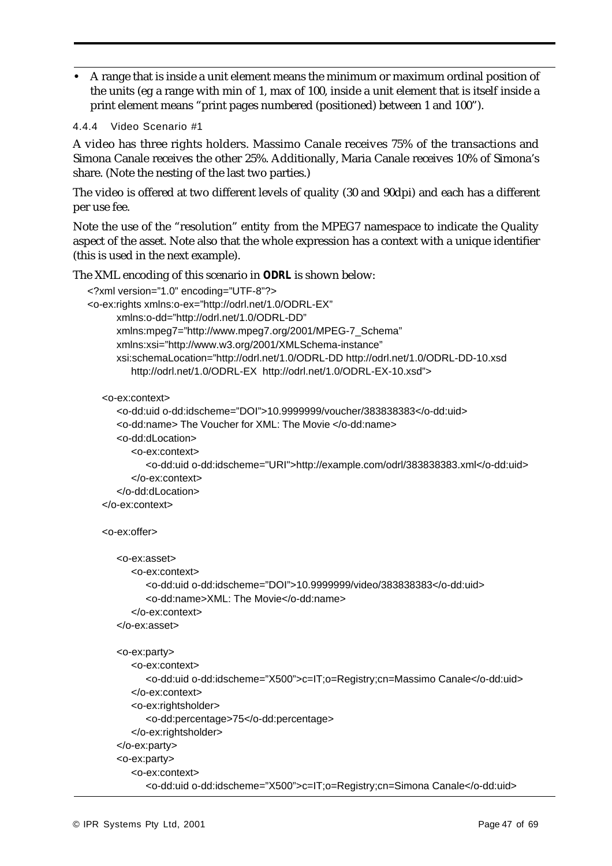**•** A range that is inside a unit element means the minimum or maximum ordinal position of the units (eg a range with min of 1, max of 100, inside a unit element that is itself inside a print element means "print pages numbered (positioned) between 1 and 100").

```
4.4.4 Video Scenario #1
```
A video has three rights holders. Massimo Canale receives 75% of the transactions and Simona Canale receives the other 25%. Additionally, Maria Canale receives 10% of Simona's share. (Note the nesting of the last two parties.)

The video is offered at two different levels of quality (30 and 90dpi) and each has a different per use fee.

Note the use of the "resolution" entity from the MPEG7 namespace to indicate the Quality aspect of the asset. Note also that the whole expression has a context with a unique identifier (this is used in the next example).

The XML encoding of this scenario in *ODRL* is shown below:

```
<?xml version="1.0" encoding="UTF-8"?>
<o-ex:rights xmlns:o-ex="http://odrl.net/1.0/ODRL-EX"
     xmlns:o-dd="http://odrl.net/1.0/ODRL-DD"
     xmlns:mpeg7="http://www.mpeg7.org/2001/MPEG-7_Schema"
     xmlns:xsi="http://www.w3.org/2001/XMLSchema-instance"
     xsi:schemaLocation="http://odrl.net/1.0/ODRL-DD http://odrl.net/1.0/ODRL-DD-10.xsd
        http://odrl.net/1.0/ODRL-EX http://odrl.net/1.0/ODRL-EX-10.xsd">
  <o-ex:context>
     <o-dd:uid o-dd:idscheme="DOI">10.9999999/voucher/383838383</o-dd:uid>
     <o-dd:name> The Voucher for XML: The Movie </o-dd:name>
     <o-dd:dLocation>
        <o-ex:context>
           <o-dd:uid o-dd:idscheme="URI">http://example.com/odrl/383838383.xml</o-dd:uid>
        </o-ex:context>
     </o-dd:dLocation>
  </o-ex:context>
  <o-ex:offer>
     <o-ex:asset>
        <o-ex:context>
           <o-dd:uid o-dd:idscheme="DOI">10.9999999/video/383838383</o-dd:uid>
           <o-dd:name>XML: The Movie</o-dd:name>
        </o-ex:context>
     </o-ex:asset>
     <o-ex:party>
        <o-ex:context>
           <o-dd:uid o-dd:idscheme="X500">c=IT;o=Registry;cn=Massimo Canale</o-dd:uid>
        </o-ex:context>
        <o-ex:rightsholder>
           <o-dd:percentage>75</o-dd:percentage>
        </o-ex:rightsholder>
     </o-ex:party>
     <o-ex:party>
        <o-ex:context>
           <o-dd:uid o-dd:idscheme="X500">c=IT;o=Registry;cn=Simona Canale</o-dd:uid>
```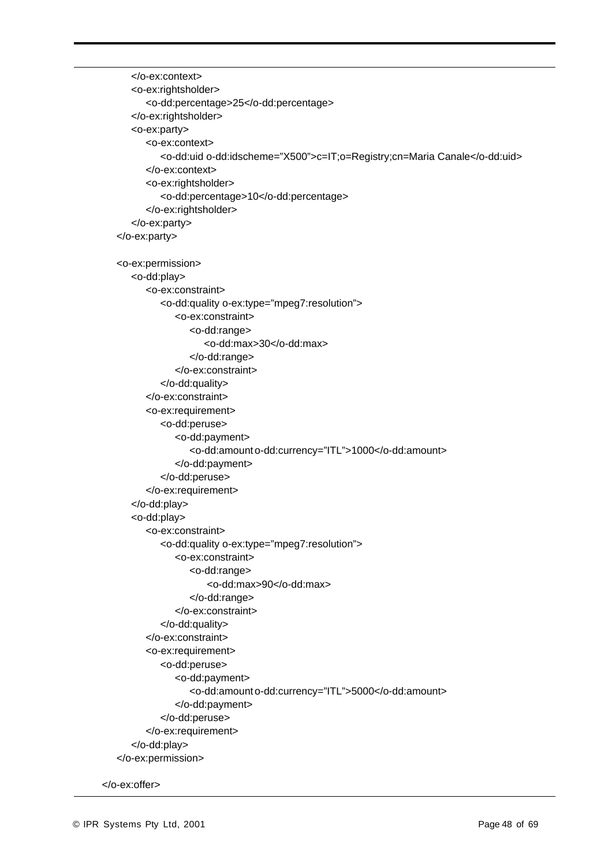```
</o-ex:context>
  <o-ex:rightsholder>
      <o-dd:percentage>25</o-dd:percentage>
  </o-ex:rightsholder>
  <o-ex:party>
      <o-ex:context>
         <o-dd:uid o-dd:idscheme="X500">c=IT;o=Registry;cn=Maria Canale</o-dd:uid>
      </o-ex:context>
      <o-ex:rightsholder>
         <o-dd:percentage>10</o-dd:percentage>
      </o-ex:rightsholder>
  </o-ex:party>
</o-ex:party>
<o-ex:permission>
  <o-dd:play>
      <o-ex:constraint>
         <o-dd:quality o-ex:type="mpeg7:resolution">
            <o-ex:constraint>
               <o-dd:range>
                  <o-dd:max>30</o-dd:max>
               </o-dd:range>
            </o-ex:constraint>
         </o-dd:quality>
      </o-ex:constraint>
      <o-ex:requirement>
         <o-dd:peruse>
            <o-dd:payment>
               <o-dd:amount o-dd:currency="ITL">1000</o-dd:amount>
            </o-dd:payment>
         </o-dd:peruse>
      </o-ex:requirement>
  </o-dd:play>
  <o-dd:play>
      <o-ex:constraint>
         <o-dd:quality o-ex:type="mpeg7:resolution">
            <o-ex:constraint>
               <o-dd:range>
                   <o-dd:max>90</o-dd:max>
               </o-dd:range>
            </o-ex:constraint>
         </o-dd:quality>
      </o-ex:constraint>
      <o-ex:requirement>
         <o-dd:peruse>
            <o-dd:payment>
               <o-dd:amount o-dd:currency="ITL">5000</o-dd:amount>
            </o-dd:payment>
         </o-dd:peruse>
      </o-ex:requirement>
  </o-dd:play>
</o-ex:permission>
```

```
</o-ex:offer>
```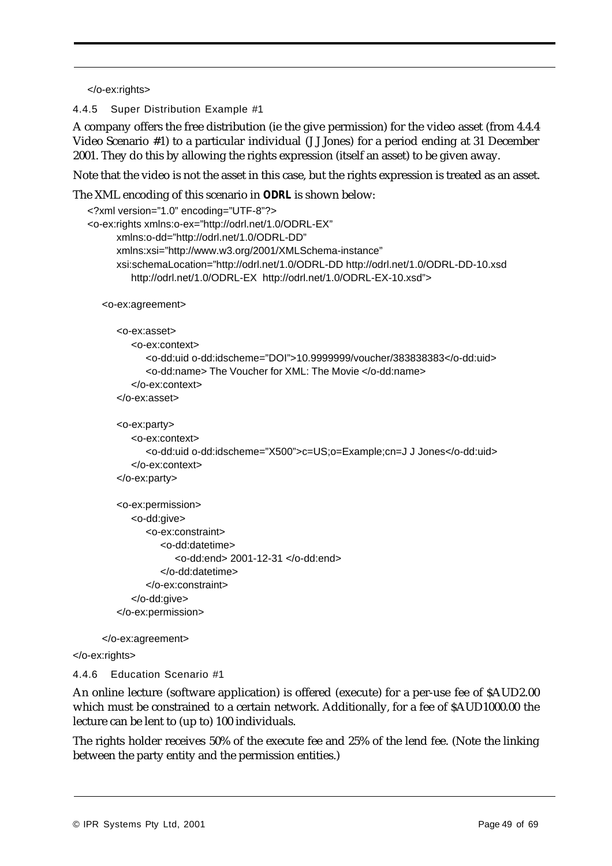</o-ex:rights>

4.4.5 Super Distribution Example #1

A company offers the free distribution (ie the give permission) for the video asset (from 4.4.4 Video Scenario #1) to a particular individual (J J Jones) for a period ending at 31 December 2001. They do this by allowing the rights expression (itself an asset) to be given away.

Note that the video is not the asset in this case, but the rights expression is treated as an asset.

The XML encoding of this scenario in *ODRL* is shown below:

```
<?xml version="1.0" encoding="UTF-8"?>
<o-ex:rights xmlns:o-ex="http://odrl.net/1.0/ODRL-EX"
     xmlns:o-dd="http://odrl.net/1.0/ODRL-DD"
     xmlns:xsi="http://www.w3.org/2001/XMLSchema-instance"
     xsi:schemaLocation="http://odrl.net/1.0/ODRL-DD http://odrl.net/1.0/ODRL-DD-10.xsd
        http://odrl.net/1.0/ODRL-EX http://odrl.net/1.0/ODRL-EX-10.xsd">
  <o-ex:agreement>
     <o-ex:asset>
        <o-ex:context>
            <o-dd:uid o-dd:idscheme="DOI">10.9999999/voucher/383838383</o-dd:uid>
           <o-dd:name> The Voucher for XML: The Movie </o-dd:name>
        </o-ex:context>
     </o-ex:asset>
     <o-ex:party>
        <o-ex:context>
           <o-dd:uid o-dd:idscheme="X500">c=US;o=Example;cn=J J Jones</o-dd:uid>
        </o-ex:context>
     </o-ex:party>
     <o-ex:permission>
        <o-dd:give>
           <o-ex:constraint>
               <o-dd:datetime>
```
<o-dd:end> 2001-12-31 </o-dd:end> </o-dd:datetime> </o-ex:constraint>

```
</o-dd:give>
```
</o-ex:permission>

</o-ex:agreement>

```
</o-ex:rights>
```
# 4.4.6 Education Scenario #1

An online lecture (software application) is offered (execute) for a per-use fee of \$AUD2.00 which must be constrained to a certain network. Additionally, for a fee of \$AUD1000.00 the lecture can be lent to (up to) 100 individuals.

The rights holder receives 50% of the execute fee and 25% of the lend fee. (Note the linking between the party entity and the permission entities.)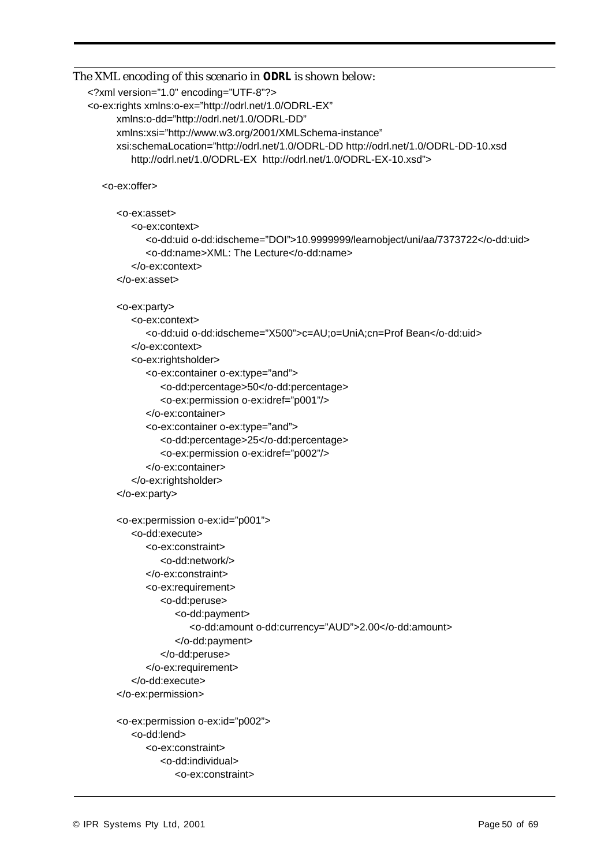```
The XML encoding of this scenario in ODRL is shown below:
```

```
<?xml version="1.0" encoding="UTF-8"?>
```

```
<o-ex:rights xmlns:o-ex="http://odrl.net/1.0/ODRL-EX"
     xmlns:o-dd="http://odrl.net/1.0/ODRL-DD"
      xmlns:xsi="http://www.w3.org/2001/XMLSchema-instance"
      xsi:schemaLocation="http://odrl.net/1.0/ODRL-DD http://odrl.net/1.0/ODRL-DD-10.xsd
        http://odrl.net/1.0/ODRL-EX http://odrl.net/1.0/ODRL-EX-10.xsd">
```
<o-ex:offer>

<o-ex:asset>

<o-ex:context>

<o-dd:uid o-dd:idscheme="DOI">10.9999999/learnobject/uni/aa/7373722</o-dd:uid> <o-dd:name>XML: The Lecture</o-dd:name> </o-ex:context>

</o-ex:asset>

```
<o-ex:party>
```
<o-ex:context>

<o-dd:uid o-dd:idscheme="X500">c=AU;o=UniA;cn=Prof Bean</o-dd:uid> </o-ex:context>

<o-ex:rightsholder>

<o-ex:container o-ex:type="and">

- <o-dd:percentage>50</o-dd:percentage> <o-ex:permission o-ex:idref="p001"/>
- </o-ex:container>
- <o-ex:container o-ex:type="and">
- <o-dd:percentage>25</o-dd:percentage>
- <o-ex:permission o-ex:idref="p002"/>
- </o-ex:container>
- </o-ex:rightsholder>
- </o-ex:party>

```
<o-ex:permission o-ex:id="p001">
  <o-dd:execute>
     <o-ex:constraint>
         <o-dd:network/>
     </o-ex:constraint>
     <o-ex:requirement>
         <o-dd:peruse>
            <o-dd:payment>
               <o-dd:amount o-dd:currency="AUD">2.00</o-dd:amount>
            </o-dd:payment>
         </o-dd:peruse>
     </o-ex:requirement>
   </o-dd:execute>
</o-ex:permission>
<o-ex:permission o-ex:id="p002">
```

```
<o-dd:lend>
   <o-ex:constraint>
      <o-dd:individual>
         <o-ex:constraint>
```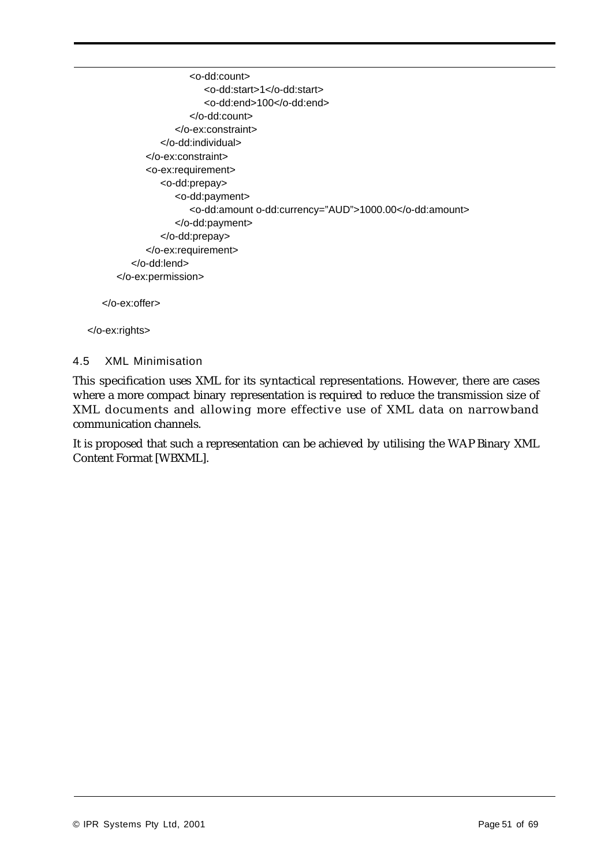<o-dd:count> <o-dd:start>1</o-dd:start> <o-dd:end>100</o-dd:end> </o-dd:count> </o-ex:constraint> </o-dd:individual> </o-ex:constraint> <o-ex:requirement> <o-dd:prepay> <o-dd:payment> <o-dd:amount o-dd:currency="AUD">1000.00</o-dd:amount> </o-dd:payment> </o-dd:prepay> </o-ex:requirement> </o-dd:lend> </o-ex:permission>

</o-ex:offer>

</o-ex:rights>

#### 4.5 XML Minimisation

This specification uses XML for its syntactical representations. However, there are cases where a more compact binary representation is required to reduce the transmission size of XML documents and allowing more effective use of XML data on narrowband communication channels.

It is proposed that such a representation can be achieved by utilising the WAP Binary XML Content Format [WBXML].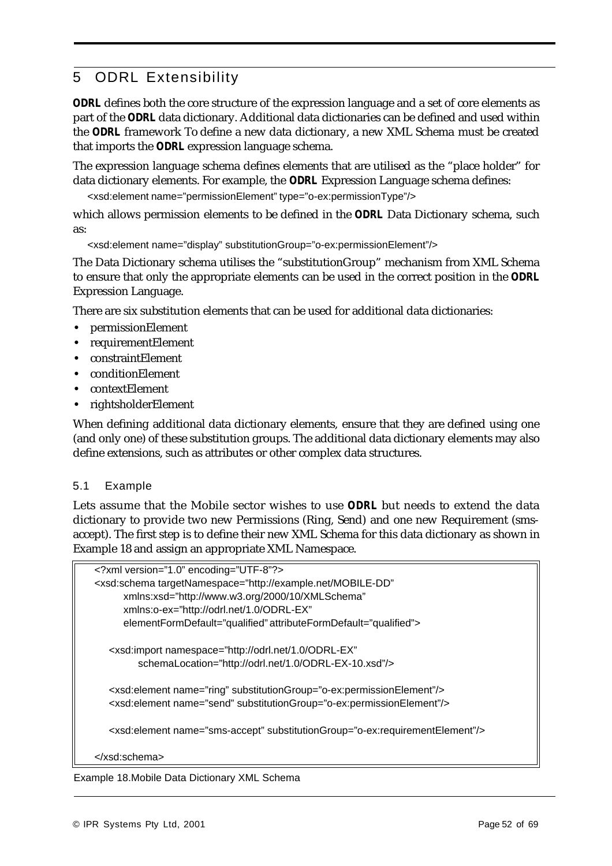# 5 ODRL Extensibility

*ODRL* defines both the core structure of the expression language and a set of core elements as part of the *ODRL* data dictionary. Additional data dictionaries can be defined and used within the *ODRL* framework To define a new data dictionary, a new XML Schema must be created that imports the *ODRL* expression language schema.

The expression language schema defines elements that are utilised as the "place holder" for data dictionary elements. For example, the *ODRL* Expression Language schema defines:

<xsd:element name="permissionElement" type="o-ex:permissionType"/>

which allows permission elements to be defined in the *ODRL* Data Dictionary schema, such as:

<xsd:element name="display" substitutionGroup="o-ex:permissionElement"/>

The Data Dictionary schema utilises the "substitutionGroup" mechanism from XML Schema to ensure that only the appropriate elements can be used in the correct position in the *ODRL* Expression Language.

There are six substitution elements that can be used for additional data dictionaries:

- **•** permissionElement
- **•** requirementElement
- **•** constraintElement
- **•** conditionElement
- **•** contextElement
- **•** rightsholderElement

When defining additional data dictionary elements, ensure that they are defined using one (and only one) of these substitution groups. The additional data dictionary elements may also define extensions, such as attributes or other complex data structures.

#### 5.1 Example

Lets assume that the Mobile sector wishes to use *ODRL* but needs to extend the data dictionary to provide two new Permissions (Ring, Send) and one new Requirement (smsaccept). The first step is to define their new XML Schema for this data dictionary as shown in Example 18 and assign an appropriate XML Namespace.

| xml version="1.0" encoding="UTF-8"?                                                          |  |
|----------------------------------------------------------------------------------------------|--|
| <xsd:schema <="" targetnamespace="http://example.net/MOBILE-DD" td=""><td></td></xsd:schema> |  |
| xmlns:xsd="http://www.w3.org/2000/10/XMLSchema"                                              |  |
| xmlns:o-ex="http://odrl.net/1.0/ODRL-EX"                                                     |  |
| elementFormDefault="qualified" attributeFormDefault="qualified">                             |  |
|                                                                                              |  |
| <xsd:import <="" namespace="http://odrl.net/1.0/ODRL-EX" td=""><td></td></xsd:import>        |  |
| schemaLocation="http://odrl.net/1.0/ODRL-EX-10.xsd"/>                                        |  |
|                                                                                              |  |
| <xsd:element name="ring" substitutiongroup="o-ex:permissionElement"></xsd:element>           |  |
| <xsd:element name="send" substitutiongroup="o-ex:permissionElement"></xsd:element>           |  |
|                                                                                              |  |
|                                                                                              |  |
| <xsd:element name="sms-accept" substitutiongroup="o-ex:requirementElement"></xsd:element>    |  |
|                                                                                              |  |
|                                                                                              |  |

Example 18.Mobile Data Dictionary XML Schema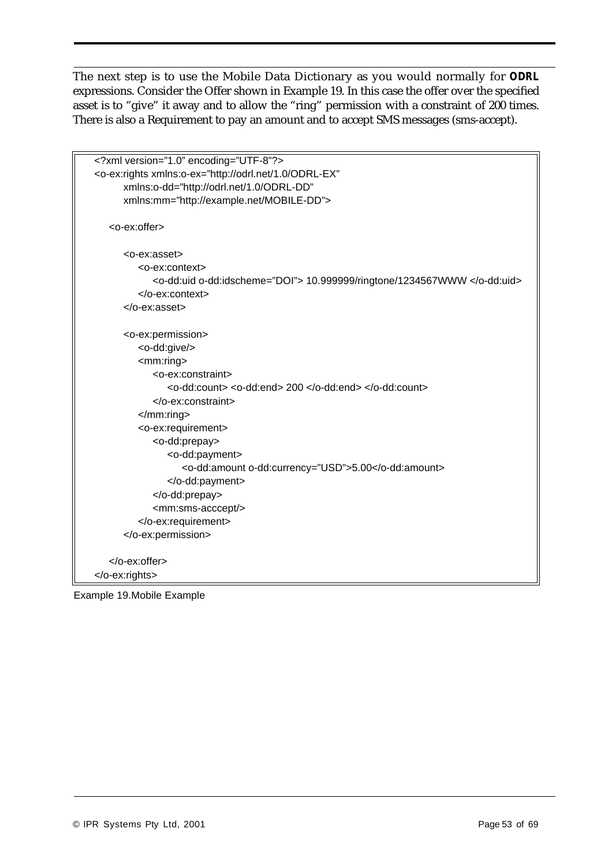The next step is to use the Mobile Data Dictionary as you would normally for *ODRL* expressions. Consider the Offer shown in Example 19. In this case the offer over the specified asset is to "give" it away and to allow the "ring" permission with a constraint of 200 times. There is also a Requirement to pay an amount and to accept SMS messages (sms-accept).

| xml version="1.0" encoding="UTF-8"?                                                      |  |
|------------------------------------------------------------------------------------------|--|
| <o-ex:rights <="" td="" xmlns:o-ex="http://odrl.net/1.0/ODRL-EX"><td></td></o-ex:rights> |  |
| xmlns:o-dd="http://odrl.net/1.0/ODRL-DD"                                                 |  |
| xmlns:mm="http://example.net/MOBILE-DD">                                                 |  |
|                                                                                          |  |
| <o-ex:offer></o-ex:offer>                                                                |  |
|                                                                                          |  |
| <o-ex:asset></o-ex:asset>                                                                |  |
| <o-ex:context></o-ex:context>                                                            |  |
| <o-dd:uid o-dd:idscheme="DOI"> 10.999999/ringtone/1234567WWW </o-dd:uid>                 |  |
| $<$ /o-ex:context>                                                                       |  |
| $<$ /0-ex:asset>                                                                         |  |
|                                                                                          |  |
| <o-ex:permission></o-ex:permission>                                                      |  |
| <o-dd:give></o-dd:give>                                                                  |  |
| $<$ mm:ring $>$                                                                          |  |
| <o-ex:constraint></o-ex:constraint>                                                      |  |
| <o-dd:count> <o-dd:end> 200 </o-dd:end> </o-dd:count>                                    |  |
|                                                                                          |  |
| $<$ /mm:ring>                                                                            |  |
| <o-ex:requirement></o-ex:requirement>                                                    |  |
| <o-dd:prepay></o-dd:prepay>                                                              |  |
| <o-dd:payment></o-dd:payment>                                                            |  |
| <o-dd:amount o-dd:currency="USD">5.00</o-dd:amount>                                      |  |
|                                                                                          |  |
|                                                                                          |  |
| <mm:sms-acccept></mm:sms-acccept>                                                        |  |
|                                                                                          |  |
|                                                                                          |  |
|                                                                                          |  |
|                                                                                          |  |
|                                                                                          |  |
|                                                                                          |  |

Example 19.Mobile Example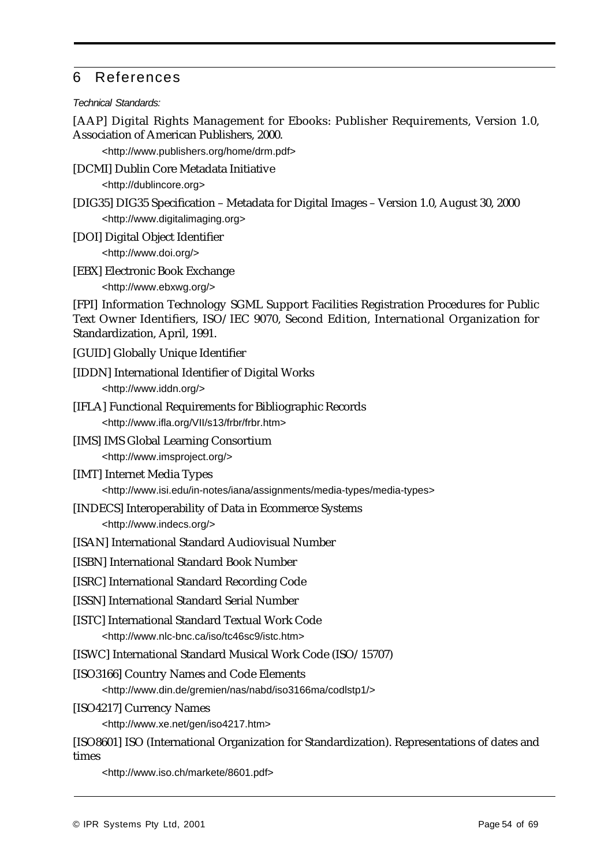# 6 References

#### *Technical Standards:*

[AAP] Digital Rights Management for Ebooks: Publisher Requirements, Version 1.0, Association of American Publishers, 2000.

<http://www.publishers.org/home/drm.pdf>

[DCMI] Dublin Core Metadata Initiative

<http://dublincore.org>

- [DIG35] DIG35 Specification Metadata for Digital Images Version 1.0, August 30, 2000 <http://www.digitalimaging.org>
- [DOI] Digital Object Identifier

<http://www.doi.org/>

[EBX] Electronic Book Exchange

<http://www.ebxwg.org/>

[FPI] Information Technology SGML Support Facilities Registration Procedures for Public Text Owner Identifiers, ISO/IEC 9070, Second Edition, International Organization for Standardization, April, 1991.

- [GUID] Globally Unique Identifier
- [IDDN] International Identifier of Digital Works <http://www.iddn.org/>
- [IFLA] Functional Requirements for Bibliographic Records <http://www.ifla.org/VII/s13/frbr/frbr.htm>
- [IMS] IMS Global Learning Consortium <http://www.imsproject.org/>
- [IMT] Internet Media Types <http://www.isi.edu/in-notes/iana/assignments/media-types/media-types>
- [INDECS] Interoperability of Data in Ecommerce Systems <http://www.indecs.org/>
- [ISAN] International Standard Audiovisual Number
- [ISBN] International Standard Book Number
- [ISRC] International Standard Recording Code
- [ISSN] International Standard Serial Number
- [ISTC] International Standard Textual Work Code <http://www.nlc-bnc.ca/iso/tc46sc9/istc.htm>
- [ISWC] International Standard Musical Work Code (ISO/15707)
- [ISO3166] Country Names and Code Elements

<http://www.din.de/gremien/nas/nabd/iso3166ma/codlstp1/>

[ISO4217] Currency Names

<http://www.xe.net/gen/iso4217.htm>

[ISO8601] ISO (International Organization for Standardization). Representations of dates and times

<http://www.iso.ch/markete/8601.pdf>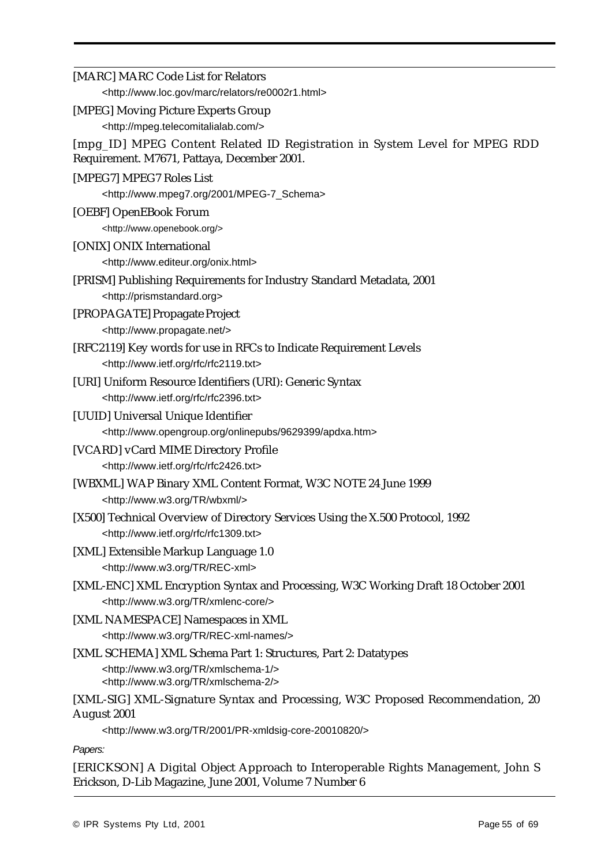| [MARC] MARC Code List for Relators                                                                                                        |
|-------------------------------------------------------------------------------------------------------------------------------------------|
| <http: marc="" re0002r1.html="" relators="" www.loc.gov=""></http:>                                                                       |
| [MPEG] Moving Picture Experts Group<br><http: mpeg.telecomitalialab.com=""></http:>                                                       |
| [mpg_ID] MPEG Content Related ID Registration in System Level for MPEG RDD<br>Requirement. M7671, Pattaya, December 2001.                 |
| [MPEG7] MPEG7 Roles List                                                                                                                  |
| <http: 2001="" mpeg-7_schema="" www.mpeg7.org=""></http:>                                                                                 |
| [OEBF] OpenEBook Forum                                                                                                                    |
| <http: www.openebook.org=""></http:>                                                                                                      |
| [ONIX] ONIX International                                                                                                                 |
| <http: onix.html="" www.editeur.org=""></http:>                                                                                           |
| [PRISM] Publishing Requirements for Industry Standard Metadata, 2001                                                                      |
| <http: prismstandard.org=""></http:>                                                                                                      |
| [PROPAGATE] Propagate Project                                                                                                             |
| <http: www.propagate.net=""></http:>                                                                                                      |
| [RFC2119] Key words for use in RFCs to Indicate Requirement Levels                                                                        |
| <http: rfc="" rfc2119.txt="" www.ietf.org=""></http:>                                                                                     |
| [URI] Uniform Resource Identifiers (URI): Generic Syntax<br><http: rfc="" rfc2396.txt="" www.ietf.org=""></http:>                         |
| [UUID] Universal Unique Identifier                                                                                                        |
| <http: 9629399="" apdxa.htm="" onlinepubs="" www.opengroup.org=""></http:>                                                                |
| [VCARD] vCard MIME Directory Profile                                                                                                      |
| <http: rfc="" rfc2426.txt="" www.ietf.org=""></http:>                                                                                     |
| [WBXML] WAP Binary XML Content Format, W3C NOTE 24 June 1999                                                                              |
| <http: tr="" wbxml="" www.w3.org=""></http:>                                                                                              |
| [X500] Technical Overview of Directory Services Using the X.500 Protocol, 1992                                                            |
| <http: rfc="" rfc1309.txt="" www.ietf.org=""></http:>                                                                                     |
| [XML] Extensible Markup Language 1.0<br><http: rec-xml="" tr="" www.w3.org=""></http:>                                                    |
| [XML-ENC] XML Encryption Syntax and Processing, W3C Working Draft 18 October 2001                                                         |
| <http: tr="" www.w3.org="" xmlenc-core=""></http:>                                                                                        |
| [XML NAMESPACE] Namespaces in XML                                                                                                         |
| <http: rec-xml-names="" tr="" www.w3.org=""></http:>                                                                                      |
| [XML SCHEMA] XML Schema Part 1: Structures, Part 2: Datatypes                                                                             |
| <http: tr="" www.w3.org="" xmlschema-1=""></http:><br><http: tr="" www.w3.org="" xmlschema-2=""></http:>                                  |
| [XML-SIG] XML-Signature Syntax and Processing, W3C Proposed Recommendation, 20                                                            |
| <b>August 2001</b>                                                                                                                        |
| <http: 2001="" pr-xmldsig-core-20010820="" tr="" www.w3.org=""></http:>                                                                   |
| Papers:                                                                                                                                   |
| [ERICKSON] A Digital Object Approach to Interoperable Rights Management, John S<br>Erickson, D-Lib Magazine, June 2001, Volume 7 Number 6 |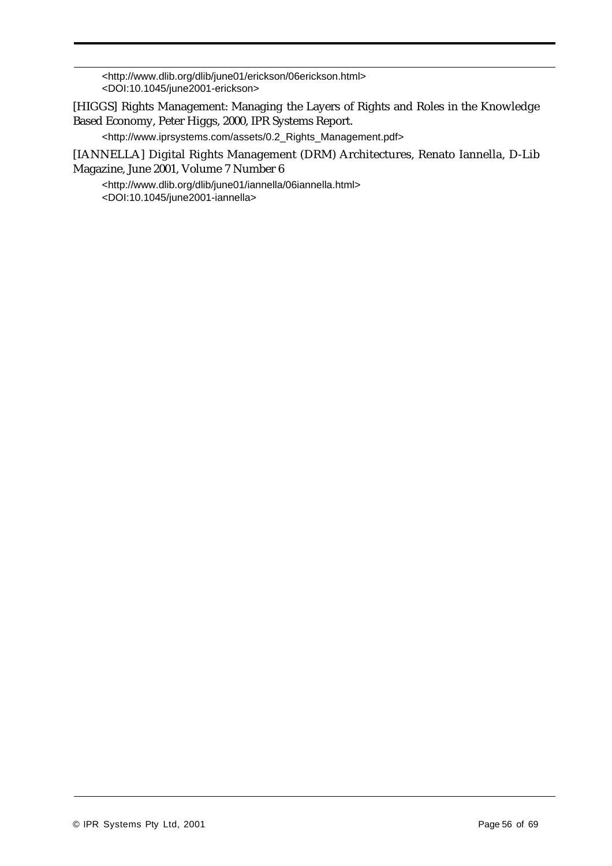<http://www.dlib.org/dlib/june01/erickson/06erickson.html> <DOI:10.1045/june2001-erickson>

[HIGGS] Rights Management: Managing the Layers of Rights and Roles in the Knowledge Based Economy, Peter Higgs, 2000, IPR Systems Report.

<http://www.iprsystems.com/assets/0.2\_Rights\_Management.pdf>

[IANNELLA] Digital Rights Management (DRM) Architectures, Renato Iannella, D-Lib Magazine, June 2001, Volume 7 Number 6

<http://www.dlib.org/dlib/june01/iannella/06iannella.html> <DOI:10.1045/june2001-iannella>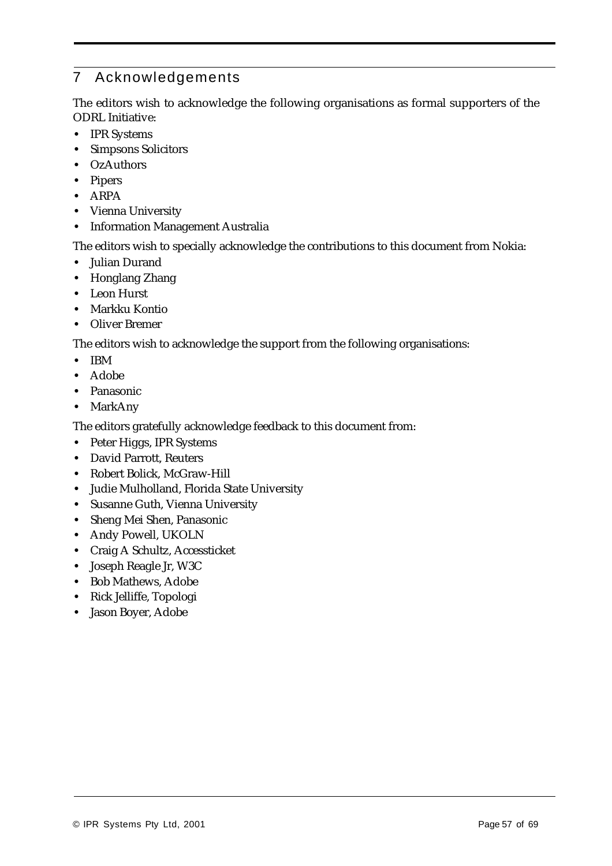# 7 Acknowledgements

The editors wish to acknowledge the following organisations as formal supporters of the ODRL Initiative:

- **•** IPR Systems
- **•** Simpsons Solicitors
- **•** OzAuthors
- **•** Pipers
- **•** ARPA
- **•** Vienna University
- **•** Information Management Australia

The editors wish to specially acknowledge the contributions to this document from Nokia:

- **•** Julian Durand
- **•** Honglang Zhang
- **•** Leon Hurst
- **•** Markku Kontio
- **•** Oliver Bremer

The editors wish to acknowledge the support from the following organisations:

- **•** IBM
- **•** Adobe
- **•** Panasonic
- **•** MarkAny

The editors gratefully acknowledge feedback to this document from:

- **•** Peter Higgs, IPR Systems
- **•** David Parrott, Reuters
- **•** Robert Bolick, McGraw-Hill
- **•** Judie Mulholland, Florida State University
- **•** Susanne Guth, Vienna University
- **•** Sheng Mei Shen, Panasonic
- **•** Andy Powell, UKOLN
- **•** Craig A Schultz, Accessticket
- **•** Joseph Reagle Jr, W3C
- **•** Bob Mathews, Adobe
- **•** Rick Jelliffe, Topologi
- **•** Jason Boyer, Adobe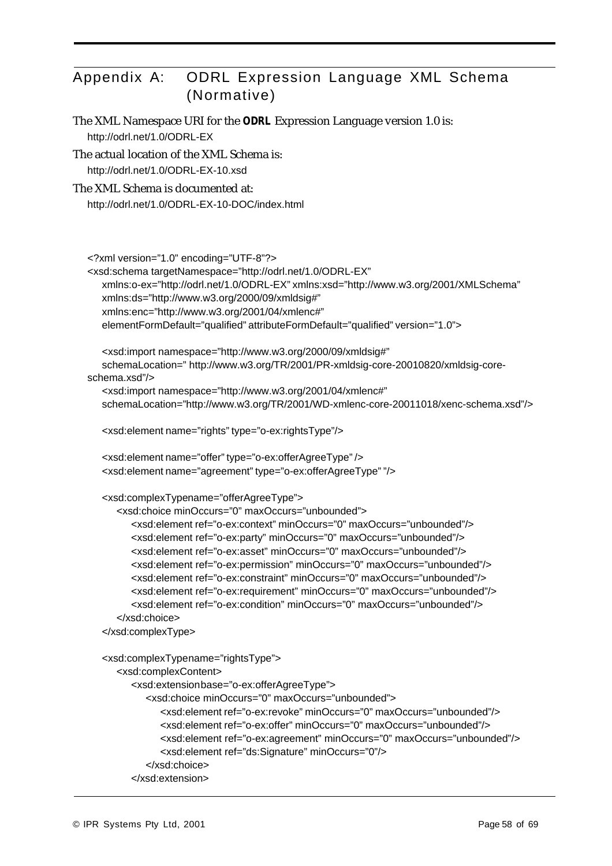# Appendix A: ODRL Expression Language XML Schema (Normative)

The XML Namespace URI for the *ODRL* Expression Language version 1.0 is: http://odrl.net/1.0/ODRL-EX

The actual location of the XML Schema is:

http://odrl.net/1.0/ODRL-EX-10.xsd

#### The XML Schema is documented at:

http://odrl.net/1.0/ODRL-EX-10-DOC/index.html

<?xml version="1.0" encoding="UTF-8"?>

```
<xsd:schema targetNamespace="http://odrl.net/1.0/ODRL-EX"
```
xmlns:o-ex="http://odrl.net/1.0/ODRL-EX" xmlns:xsd="http://www.w3.org/2001/XMLSchema"

xmlns:ds="http://www.w3.org/2000/09/xmldsig#"

xmlns:enc="http://www.w3.org/2001/04/xmlenc#"

elementFormDefault="qualified" attributeFormDefault="qualified" version="1.0">

<xsd:import namespace="http://www.w3.org/2000/09/xmldsig#"

schemaLocation=" http://www.w3.org/TR/2001/PR-xmldsig-core-20010820/xmldsig-coreschema.xsd"/>

<xsd:import namespace="http://www.w3.org/2001/04/xmlenc#"

schemaLocation="http://www.w3.org/TR/2001/WD-xmlenc-core-20011018/xenc-schema.xsd"/>

<xsd:element name="rights" type="o-ex:rightsType"/>

```
<xsd:element name="offer" type="o-ex:offerAgreeType" />
<xsd:element name="agreement" type="o-ex:offerAgreeType" "/>
```

```
<xsd:complexTypename="offerAgreeType">
```

```
<xsd:choice minOccurs="0" maxOccurs="unbounded">
  <xsd:element ref="o-ex:context" minOccurs="0" maxOccurs="unbounded"/>
  <xsd:element ref="o-ex:party" minOccurs="0" maxOccurs="unbounded"/>
  <xsd:element ref="o-ex:asset" minOccurs="0" maxOccurs="unbounded"/>
  <xsd:element ref="o-ex:permission" minOccurs="0" maxOccurs="unbounded"/>
  <xsd:element ref="o-ex:constraint" minOccurs="0" maxOccurs="unbounded"/>
  <xsd:element ref="o-ex:requirement" minOccurs="0" maxOccurs="unbounded"/>
  <xsd:element ref="o-ex:condition" minOccurs="0" maxOccurs="unbounded"/>
</xsd:choice>
```
</xsd:complexType>

```
<xsd:complexTypename="rightsType">
  <xsd:complexContent>
     <xsd:extension base="o-ex:offerAgreeType">
        <xsd:choice minOccurs="0" maxOccurs="unbounded">
           <xsd:element ref="o-ex:revoke" minOccurs="0" maxOccurs="unbounded"/>
           <xsd:element ref="o-ex:offer" minOccurs="0" maxOccurs="unbounded"/>
           <xsd:element ref="o-ex:agreement" minOccurs="0" maxOccurs="unbounded"/>
           <xsd:element ref="ds:Signature" minOccurs="0"/>
        </xsd:choice>
     </xsd:extension>
```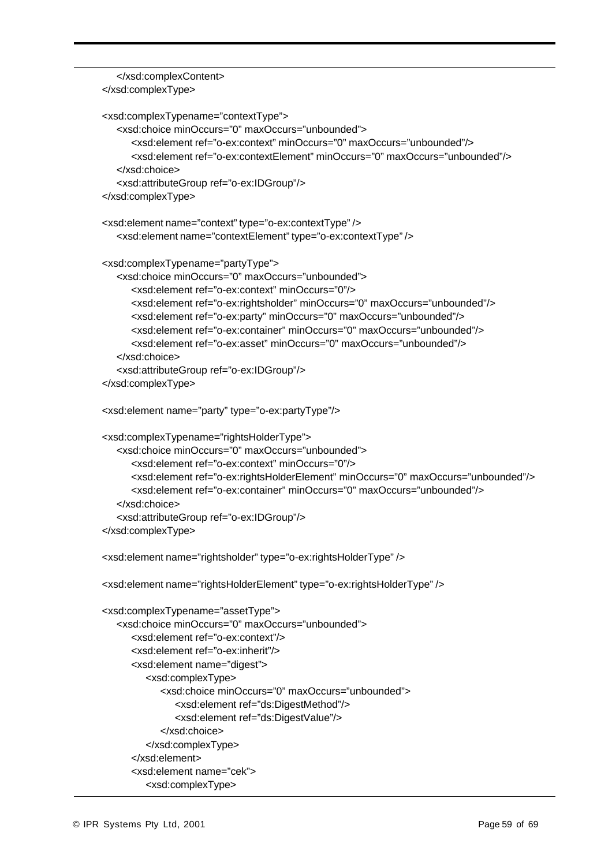```
</xsd:complexContent>
</xsd:complexType>
<xsd:complexTypename="contextType">
  <xsd:choice minOccurs="0" maxOccurs="unbounded">
     <xsd:element ref="o-ex:context" minOccurs="0" maxOccurs="unbounded"/>
      <xsd:element ref="o-ex:contextElement" minOccurs="0" maxOccurs="unbounded"/>
  </xsd:choice>
  <xsd:attributeGroup ref="o-ex:IDGroup"/>
</xsd:complexType>
<xsd:element name="context" type="o-ex:contextType" />
  <xsd:element name="contextElement" type="o-ex:contextType" />
<xsd:complexType name="partyType">
  <xsd:choice minOccurs="0" maxOccurs="unbounded">
     <xsd:element ref="o-ex:context" minOccurs="0"/>
     <xsd:element ref="o-ex:rightsholder" minOccurs="0" maxOccurs="unbounded"/>
     <xsd:element ref="o-ex:party" minOccurs="0" maxOccurs="unbounded"/>
     <xsd:element ref="o-ex:container" minOccurs="0" maxOccurs="unbounded"/>
     <xsd:element ref="o-ex:asset" minOccurs="0" maxOccurs="unbounded"/>
  </xsd:choice>
  <xsd:attributeGroup ref="o-ex:IDGroup"/>
</xsd:complexType>
<xsd:element name="party" type="o-ex:partyType"/>
<xsd:complexTypename="rightsHolderType">
  <xsd:choice minOccurs="0" maxOccurs="unbounded">
     <xsd:element ref="o-ex:context" minOccurs="0"/>
     <xsd:element ref="o-ex:rightsHolderElement" minOccurs="0" maxOccurs="unbounded"/>
     <xsd:element ref="o-ex:container" minOccurs="0" maxOccurs="unbounded"/>
  </xsd:choice>
  <xsd:attributeGroup ref="o-ex:IDGroup"/>
</xsd:complexType>
<xsd:element name="rightsholder" type="o-ex:rightsHolderType" />
<xsd:element name="rightsHolderElement" type="o-ex:rightsHolderType" />
<xsd:complexTypename="assetType">
  <xsd:choice minOccurs="0" maxOccurs="unbounded">
     <xsd:element ref="o-ex:context"/>
     <xsd:element ref="o-ex:inherit"/>
     <xsd:element name="digest">
        <xsd:complexType>
           <xsd:choice minOccurs="0" maxOccurs="unbounded">
              <xsd:element ref="ds:DigestMethod"/>
              <xsd:element ref="ds:DigestValue"/>
           </xsd:choice>
        </xsd:complexType>
     </xsd:element>
     <xsd:element name="cek">
        <xsd:complexType>
```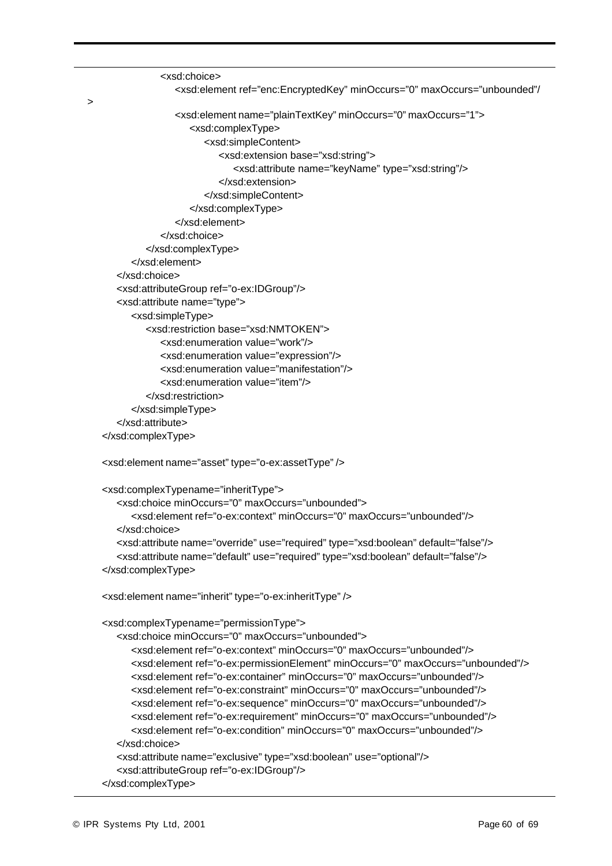```
<xsd:choice>
               <xsd:element ref="enc:EncryptedKey" minOccurs="0" maxOccurs="unbounded"/
               <xsd:element name="plainTextKey" minOccurs="0" maxOccurs="1">
                 <xsd:complexType>
                     <xsd:simpleContent>
                       <xsd:extension base="xsd:string">
                           <xsd:attribute name="keyName" type="xsd:string"/>
                       </xsd:extension>
                     </xsd:simpleContent>
                  </xsd:complexType>
               </xsd:element>
            </xsd:choice>
        </xsd:complexType>
     </xsd:element>
   </xsd:choice>
   <xsd:attributeGroup ref="o-ex:IDGroup"/>
   <xsd:attribute name="type">
     <xsd:simpleType>
        <xsd:restriction base="xsd:NMTOKEN">
            <xsd:enumeration value="work"/>
            <xsd:enumeration value="expression"/>
            <xsd:enumeration value="manifestation"/>
            <xsd:enumeration value="item"/>
        </xsd:restriction>
     </xsd:simpleType>
   </xsd:attribute>
</xsd:complexType>
<xsd:element name="asset" type="o-ex:assetType" />
<xsd:complexTypename="inheritType">
   <xsd:choice minOccurs="0" maxOccurs="unbounded">
      <xsd:element ref="o-ex:context" minOccurs="0" maxOccurs="unbounded"/>
   </xsd:choice>
   <xsd:attribute name="override" use="required" type="xsd:boolean" default="false"/>
   <xsd:attribute name="default" use="required" type="xsd:boolean" default="false"/>
</xsd:complexType>
<xsd:element name="inherit" type="o-ex:inheritType" />
<xsd:complexTypename="permissionType">
   <xsd:choice minOccurs="0" maxOccurs="unbounded">
     <xsd:element ref="o-ex:context" minOccurs="0" maxOccurs="unbounded"/>
      <xsd:element ref="o-ex:permissionElement" minOccurs="0" maxOccurs="unbounded"/>
     <xsd:element ref="o-ex:container" minOccurs="0" maxOccurs="unbounded"/>
     <xsd:element ref="o-ex:constraint" minOccurs="0" maxOccurs="unbounded"/>
      <xsd:element ref="o-ex:sequence" minOccurs="0" maxOccurs="unbounded"/>
     <xsd:element ref="o-ex:requirement" minOccurs="0" maxOccurs="unbounded"/>
      <xsd:element ref="o-ex:condition" minOccurs="0" maxOccurs="unbounded"/>
   </xsd:choice>
   <xsd:attribute name="exclusive" type="xsd:boolean" use="optional"/>
   <xsd:attributeGroup ref="o-ex:IDGroup"/>
</xsd:complexType>
```
>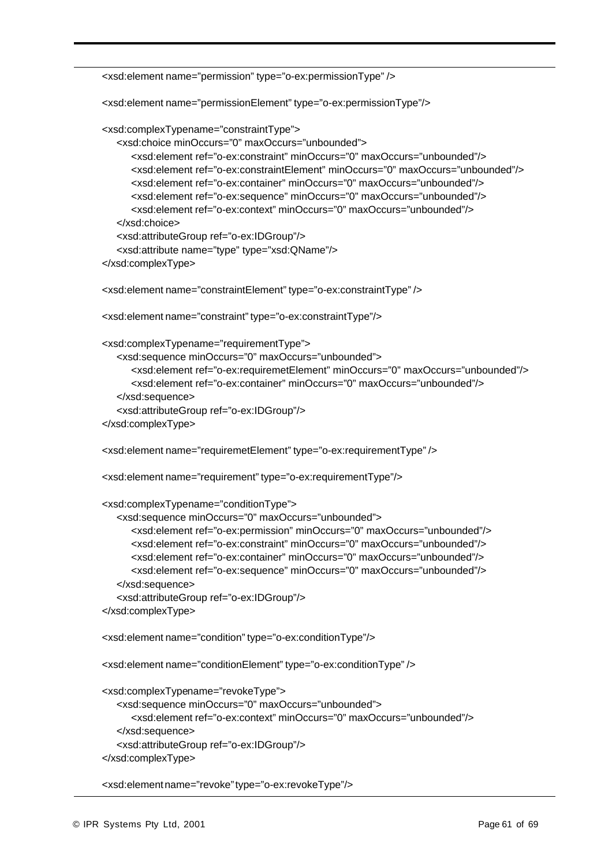```
<xsd:element name="permission" type="o-ex:permissionType" />
<xsd:element name="permissionElement" type="o-ex:permissionType"/>
<xsd:complexTypename="constraintType">
  <xsd:choice minOccurs="0" maxOccurs="unbounded">
     <xsd:element ref="o-ex:constraint" minOccurs="0" maxOccurs="unbounded"/>
     <xsd:element ref="o-ex:constraintElement" minOccurs="0" maxOccurs="unbounded"/>
     <xsd:element ref="o-ex:container" minOccurs="0" maxOccurs="unbounded"/>
     <xsd:element ref="o-ex:sequence" minOccurs="0" maxOccurs="unbounded"/>
     <xsd:element ref="o-ex:context" minOccurs="0" maxOccurs="unbounded"/>
  </xsd:choice>
  <xsd:attributeGroup ref="o-ex:IDGroup"/>
  <xsd:attribute name="type" type="xsd:QName"/>
</xsd:complexType>
<xsd:element name="constraintElement" type="o-ex:constraintType" />
<xsd:element name="constraint" type="o-ex:constraintType"/>
<xsd:complexTypename="requirementType">
  <xsd:sequence minOccurs="0" maxOccurs="unbounded">
     <xsd:element ref="o-ex:requiremetElement" minOccurs="0" maxOccurs="unbounded"/>
     <xsd:element ref="o-ex:container" minOccurs="0" maxOccurs="unbounded"/>
  </xsd:sequence>
  <xsd:attributeGroup ref="o-ex:IDGroup"/>
</xsd:complexType>
<xsd:element name="requiremetElement" type="o-ex:requirementType" />
<xsd:element name="requirement" type="o-ex:requirementType"/>
<xsd:complexTypename="conditionType">
  <xsd:sequence minOccurs="0" maxOccurs="unbounded">
     <xsd:element ref="o-ex:permission" minOccurs="0" maxOccurs="unbounded"/>
     <xsd:element ref="o-ex:constraint" minOccurs="0" maxOccurs="unbounded"/>
     <xsd:element ref="o-ex:container" minOccurs="0" maxOccurs="unbounded"/>
     <xsd:element ref="o-ex:sequence" minOccurs="0" maxOccurs="unbounded"/>
  </xsd:sequence>
  <xsd:attributeGroup ref="o-ex:IDGroup"/>
</xsd:complexType>
<xsd:element name="condition" type="o-ex:conditionType"/>
<xsd:element name="conditionElement" type="o-ex:conditionType" />
<xsd:complexTypename="revokeType">
  <xsd:sequence minOccurs="0" maxOccurs="unbounded">
     <xsd:element ref="o-ex:context" minOccurs="0" maxOccurs="unbounded"/>
  </xsd:sequence>
  <xsd:attributeGroup ref="o-ex:IDGroup"/>
</xsd:complexType>
```
<xsd:element name="revoke" type="o-ex:revokeType"/>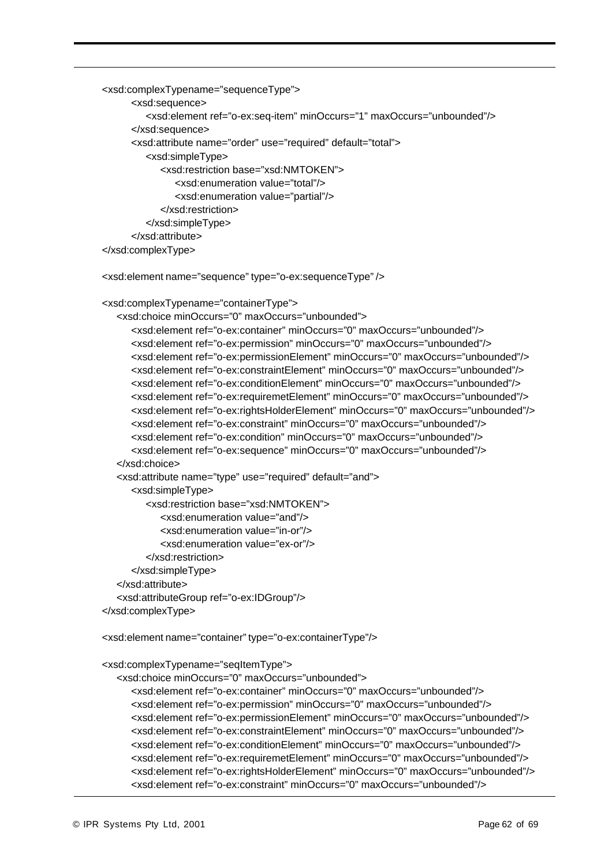```
<xsd:complexTypename="sequenceType">
     <xsd:sequence>
        <xsd:element ref="o-ex:seq-item" minOccurs="1" maxOccurs="unbounded"/>
     </xsd:sequence>
     <xsd:attribute name="order" use="required" default="total">
        <xsd:simpleType>
           <xsd:restriction base="xsd:NMTOKEN">
              <xsd:enumeration value="total"/>
              <xsd:enumeration value="partial"/>
           </xsd:restriction>
        </xsd:simpleType>
     </xsd:attribute>
</xsd:complexType>
<xsd:element name="sequence" type="o-ex:sequenceType" />
<xsd:complexTypename="containerType">
  <xsd:choice minOccurs="0" maxOccurs="unbounded">
     <xsd:element ref="o-ex:container" minOccurs="0" maxOccurs="unbounded"/>
     <xsd:element ref="o-ex:permission" minOccurs="0" maxOccurs="unbounded"/>
     <xsd:element ref="o-ex:permissionElement" minOccurs="0" maxOccurs="unbounded"/>
     <xsd:element ref="o-ex:constraintElement" minOccurs="0" maxOccurs="unbounded"/>
     <xsd:element ref="o-ex:conditionElement" minOccurs="0" maxOccurs="unbounded"/>
     <xsd:element ref="o-ex:requiremetElement" minOccurs="0" maxOccurs="unbounded"/>
     <xsd:element ref="o-ex:rightsHolderElement" minOccurs="0" maxOccurs="unbounded"/>
     <xsd:element ref="o-ex:constraint" minOccurs="0" maxOccurs="unbounded"/>
     <xsd:element ref="o-ex:condition" minOccurs="0" maxOccurs="unbounded"/>
     <xsd:element ref="o-ex:sequence" minOccurs="0" maxOccurs="unbounded"/>
  </xsd:choice>
  <xsd:attribute name="type" use="required" default="and">
     <xsd:simpleType>
        <xsd:restriction base="xsd:NMTOKEN">
           <xsd:enumeration value="and"/>
           <xsd:enumeration value="in-or"/>
            <xsd:enumeration value="ex-or"/>
        </xsd:restriction>
     </xsd:simpleType>
  </xsd:attribute>
  <xsd:attributeGroup ref="o-ex:IDGroup"/>
</xsd:complexType>
<xsd:element name="container" type="o-ex:containerType"/>
<xsd:complexTypename="seqItemType">
  <xsd:choice minOccurs="0" maxOccurs="unbounded">
     <xsd:element ref="o-ex:container" minOccurs="0" maxOccurs="unbounded"/>
     <xsd:element ref="o-ex:permission" minOccurs="0" maxOccurs="unbounded"/>
     <xsd:element ref="o-ex:permissionElement" minOccurs="0" maxOccurs="unbounded"/>
     <xsd:element ref="o-ex:constraintElement" minOccurs="0" maxOccurs="unbounded"/>
     <xsd:element ref="o-ex:conditionElement" minOccurs="0" maxOccurs="unbounded"/>
```

```
<xsd:element ref="o-ex:requiremetElement" minOccurs="0" maxOccurs="unbounded"/>
<xsd:element ref="o-ex:rightsHolderElement" minOccurs="0" maxOccurs="unbounded"/>
<xsd:element ref="o-ex:constraint" minOccurs="0" maxOccurs="unbounded"/>
```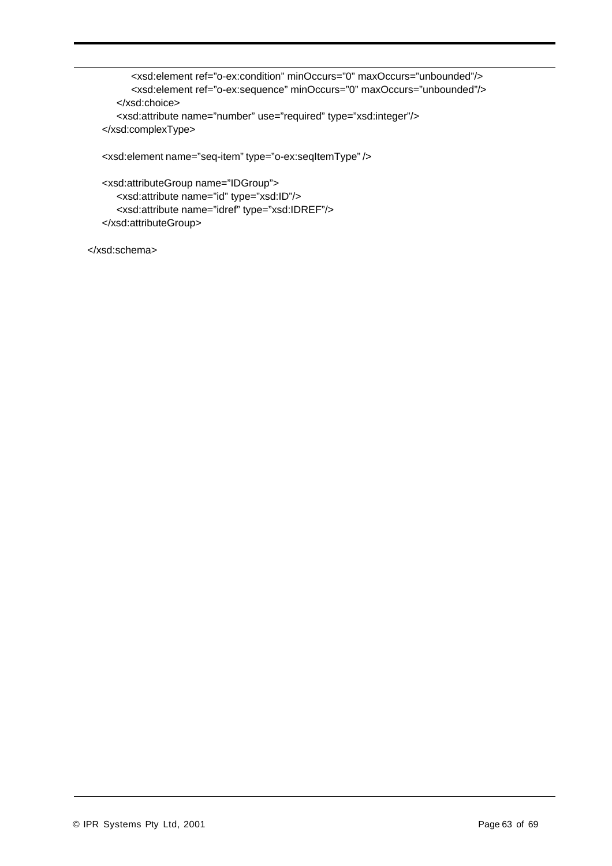<xsd:element ref="o-ex:condition" minOccurs="0" maxOccurs="unbounded"/> <xsd:element ref="o-ex:sequence" minOccurs="0" maxOccurs="unbounded"/> </xsd:choice> <xsd:attribute name="number" use="required" type="xsd:integer"/> </xsd:complexType>

<xsd:element name="seq-item" type="o-ex:seqItemType" />

<xsd:attributeGroup name="IDGroup"> <xsd:attribute name="id" type="xsd:ID"/> <xsd:attribute name="idref" type="xsd:IDREF"/> </xsd:attributeGroup>

</xsd:schema>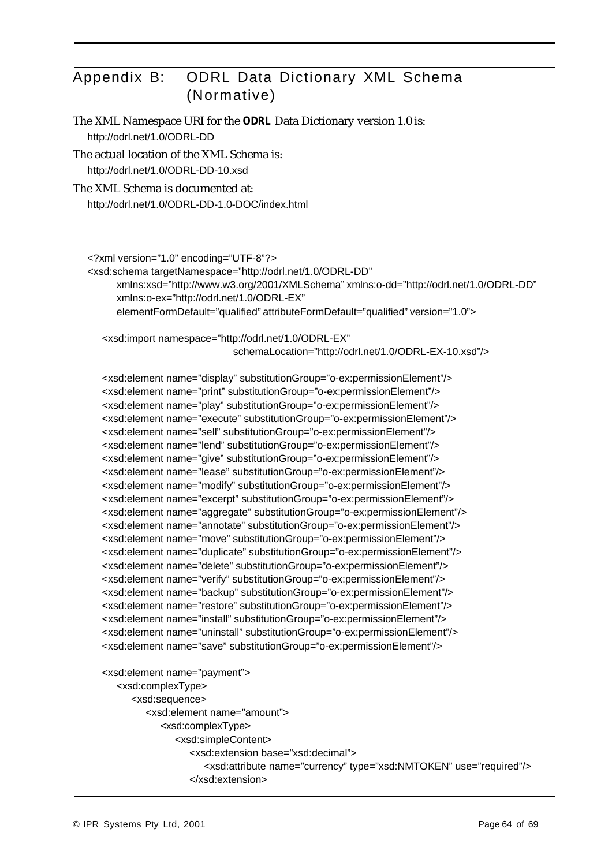# Appendix B: ODRL Data Dictionary XML Schema (Normative)

The XML Namespace URI for the *ODRL* Data Dictionary version 1.0 is: http://odrl.net/1.0/ODRL-DD

The actual location of the XML Schema is: http://odrl.net/1.0/ODRL-DD-10.xsd

#### The XML Schema is documented at:

http://odrl.net/1.0/ODRL-DD-1.0-DOC/index.html

<?xml version="1.0" encoding="UTF-8"?>

<xsd:schema targetNamespace="http://odrl.net/1.0/ODRL-DD" xmlns:xsd="http://www.w3.org/2001/XMLSchema" xmlns:o-dd="http://odrl.net/1.0/ODRL-DD" xmlns:o-ex="http://odrl.net/1.0/ODRL-EX" elementFormDefault="qualified" attributeFormDefault="qualified" version="1.0">

<xsd:import namespace="http://odrl.net/1.0/ODRL-EX" schemaLocation="http://odrl.net/1.0/ODRL-EX-10.xsd"/>

<xsd:element name="display" substitutionGroup="o-ex:permissionElement"/> <xsd:element name="print" substitutionGroup="o-ex:permissionElement"/> <xsd:element name="play" substitutionGroup="o-ex:permissionElement"/> <xsd:element name="execute" substitutionGroup="o-ex:permissionElement"/> <xsd:element name="sell" substitutionGroup="o-ex:permissionElement"/> <xsd:element name="lend" substitutionGroup="o-ex:permissionElement"/> <xsd:element name="give" substitutionGroup="o-ex:permissionElement"/> <xsd:element name="lease" substitutionGroup="o-ex:permissionElement"/> <xsd:element name="modify" substitutionGroup="o-ex:permissionElement"/> <xsd:element name="excerpt" substitutionGroup="o-ex:permissionElement"/> <xsd:element name="aggregate" substitutionGroup="o-ex:permissionElement"/> <xsd:element name="annotate" substitutionGroup="o-ex:permissionElement"/> <xsd:element name="move" substitutionGroup="o-ex:permissionElement"/> <xsd:element name="duplicate" substitutionGroup="o-ex:permissionElement"/> <xsd:element name="delete" substitutionGroup="o-ex:permissionElement"/> <xsd:element name="verify" substitutionGroup="o-ex:permissionElement"/> <xsd:element name="backup" substitutionGroup="o-ex:permissionElement"/> <xsd:element name="restore" substitutionGroup="o-ex:permissionElement"/> <xsd:element name="install" substitutionGroup="o-ex:permissionElement"/> <xsd:element name="uninstall" substitutionGroup="o-ex:permissionElement"/> <xsd:element name="save" substitutionGroup="o-ex:permissionElement"/>

```
<xsd:element name="payment">
  <xsd:complexType>
     <xsd:sequence>
        <xsd:element name="amount">
           <xsd:complexType>
              <xsd:simpleContent>
                 <xsd:extension base="xsd:decimal">
                    <xsd:attribute name="currency" type="xsd:NMTOKEN" use="required"/>
                 </xsd:extension>
```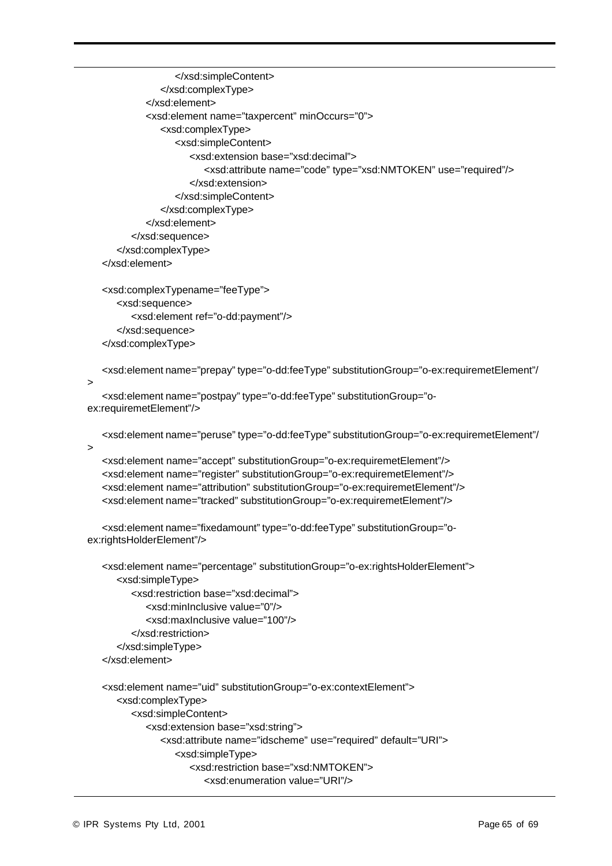```
</xsd:simpleContent>
               </xsd:complexType>
            </xsd:element>
            <xsd:element name="taxpercent" minOccurs="0">
               <xsd:complexType>
                  <xsd:simpleContent>
                     <xsd:extension base="xsd:decimal">
                        <xsd:attribute name="code" type="xsd:NMTOKEN" use="required"/>
                     </xsd:extension>
                  </xsd:simpleContent>
               </xsd:complexType>
            </xsd:element>
         </xsd:sequence>
      </xsd:complexType>
   </xsd:element>
   <xsd:complexTypename="feeType">
      <xsd:sequence>
         <xsd:element ref="o-dd:payment"/>
      </xsd:sequence>
   </xsd:complexType>
   <xsd:element name="prepay" type="o-dd:feeType" substitutionGroup="o-ex:requiremetElement"/
>
   <xsd:element name="postpay" type="o-dd:feeType" substitutionGroup="o-
ex:requiremetElement"/>
   <xsd:element name="peruse" type="o-dd:feeType" substitutionGroup="o-ex:requiremetElement"/
>
   <xsd:element name="accept" substitutionGroup="o-ex:requiremetElement"/>
   <xsd:element name="register" substitutionGroup="o-ex:requiremetElement"/>
   <xsd:element name="attribution" substitutionGroup="o-ex:requiremetElement"/>
   <xsd:element name="tracked" substitutionGroup="o-ex:requiremetElement"/>
   <xsd:element name="fixedamount" type="o-dd:feeType" substitutionGroup="o-
ex:rightsHolderElement"/>
   <xsd:element name="percentage" substitutionGroup="o-ex:rightsHolderElement">
      <xsd:simpleType>
         <xsd:restriction base="xsd:decimal">
            <xsd:minInclusive value="0"/>
            <xsd:maxInclusive value="100"/>
         </xsd:restriction>
      </xsd:simpleType>
   </xsd:element>
   <xsd:element name="uid" substitutionGroup="o-ex:contextElement">
      <xsd:complexType>
         <xsd:simpleContent>
            <xsd:extension base="xsd:string">
               <xsd:attribute name="idscheme" use="required" default="URI">
```

```
<xsd:simpleType>
```

```
<xsd:restriction base="xsd:NMTOKEN">
```

```
<xsd:enumeration value="URI"/>
```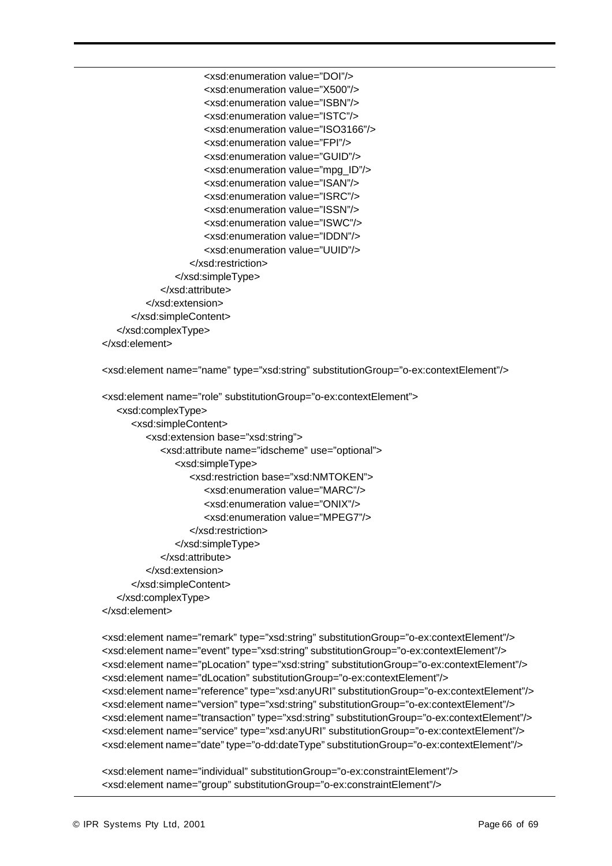```
<xsd:enumeration value="DOI"/>
                     <xsd:enumeration value="X500"/>
                     <xsd:enumeration value="ISBN"/>
                     <xsd:enumeration value="ISTC"/>
                     <xsd:enumeration value="ISO3166"/>
                     <xsd:enumeration value="FPI"/>
                     <xsd:enumeration value="GUID"/>
                     <xsd:enumeration value="mpg_ID"/>
                     <xsd:enumeration value="ISAN"/>
                     <xsd:enumeration value="ISRC"/>
                     <xsd:enumeration value="ISSN"/>
                     <xsd:enumeration value="ISWC"/>
                     <xsd:enumeration value="IDDN"/>
                     <xsd:enumeration value="UUID"/>
                  </xsd:restriction>
               </xsd:simpleType>
            </xsd:attribute>
         </xsd:extension>
     </xsd:simpleContent>
   </xsd:complexType>
</xsd:element>
```
<xsd:element name="name" type="xsd:string" substitutionGroup="o-ex:contextElement"/>

```
<xsd:element name="role" substitutionGroup="o-ex:contextElement">
   <xsd:complexType>
     <xsd:simpleContent>
        <xsd:extension base="xsd:string">
            <xsd:attribute name="idscheme" use="optional">
              <xsd:simpleType>
                  <xsd:restriction base="xsd:NMTOKEN">
                     <xsd:enumeration value="MARC"/>
                     <xsd:enumeration value="ONIX"/>
                     <xsd:enumeration value="MPEG7"/>
                  </xsd:restriction>
              </xsd:simpleType>
            </xsd:attribute>
        </xsd:extension>
     </xsd:simpleContent>
   </xsd:complexType>
</xsd:element>
```
<xsd:element name="remark" type="xsd:string" substitutionGroup="o-ex:contextElement"/> <xsd:element name="event" type="xsd:string" substitutionGroup="o-ex:contextElement"/> <xsd:element name="pLocation" type="xsd:string" substitutionGroup="o-ex:contextElement"/> <xsd:element name="dLocation" substitutionGroup="o-ex:contextElement"/> <xsd:element name="reference" type="xsd:anyURI" substitutionGroup="o-ex:contextElement"/> <xsd:element name="version" type="xsd:string" substitutionGroup="o-ex:contextElement"/> <xsd:element name="transaction" type="xsd:string" substitutionGroup="o-ex:contextElement"/> <xsd:element name="service" type="xsd:anyURI" substitutionGroup="o-ex:contextElement"/> <xsd:element name="date" type="o-dd:dateType" substitutionGroup="o-ex:contextElement"/>

<xsd:element name="individual" substitutionGroup="o-ex:constraintElement"/> <xsd:element name="group" substitutionGroup="o-ex:constraintElement"/>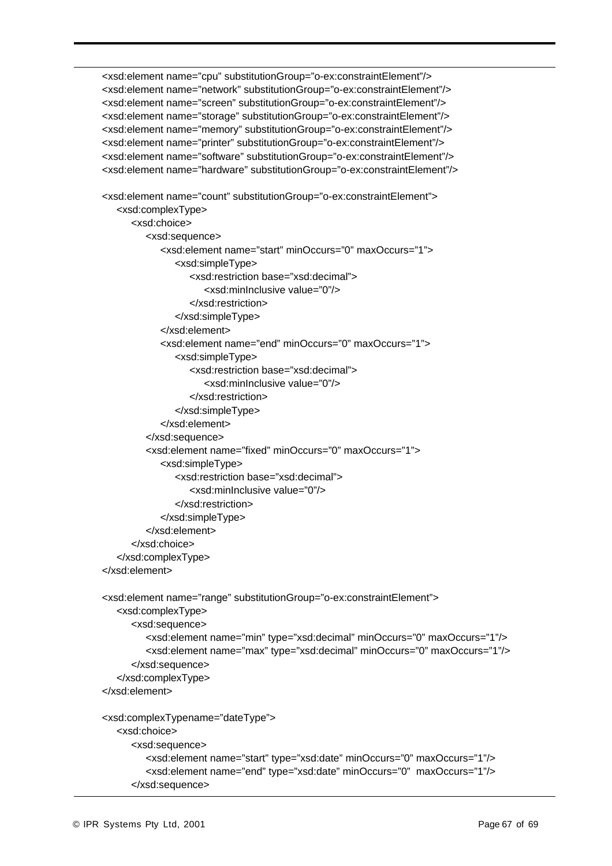<xsd:element name="cpu" substitutionGroup="o-ex:constraintElement"/> <xsd:element name="network" substitutionGroup="o-ex:constraintElement"/> <xsd:element name="screen" substitutionGroup="o-ex:constraintElement"/> <xsd:element name="storage" substitutionGroup="o-ex:constraintElement"/> <xsd:element name="memory" substitutionGroup="o-ex:constraintElement"/> <xsd:element name="printer" substitutionGroup="o-ex:constraintElement"/> <xsd:element name="software" substitutionGroup="o-ex:constraintElement"/> <xsd:element name="hardware" substitutionGroup="o-ex:constraintElement"/>

```
<xsd:element name="count" substitutionGroup="o-ex:constraintElement">
   <xsd:complexType>
     <xsd:choice>
         <xsd:sequence>
            <xsd:element name="start" minOccurs="0" maxOccurs="1">
               <xsd:simpleType>
                  <xsd:restriction base="xsd:decimal">
                     <xsd:minInclusive value="0"/>
                  </xsd:restriction>
               </xsd:simpleType>
            </xsd:element>
            <xsd:element name="end" minOccurs="0" maxOccurs="1">
               <xsd:simpleType>
                  <xsd:restriction base="xsd:decimal">
                     <xsd:minInclusive value="0"/>
                  </xsd:restriction>
               </xsd:simpleType>
            </xsd:element>
         </xsd:sequence>
         <xsd:element name="fixed" minOccurs="0" maxOccurs="1">
            <xsd:simpleType>
               <xsd:restriction base="xsd:decimal">
                  <xsd:minInclusive value="0"/>
               </xsd:restriction>
            </xsd:simpleType>
         </xsd:element>
     </xsd:choice>
   </xsd:complexType>
</xsd:element>
<xsd:element name="range" substitutionGroup="o-ex:constraintElement">
   <xsd:complexType>
```

```
<xsd:sequence>
        <xsd:element name="min" type="xsd:decimal" minOccurs="0" maxOccurs="1"/>
        <xsd:element name="max" type="xsd:decimal" minOccurs="0" maxOccurs="1"/>
     </xsd:sequence>
  </xsd:complexType>
</xsd:element>
<xsd:complexTypename="dateType">
  <xsd:choice>
     <xsd:sequence>
        <xsd:element name="start" type="xsd:date" minOccurs="0" maxOccurs="1"/>
```

```
<xsd:element name="end" type="xsd:date" minOccurs="0" maxOccurs="1"/>
</xsd:sequence>
```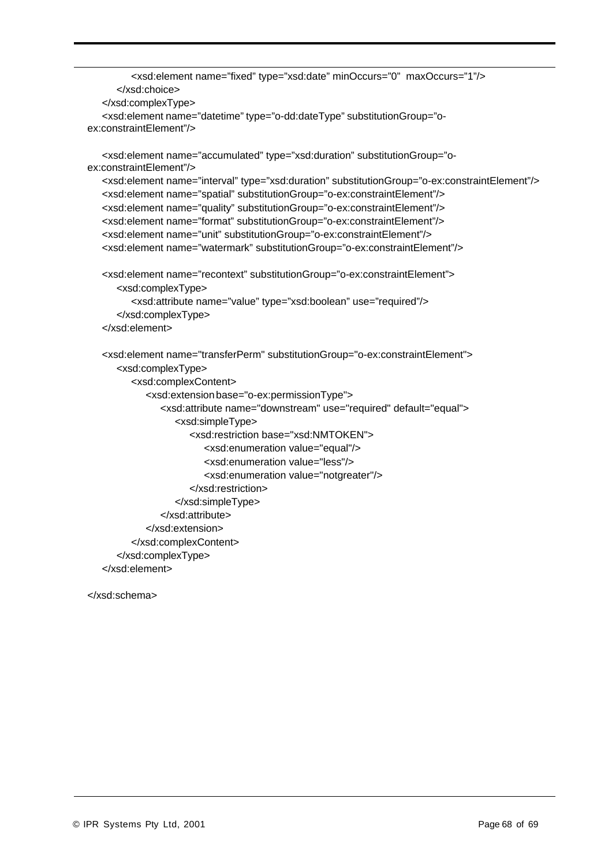```
<xsd:element name="fixed" type="xsd:date" minOccurs="0" maxOccurs="1"/>
      </xsd:choice>
   </xsd:complexType>
   <xsd:element name="datetime" type="o-dd:dateType" substitutionGroup="o-
ex:constraintElement"/>
   <xsd:element name="accumulated" type="xsd:duration" substitutionGroup="o-
ex:constraintElement"/>
   <xsd:element name="interval" type="xsd:duration" substitutionGroup="o-ex:constraintElement"/>
   <xsd:element name="spatial" substitutionGroup="o-ex:constraintElement"/>
   <xsd:element name="quality" substitutionGroup="o-ex:constraintElement"/>
   <xsd:element name="format" substitutionGroup="o-ex:constraintElement"/>
   <xsd:element name="unit" substitutionGroup="o-ex:constraintElement"/>
   <xsd:element name="watermark" substitutionGroup="o-ex:constraintElement"/>
   <xsd:element name="recontext" substitutionGroup="o-ex:constraintElement">
      <xsd:complexType>
         <xsd:attribute name="value" type="xsd:boolean" use="required"/>
      </xsd:complexType>
   </xsd:element>
   <xsd:element name="transferPerm" substitutionGroup="o-ex:constraintElement">
      <xsd:complexType>
         <xsd:complexContent>
            <xsd:extension base="o-ex:permissionType">
               <xsd:attribute name="downstream" use="required" default="equal">
                  <xsd:simpleType>
                     <xsd:restriction base="xsd:NMTOKEN">
                        <xsd:enumeration value="equal"/>
                        <xsd:enumeration value="less"/>
                        <xsd:enumeration value="notgreater"/>
                     </xsd:restriction>
                  </xsd:simpleType>
               </xsd:attribute>
            </xsd:extension>
         </xsd:complexContent>
      </xsd:complexType>
   </xsd:element>
```
</xsd:schema>